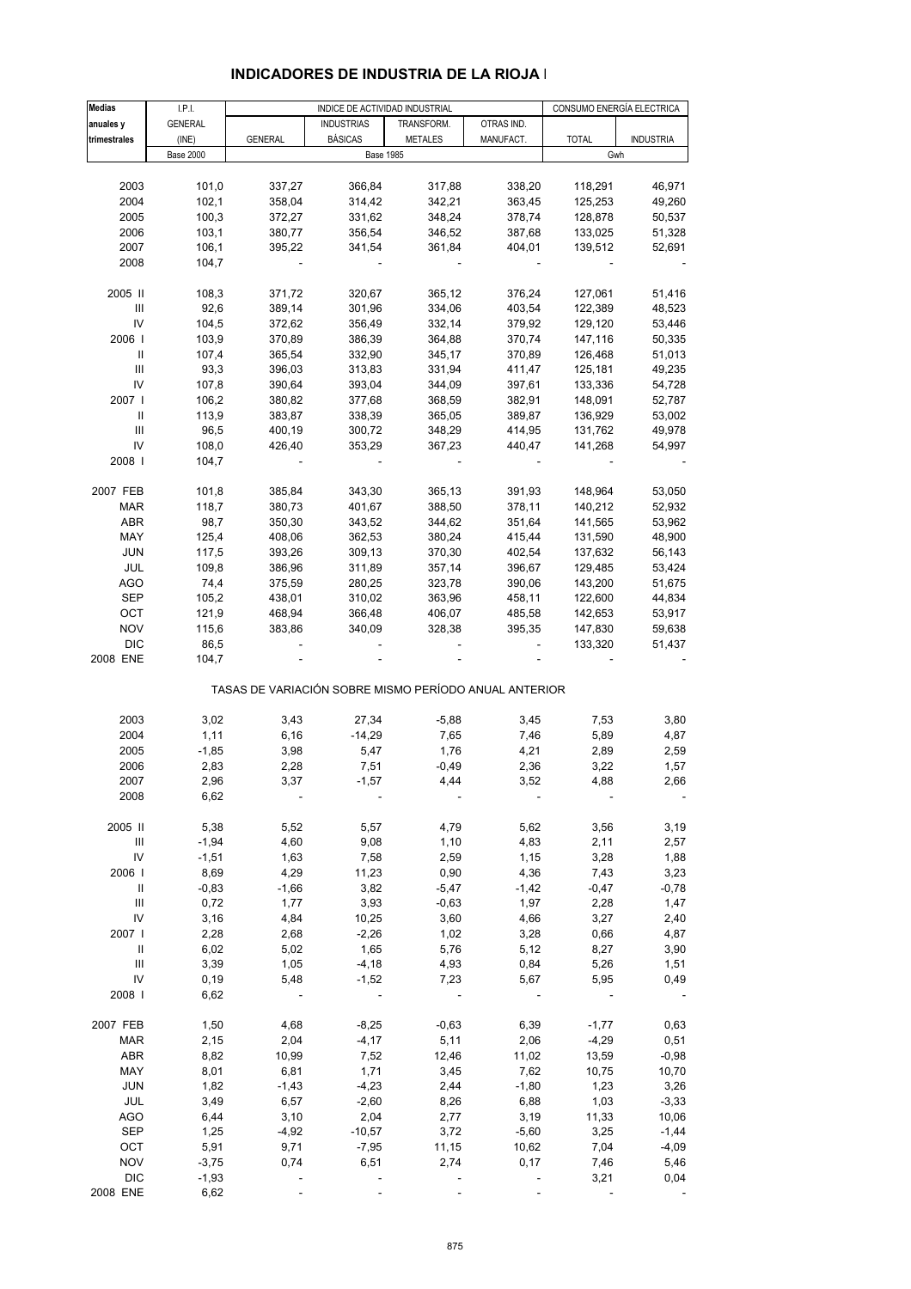| <b>Medias</b>                      | I.P.I.           |                  |                   | INDICE DE ACTIVIDAD INDUSTRIAL                        |                  |                    | CONSUMO ENERGÍA ELECTRICA |
|------------------------------------|------------------|------------------|-------------------|-------------------------------------------------------|------------------|--------------------|---------------------------|
| anuales y                          | <b>GENERAL</b>   |                  | <b>INDUSTRIAS</b> | TRANSFORM.                                            | OTRAS IND.       |                    |                           |
| trimestrales                       | (INE)            | <b>GENERAL</b>   | <b>BÁSICAS</b>    | <b>METALES</b>                                        | MANUFACT.        | <b>TOTAL</b>       | <b>INDUSTRIA</b>          |
|                                    | <b>Base 2000</b> |                  |                   | <b>Base 1985</b>                                      |                  |                    | Gwh                       |
|                                    |                  |                  |                   |                                                       |                  |                    |                           |
| 2003                               | 101,0            | 337,27           | 366,84            | 317,88                                                | 338,20           | 118,291            | 46,971                    |
| 2004                               | 102,1            | 358,04           | 314,42            | 342,21                                                | 363,45           | 125,253            | 49,260                    |
| 2005                               | 100,3            | 372,27           | 331,62            | 348,24                                                | 378,74           | 128,878            | 50,537                    |
| 2006                               | 103,1            | 380,77           | 356,54            | 346,52                                                | 387,68           | 133,025            | 51,328                    |
| 2007                               | 106,1            | 395,22           | 341,54            | 361,84                                                | 404,01           | 139,512            | 52,691                    |
| 2008                               | 104,7            |                  |                   |                                                       |                  |                    |                           |
|                                    |                  |                  |                   |                                                       |                  |                    |                           |
| 2005 II                            | 108,3            | 371,72           | 320,67            | 365,12                                                | 376,24           | 127,061            | 51,416                    |
| Ш                                  | 92,6             | 389,14           | 301,96            | 334,06                                                | 403,54           | 122,389            | 48,523                    |
| IV                                 | 104,5            | 372,62           | 356,49            | 332,14                                                | 379,92           | 129,120            | 53,446                    |
| 2006                               | 103,9            | 370,89           | 386,39            | 364,88                                                | 370,74           | 147,116            | 50,335                    |
| Ш                                  | 107,4            | 365,54           | 332,90            | 345,17                                                | 370,89           | 126,468            | 51,013                    |
| Ш                                  | 93,3             | 396,03           | 313,83            | 331,94                                                | 411,47           | 125,181            | 49,235                    |
| IV                                 | 107,8            | 390,64           | 393,04            | 344,09                                                | 397,61           | 133,336            | 54,728                    |
| 2007                               | 106,2            | 380,82           | 377,68            | 368,59                                                | 382,91           | 148,091            | 52,787                    |
| Ш<br>Ш                             | 113,9<br>96,5    | 383,87<br>400,19 | 338,39<br>300,72  | 365,05                                                | 389,87           | 136,929            | 53,002<br>49,978          |
| IV                                 | 108,0            | 426,40           | 353,29            | 348,29<br>367,23                                      | 414,95<br>440,47 | 131,762<br>141,268 | 54,997                    |
| 2008                               | 104,7            |                  |                   |                                                       |                  |                    |                           |
|                                    |                  |                  |                   |                                                       |                  |                    |                           |
| 2007 FEB                           | 101,8            | 385,84           | 343,30            | 365,13                                                | 391,93           | 148,964            | 53,050                    |
| <b>MAR</b>                         | 118,7            | 380,73           | 401,67            | 388,50                                                | 378,11           | 140,212            | 52,932                    |
| <b>ABR</b>                         | 98,7             | 350,30           | 343,52            | 344,62                                                | 351,64           | 141,565            | 53,962                    |
| MAY                                | 125,4            | 408,06           | 362,53            | 380,24                                                | 415,44           | 131,590            | 48,900                    |
| <b>JUN</b>                         | 117,5            | 393,26           | 309,13            | 370,30                                                | 402,54           | 137,632            | 56,143                    |
| JUL                                | 109,8            | 386,96           | 311,89            | 357,14                                                | 396,67           | 129,485            | 53,424                    |
| <b>AGO</b>                         | 74,4             | 375,59           | 280,25            | 323,78                                                | 390,06           | 143,200            | 51,675                    |
| <b>SEP</b>                         | 105,2            | 438,01           | 310,02            | 363,96                                                | 458,11           | 122,600            | 44,834                    |
| OCT                                | 121,9            | 468,94           | 366,48            | 406,07                                                | 485,58           | 142,653            | 53,917                    |
| <b>NOV</b>                         | 115,6            | 383,86           | 340,09            | 328,38                                                | 395,35           | 147,830            | 59,638                    |
| <b>DIC</b>                         | 86,5             |                  |                   |                                                       |                  | 133,320            | 51,437                    |
| 2008 ENE                           | 104,7            |                  |                   |                                                       |                  |                    |                           |
|                                    |                  |                  |                   | TASAS DE VARIACIÓN SOBRE MISMO PERÍODO ANUAL ANTERIOR |                  |                    |                           |
| 2003                               | 3,02             | 3,43             | 27,34             | $-5,88$                                               | 3,45             | 7,53               | 3,80                      |
| 2004                               | 1,11             | 6, 16            | $-14,29$          | 7,65                                                  | 7,46             | 5,89               | 4,87                      |
| 2005                               | $-1,85$          | 3,98             | 5,47              | 1,76                                                  | 4,21             | 2,89               | 2,59                      |
| 2006                               | 2,83             | 2,28             | 7,51              | $-0,49$                                               | 2,36             | 3,22               | 1,57                      |
| 2007                               | 2,96             | 3,37             | $-1,57$           | 4,44                                                  | 3,52             | 4,88               | 2,66                      |
| 2008                               | 6,62             |                  |                   |                                                       |                  |                    |                           |
|                                    |                  |                  |                   |                                                       |                  |                    |                           |
| 2005 II                            | 5,38             | 5,52             | 5,57              | 4,79                                                  | 5,62             | 3,56               | 3,19                      |
| Ш                                  | $-1,94$          | 4,60             | 9,08              | 1,10                                                  | 4,83             | 2,11               | 2,57                      |
| IV                                 | $-1,51$          | 1,63             | 7,58              | 2,59                                                  | 1,15             | 3,28               | 1,88                      |
| 2006  <br>Ш                        | 8,69<br>$-0,83$  | 4,29<br>$-1,66$  | 11,23<br>3,82     | 0,90<br>$-5,47$                                       | 4,36<br>$-1,42$  | 7,43<br>$-0,47$    | 3,23<br>$-0,78$           |
| $\ensuremath{\mathsf{III}}\xspace$ | 0,72             | 1,77             | 3,93              | $-0,63$                                               | 1,97             | 2,28               | 1,47                      |
| IV                                 | 3,16             | 4,84             | 10,25             | 3,60                                                  | 4,66             | 3,27               | 2,40                      |
| 2007 l                             | 2,28             | 2,68             | $-2,26$           | 1,02                                                  | 3,28             | 0,66               | 4,87                      |
| Ш                                  | 6,02             | 5,02             | 1,65              | 5,76                                                  | 5,12             | 8,27               | 3,90                      |
| $\ensuremath{\mathsf{III}}\xspace$ | 3,39             | 1,05             | $-4,18$           | 4,93                                                  | 0,84             | 5,26               | 1,51                      |
| IV                                 | 0, 19            | 5,48             | $-1,52$           | 7,23                                                  | 5,67             | 5,95               | 0,49                      |
| 2008                               | 6,62             |                  |                   |                                                       |                  |                    |                           |
|                                    |                  |                  |                   |                                                       |                  |                    |                           |
| 2007 FEB                           | 1,50             | 4,68             | $-8,25$           | $-0,63$                                               | 6,39             | $-1,77$            | 0,63                      |
| <b>MAR</b>                         | 2,15             | 2,04             | $-4, 17$          | 5,11                                                  | 2,06             | $-4,29$            | 0,51                      |
| <b>ABR</b>                         | 8,82             | 10,99            | 7,52              | 12,46                                                 | 11,02            | 13,59              | $-0,98$                   |
| MAY                                | 8,01             | 6,81             | 1,71              | 3,45                                                  | 7,62             | 10,75              | 10,70                     |
| <b>JUN</b>                         | 1,82             | $-1,43$          | $-4,23$           | 2,44                                                  | $-1,80$          | 1,23               | 3,26                      |
| JUL                                | 3,49             | 6,57             | $-2,60$           | 8,26                                                  | 6,88             | 1,03               | $-3,33$                   |
| <b>AGO</b>                         | 6,44             | 3,10             | 2,04              | 2,77                                                  | 3,19             | 11,33              | 10,06                     |
| <b>SEP</b>                         | 1,25             | $-4,92$          | $-10,57$          | 3,72                                                  | $-5,60$          | 3,25               | $-1,44$                   |
| OCT                                | 5,91             | 9,71             | $-7,95$           | 11,15                                                 | 10,62            | 7,04               | $-4,09$                   |
| <b>NOV</b>                         | $-3,75$          | 0,74             | 6,51              | 2,74                                                  | 0,17             | 7,46               | 5,46                      |
| <b>DIC</b><br>2008 ENE             | $-1,93$          |                  |                   |                                                       |                  | 3,21               | 0,04                      |
|                                    | 6,62             |                  |                   |                                                       |                  |                    |                           |

## **INDICADORES DE INDUSTRIA DE LA RIOJA I**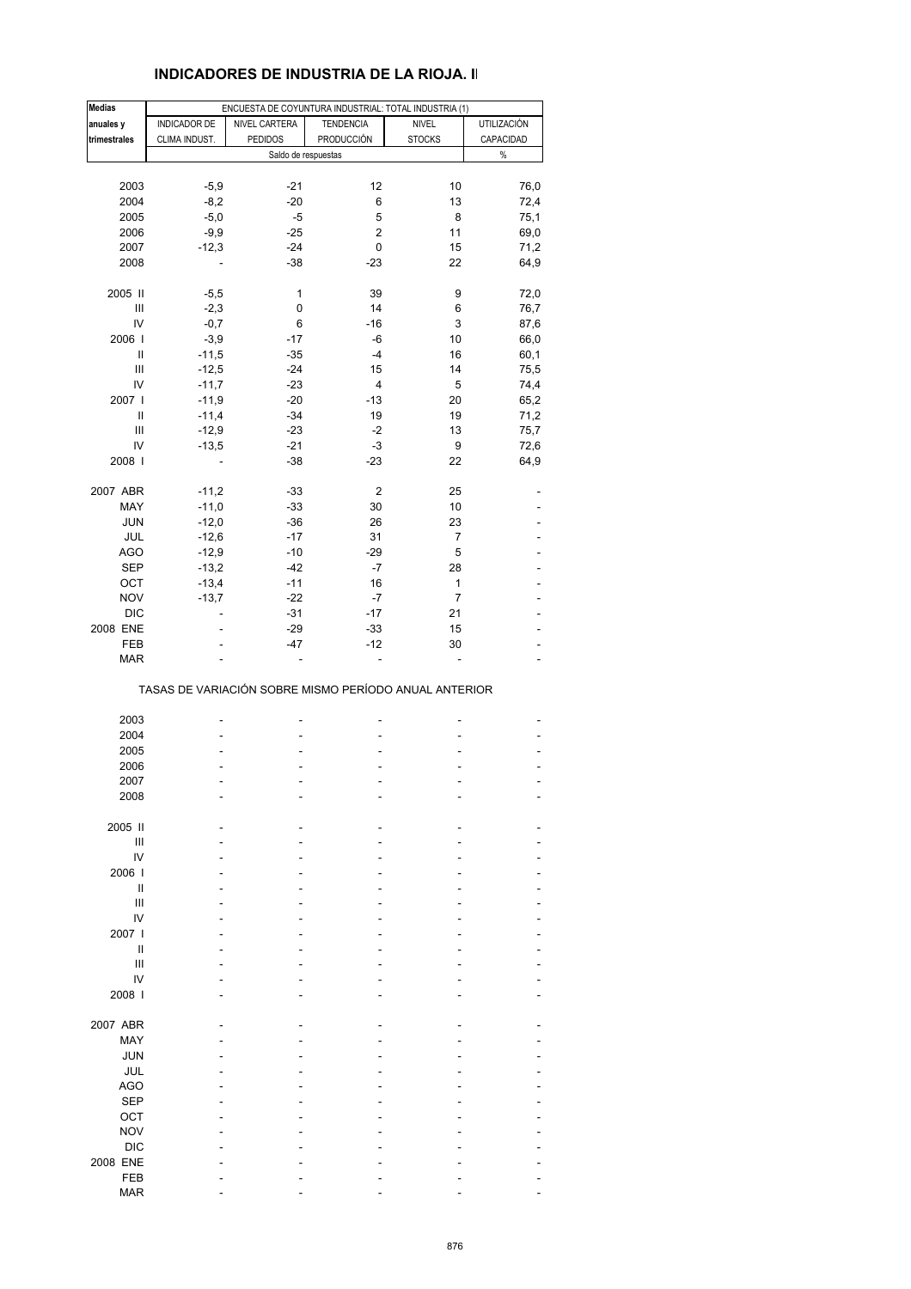## **INDICADORES DE INDUSTRIA DE LA RIOJA. II**

| <b>Medias</b> |                | ENCUESTA DE COYUNTURA INDUSTRIAL: TOTAL INDUSTRIA (1) |                         |                |                    |
|---------------|----------------|-------------------------------------------------------|-------------------------|----------------|--------------------|
| anuales y     | INDICADOR DE   | NIVEL CARTERA                                         | <b>TENDENCIA</b>        | <b>NIVEL</b>   | <b>UTILIZACIÓN</b> |
| trimestrales  | CLIMA INDUST.  | <b>PEDIDOS</b>                                        | PRODUCCIÓN              | <b>STOCKS</b>  | CAPACIDAD          |
|               |                | Saldo de respuestas                                   |                         |                | $\%$               |
|               |                |                                                       |                         |                |                    |
| 2003          | $-5,9$         | $-21$                                                 | 12                      | 10             | 76,0               |
| 2004          | $-8,2$         | $-20$                                                 | 6                       | 13             | 72,4               |
| 2005          | $-5,0$         | $-5$                                                  | 5                       | 8              | 75,1               |
| 2006          | $-9,9$         | $-25$                                                 | $\overline{\mathbf{c}}$ | 11             | 69,0               |
| 2007          | $-12,3$        | $-24$                                                 | 0                       | 15             | 71,2               |
| 2008          |                | $-38$                                                 | $-23$                   | 22             | 64,9               |
|               |                |                                                       |                         |                |                    |
| 2005 II       | $-5,5$         | 1                                                     | 39                      | 9              | 72,0               |
| Ш             | $-2,3$         | 0                                                     | 14                      | 6              | 76,7               |
| IV            | $-0,7$         | 6                                                     | $-16$                   | 3              | 87,6               |
| 2006          | $-3,9$         | $-17$                                                 | -6                      | 10             | 66,0               |
| Ш             | $-11,5$        | $-35$                                                 | $-4$                    | 16             | 60,1               |
| Ш             | $-12,5$        | $-24$                                                 | 15                      | 14             | 75,5               |
| IV            | $-11,7$        | $-23$                                                 | $\overline{\mathbf{4}}$ | 5              | 74,4               |
| 2007 l        | $-11,9$        | $-20$                                                 | $-13$                   | 20             | 65,2               |
| Ш             | $-11,4$        | $-34$                                                 | 19                      | 19             | 71,2               |
| Ш<br>IV       | $-12,9$        | $-23$<br>$-21$                                        | $-2$<br>$-3$            | 13<br>9        | 75,7               |
| 2008          | $-13,5$        |                                                       |                         |                | 72,6               |
|               | $\overline{a}$ | $-38$                                                 | $-23$                   | 22             | 64,9               |
| 2007 ABR      | $-11,2$        | $-33$                                                 | $\boldsymbol{2}$        | 25             |                    |
| MAY           | $-11,0$        | $-33$                                                 | 30                      | 10             |                    |
| <b>JUN</b>    | $-12,0$        | $-36$                                                 | 26                      | 23             |                    |
| JUL           | $-12,6$        | $-17$                                                 | 31                      | $\overline{7}$ |                    |
| <b>AGO</b>    | $-12,9$        | $-10$                                                 | $-29$                   | 5              | ٠                  |
| <b>SEP</b>    | $-13,2$        | $-42$                                                 | $-7$                    | 28             | ä,                 |
| OCT           | $-13,4$        | $-11$                                                 | 16                      | 1              |                    |
| <b>NOV</b>    | $-13,7$        | $-22$                                                 | $-7$                    | $\overline{7}$ | ٠                  |
| <b>DIC</b>    |                | $-31$                                                 | $-17$                   | 21             | ä,                 |
| 2008 ENE      |                | $-29$                                                 | $-33$                   | 15             |                    |
| FEB           |                | $-47$                                                 | $-12$                   | 30             | -                  |
| <b>MAR</b>    |                |                                                       | ÷,                      |                |                    |
|               |                | TASAS DE VARIACIÓN SOBRE MISMO PERÍODO ANUAL ANTERIOR |                         |                |                    |
| 2003          |                |                                                       |                         |                |                    |
| 2004          |                |                                                       |                         |                |                    |
| 2005          |                |                                                       |                         |                |                    |
| 2006          |                |                                                       |                         |                |                    |
| 2007          |                |                                                       |                         |                |                    |
| 2008          |                |                                                       |                         |                |                    |
|               |                |                                                       |                         |                |                    |
| 2005 II       |                |                                                       |                         |                |                    |
| Ш             |                |                                                       |                         |                |                    |
| IV            |                |                                                       |                         |                |                    |
| 2006          |                |                                                       |                         |                |                    |
| Ш             |                |                                                       |                         |                |                    |
| Ш             |                |                                                       |                         |                |                    |
| IV            |                |                                                       |                         |                |                    |
| 2007 l        |                |                                                       |                         |                |                    |
| Ш             |                |                                                       |                         |                |                    |
| Ш             |                |                                                       |                         |                |                    |
| IV<br>2008 l  |                |                                                       |                         |                |                    |
|               |                |                                                       |                         |                |                    |
| 2007 ABR      |                |                                                       |                         |                |                    |
| MAY           |                |                                                       |                         |                |                    |
| <b>JUN</b>    |                |                                                       |                         |                |                    |
| JUL           |                |                                                       |                         |                |                    |
| <b>AGO</b>    |                |                                                       |                         |                |                    |
| <b>SEP</b>    |                |                                                       |                         |                |                    |
| OCT           |                |                                                       |                         |                |                    |
| <b>NOV</b>    |                |                                                       |                         |                |                    |
| <b>DIC</b>    |                |                                                       |                         |                |                    |
| 2008 ENE      |                |                                                       |                         |                |                    |
| FEB           |                |                                                       |                         |                |                    |
| <b>MAR</b>    |                |                                                       |                         |                |                    |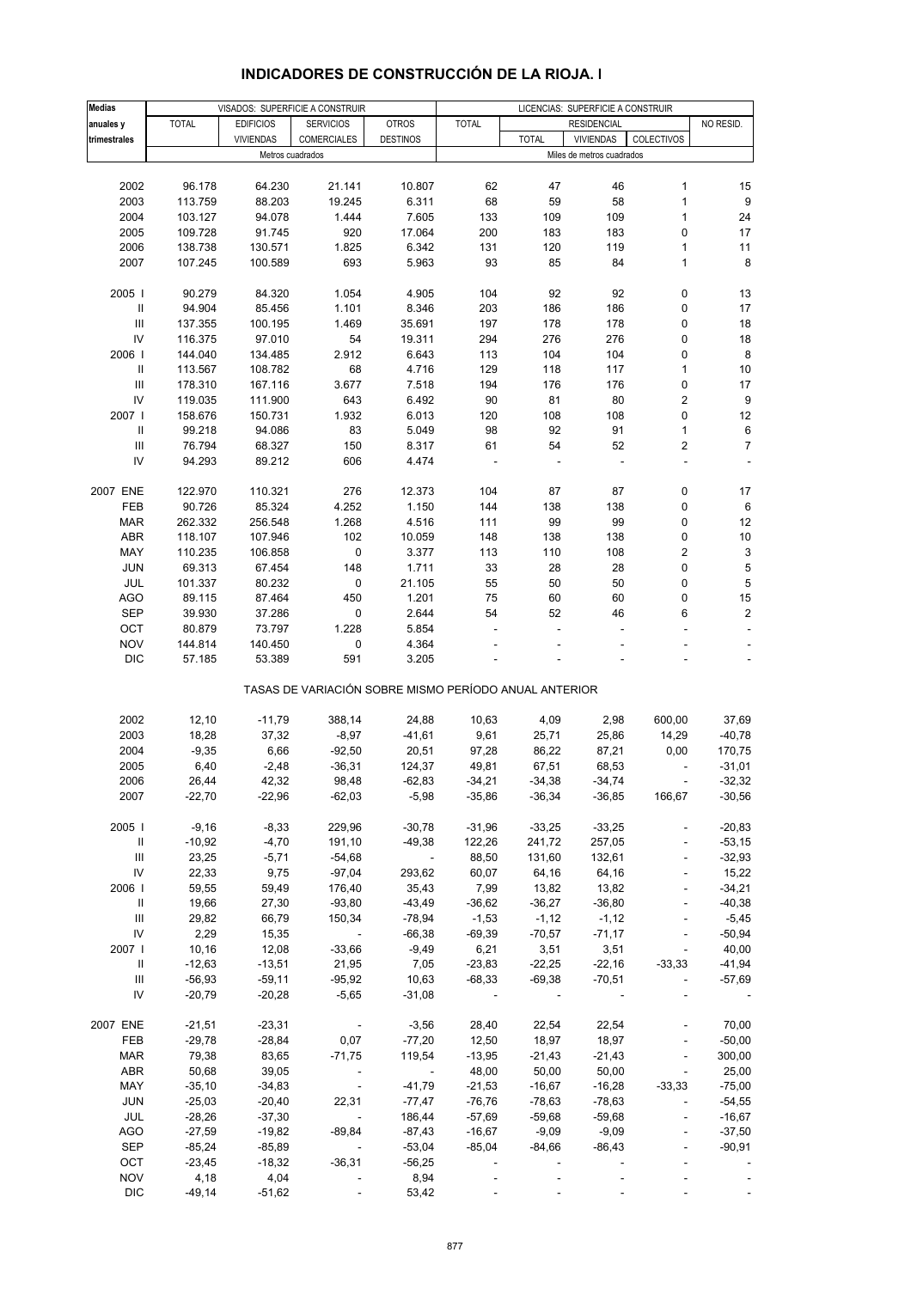| <b>Medias</b>                      |              |                  | VISADOS: SUPERFICIE A CONSTRUIR                       |                 |              |                          | LICENCIAS: SUPERFICIE A CONSTRUIR |                          |                           |
|------------------------------------|--------------|------------------|-------------------------------------------------------|-----------------|--------------|--------------------------|-----------------------------------|--------------------------|---------------------------|
| anuales y                          | <b>TOTAL</b> | <b>EDIFICIOS</b> | <b>SERVICIOS</b>                                      | <b>OTROS</b>    | <b>TOTAL</b> |                          | <b>RESIDENCIAL</b>                |                          | NO RESID.                 |
| trimestrales                       |              | <b>VIVIENDAS</b> | <b>COMERCIALES</b>                                    | <b>DESTINOS</b> |              | <b>TOTAL</b>             | <b>VIVIENDAS</b>                  | <b>COLECTIVOS</b>        |                           |
|                                    |              | Metros cuadrados |                                                       |                 |              |                          | Miles de metros cuadrados         |                          |                           |
|                                    |              |                  |                                                       |                 |              |                          |                                   |                          |                           |
| 2002                               | 96.178       | 64.230           | 21.141                                                | 10.807          | 62           | 47                       | 46                                | 1                        | 15                        |
| 2003                               | 113.759      | 88.203           | 19.245                                                | 6.311           | 68           | 59                       | 58                                | $\mathbf{1}$             | 9                         |
| 2004                               | 103.127      | 94.078           | 1.444                                                 | 7.605           | 133          | 109                      | 109                               | $\mathbf{1}$             | 24                        |
| 2005                               | 109.728      | 91.745           | 920                                                   | 17.064          | 200          | 183                      | 183                               | 0                        | 17                        |
| 2006                               | 138.738      | 130.571          | 1.825                                                 | 6.342           | 131          | 120                      | 119                               | $\mathbf{1}$             | 11                        |
| 2007                               | 107.245      | 100.589          | 693                                                   | 5.963           | 93           | 85                       | 84                                | $\mathbf{1}$             | $\bf 8$                   |
|                                    |              |                  |                                                       |                 |              |                          |                                   |                          |                           |
| 2005                               | 90.279       | 84.320           | 1.054                                                 | 4.905           | 104          | 92                       | 92                                | 0                        | 13                        |
| $\, \parallel$                     | 94.904       | 85.456           | 1.101                                                 | 8.346           | 203          | 186                      | 186                               | $\pmb{0}$                | 17                        |
| $\ensuremath{\mathsf{III}}\xspace$ | 137.355      | 100.195          | 1.469                                                 | 35.691          | 197          | 178                      | 178                               | 0                        | 18                        |
| IV                                 | 116.375      | 97.010           | 54                                                    | 19.311          | 294          | 276                      | 276                               | 0                        | 18                        |
| 2006                               | 144.040      | 134.485          | 2.912                                                 | 6.643           | 113          | 104                      | 104                               | 0                        | $\bf 8$                   |
| $\, \parallel$                     | 113.567      | 108.782          | 68                                                    | 4.716           | 129          | 118                      | 117                               | $\mathbf{1}$             | 10                        |
| III                                | 178.310      | 167.116          | 3.677                                                 | 7.518           | 194          | 176                      | 176                               | 0                        | 17                        |
| IV                                 | 119.035      | 111.900          | 643                                                   | 6.492           | 90           | 81                       | 80                                | 2                        | 9                         |
| 2007 l                             | 158.676      | 150.731          | 1.932                                                 | 6.013           | 120          | 108                      | 108                               | 0                        | $12\,$                    |
| Ш                                  | 99.218       | 94.086           | 83                                                    | 5.049           | 98           | 92                       | 91                                | $\mathbf{1}$             | 6                         |
| $\ensuremath{\mathsf{III}}\xspace$ | 76.794       | 68.327           | 150                                                   | 8.317           | 61           | 54                       | 52                                | 2                        | $\overline{7}$            |
| IV                                 | 94.293       | 89.212           | 606                                                   | 4.474           |              |                          |                                   | ÷,                       |                           |
|                                    |              |                  |                                                       |                 |              |                          |                                   |                          |                           |
| 2007 ENE                           | 122.970      | 110.321          | 276                                                   | 12.373          | 104          | 87                       | 87                                | $\pmb{0}$                | 17                        |
| FEB                                | 90.726       | 85.324           | 4.252                                                 | 1.150           | 144          | 138                      | 138                               | 0                        | 6                         |
|                                    |              |                  |                                                       |                 |              |                          |                                   |                          |                           |
| <b>MAR</b>                         | 262.332      | 256.548          | 1.268                                                 | 4.516           | 111          | 99                       | 99                                | 0                        | 12                        |
| <b>ABR</b>                         | 118.107      | 107.946          | 102                                                   | 10.059          | 148          | 138                      | 138                               | 0                        | $10$                      |
| MAY                                | 110.235      | 106.858          | 0                                                     | 3.377           | 113          | 110                      | 108                               | 2                        | $\ensuremath{\mathsf{3}}$ |
| <b>JUN</b>                         | 69.313       | 67.454           | 148                                                   | 1.711           | 33           | 28                       | 28                                | 0                        | $\,$ 5 $\,$               |
| JUL                                | 101.337      | 80.232           | $\pmb{0}$                                             | 21.105          | 55           | 50                       | 50                                | 0                        | $\,$ 5 $\,$               |
| <b>AGO</b>                         | 89.115       | 87.464           | 450                                                   | 1.201           | 75           | 60                       | 60                                | 0                        | 15                        |
| <b>SEP</b>                         | 39.930       | 37.286           | 0                                                     | 2.644           | 54           | 52                       | 46                                | 6                        | $\overline{\mathbf{c}}$   |
| OCT                                | 80.879       | 73.797           | 1.228                                                 | 5.854           |              |                          |                                   |                          |                           |
| <b>NOV</b>                         | 144.814      | 140.450          | 0                                                     | 4.364           |              |                          |                                   | $\overline{a}$           | $\overline{\phantom{a}}$  |
| <b>DIC</b>                         | 57.185       | 53.389           | 591                                                   | 3.205           |              |                          |                                   |                          |                           |
|                                    |              |                  | TASAS DE VARIACIÓN SOBRE MISMO PERÍODO ANUAL ANTERIOR |                 |              |                          |                                   |                          |                           |
|                                    |              |                  |                                                       |                 |              |                          |                                   |                          |                           |
| 2002                               | 12,10        | $-11,79$         | 388,14                                                | 24,88           | 10,63        | 4,09                     | 2,98                              | 600,00                   | 37,69                     |
| 2003                               | 18,28        | 37,32            | $-8,97$                                               | $-41,61$        | 9,61         | 25,71                    | 25,86                             | 14,29                    | $-40,78$                  |
| 2004                               | $-9,35$      | 6,66             | $-92,50$                                              | 20,51           | 97,28        | 86,22                    | 87,21                             | 0,00                     | 170,75                    |
| 2005                               | 6,40         | $-2,48$          | $-36,31$                                              | 124,37          | 49,81        | 67,51                    | 68,53                             |                          | $-31,01$                  |
| 2006                               | 26,44        | 42,32            | 98,48                                                 | $-62,83$        | $-34,21$     | $-34,38$                 | $-34,74$                          |                          | $-32,32$                  |
| 2007                               | $-22,70$     | $-22,96$         | $-62,03$                                              | $-5,98$         | $-35,86$     | $-36,34$                 | $-36,85$                          | 166,67                   | $-30,56$                  |
|                                    |              |                  |                                                       |                 |              |                          |                                   |                          |                           |
| 2005                               | $-9,16$      | $-8,33$          | 229,96                                                | $-30,78$        | $-31,96$     | $-33,25$                 | $-33,25$                          |                          | $-20,83$                  |
| Ш                                  | $-10,92$     | $-4,70$          | 191,10                                                | $-49,38$        | 122,26       | 241,72                   | 257,05                            |                          | $-53,15$                  |
| Ш                                  | 23,25        | $-5,71$          | $-54,68$                                              | $\sim$          | 88,50        | 131,60                   | 132,61                            | $\blacksquare$           | $-32,93$                  |
| IV                                 | 22,33        | 9,75             | $-97,04$                                              | 293,62          | 60,07        | 64,16                    | 64,16                             | $\Box$                   | 15,22                     |
| 2006                               | 59,55        | 59,49            | 176,40                                                | 35,43           | 7,99         | 13,82                    | 13,82                             |                          | $-34,21$                  |
| $\mathbf{H}$                       | 19,66        | 27,30            | $-93,80$                                              | $-43,49$        | $-36,62$     | $-36,27$                 | $-36,80$                          | ÷,                       | $-40,38$                  |
| $\ensuremath{\mathsf{III}}\xspace$ | 29,82        | 66,79            | 150,34                                                | $-78,94$        | $-1,53$      | $-1,12$                  | $-1,12$                           | $\blacksquare$           | $-5,45$                   |
| IV                                 | 2,29         | 15,35            | $\sim 100$ km s $^{-1}$                               | $-66,38$        | $-69,39$     | $-70,57$                 | $-71,17$                          | $\Box$                   | $-50,94$                  |
| 2007                               | 10,16        | 12,08            | $-33,66$                                              | $-9,49$         | 6,21         | 3,51                     | 3,51                              | $\Box$                   | 40,00                     |
| Ш                                  | $-12,63$     | $-13,51$         | 21,95                                                 | 7,05            | $-23,83$     | $-22,25$                 | $-22,16$                          | $-33,33$                 | $-41,94$                  |
| Ш                                  | $-56,93$     | $-59,11$         | $-95,92$                                              | 10,63           | $-68,33$     | $-69,38$                 | $-70,51$                          | $\blacksquare$           | $-57,69$                  |
| IV                                 | $-20,79$     | $-20,28$         | $-5,65$                                               | $-31,08$        |              | $\overline{\phantom{a}}$ |                                   |                          |                           |
|                                    |              |                  |                                                       |                 |              |                          |                                   |                          |                           |
| 2007 ENE                           | $-21,51$     | $-23,31$         | $\sim$ $-$                                            | $-3,56$         | 28,40        | 22,54                    | 22,54                             |                          | 70,00                     |
| FEB                                | $-29,78$     | $-28,84$         | 0,07                                                  | $-77,20$        | 12,50        | 18,97                    | 18,97                             | ä,                       | $-50,00$                  |
| <b>MAR</b>                         | 79,38        | 83,65            | $-71,75$                                              | 119,54          | $-13,95$     | $-21,43$                 | $-21,43$                          | $\blacksquare$           | 300,00                    |
| ABR                                | 50,68        | 39,05            | $\sim$ $-$                                            | $\sim$          | 48,00        | 50,00                    | 50,00                             | $\blacksquare$           | 25,00                     |
| MAY                                | $-35,10$     | $-34,83$         | $\sim$                                                | $-41,79$        | $-21,53$     | $-16,67$                 | $-16,28$                          | $-33,33$                 | $-75,00$                  |
| <b>JUN</b>                         | $-25,03$     | $-20,40$         | 22,31                                                 | $-77,47$        | $-76,76$     | $-78,63$                 | $-78,63$                          | $\overline{\phantom{a}}$ | $-54,55$                  |
| JUL                                | $-28,26$     | $-37,30$         | $\sim 100$                                            | 186,44          | $-57,69$     | $-59,68$                 | $-59,68$                          | $\overline{\phantom{a}}$ | $-16,67$                  |
| <b>AGO</b>                         | $-27,59$     | $-19,82$         | $-89,84$                                              | $-87,43$        | $-16,67$     | $-9,09$                  | $-9,09$                           | $\overline{\phantom{a}}$ | $-37,50$                  |
| <b>SEP</b>                         | $-85,24$     | $-85,89$         |                                                       | $-53,04$        | $-85,04$     | $-84,66$                 | $-86,43$                          |                          | $-90,91$                  |
| OCT                                | $-23,45$     | $-18,32$         | $-36,31$                                              | $-56,25$        |              |                          |                                   |                          |                           |
| <b>NOV</b>                         | 4,18         | 4,04             |                                                       | 8,94            |              |                          |                                   | $\overline{\phantom{a}}$ |                           |
| <b>DIC</b>                         | $-49,14$     | $-51,62$         |                                                       | 53,42           |              |                          |                                   |                          |                           |

# **INDICADORES DE CONSTRUCCIÓN DE LA RIOJA. I**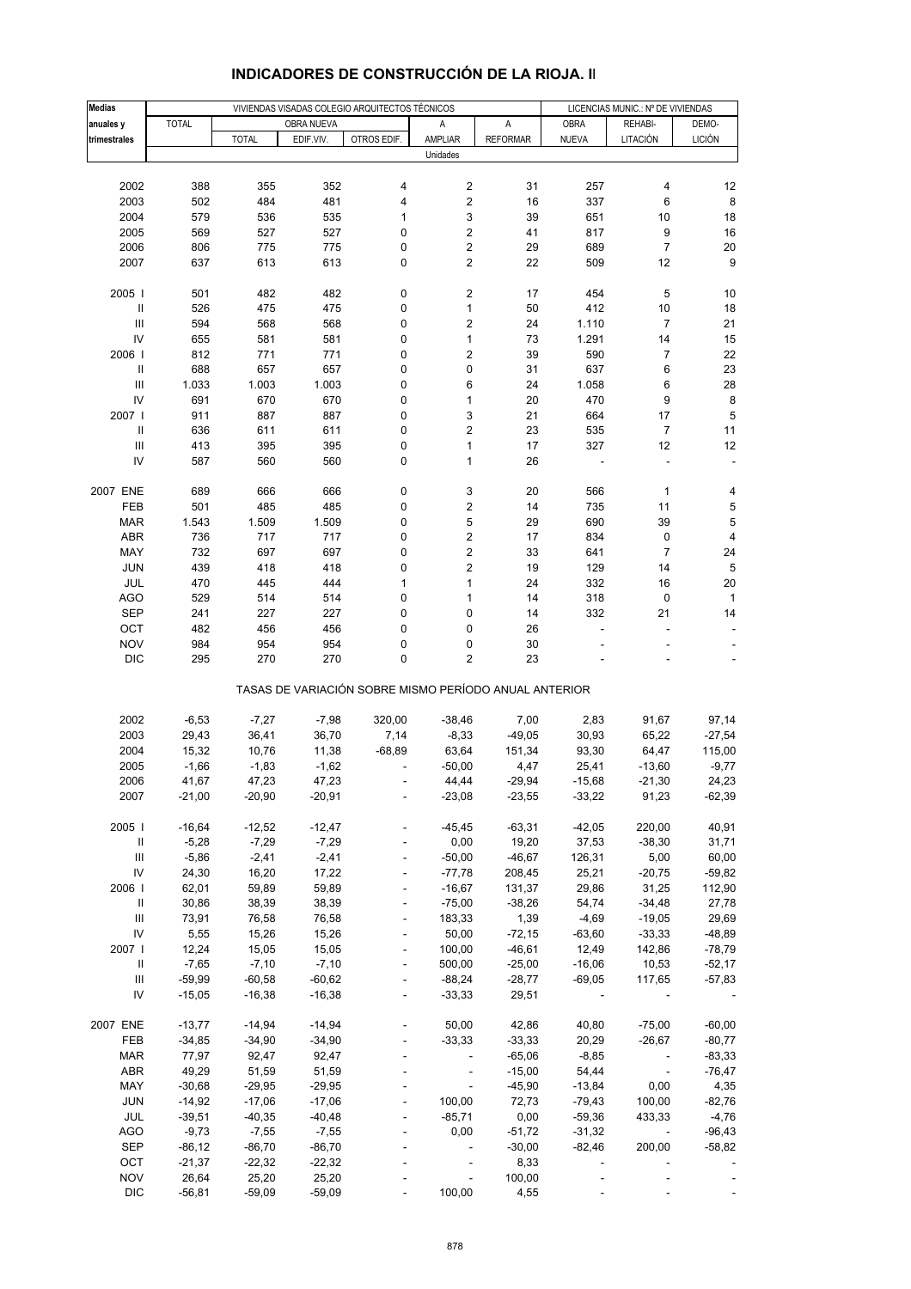| <b>Medias</b>                      |              |              |            | VIVIENDAS VISADAS COLEGIO ARQUITECTOS TÉCNICOS |                                                       |                 |                          | LICENCIAS MUNIC.: Nº DE VIVIENDAS |                         |
|------------------------------------|--------------|--------------|------------|------------------------------------------------|-------------------------------------------------------|-----------------|--------------------------|-----------------------------------|-------------------------|
| anuales y                          | <b>TOTAL</b> |              | OBRA NUEVA |                                                | Α                                                     | Α               | <b>OBRA</b>              | REHABI-                           | DEMO-                   |
| trimestrales                       |              | <b>TOTAL</b> | EDIF.VIV.  | OTROS EDIF.                                    | AMPLIAR                                               | <b>REFORMAR</b> | <b>NUEVA</b>             | LITACIÓN                          | <b>LICIÓN</b>           |
|                                    |              |              |            |                                                | Unidades                                              |                 |                          |                                   |                         |
|                                    |              |              |            |                                                |                                                       |                 |                          |                                   |                         |
| 2002                               | 388          | 355          | 352        | 4                                              | 2                                                     | 31              | 257                      | 4                                 | 12                      |
| 2003                               | 502          | 484          | 481        | 4                                              | 2                                                     | 16              | 337                      | 6                                 | 8                       |
| 2004                               | 579          | 536          | 535        | 1                                              | 3                                                     | 39              | 651                      | 10                                | 18                      |
| 2005                               | 569          | 527          | 527        | 0                                              | 2                                                     | 41              | 817                      | 9                                 | 16                      |
| 2006                               | 806          | 775          | 775        | 0                                              | 2                                                     | 29              | 689                      | $\overline{7}$                    | $20\,$                  |
| 2007                               | 637          | 613          | 613        | 0                                              | $\boldsymbol{2}$                                      | 22              | 509                      | 12                                | 9                       |
|                                    |              |              |            |                                                |                                                       |                 |                          |                                   |                         |
| 2005                               | 501          | 482          | 482        | 0                                              | 2                                                     | 17              | 454                      | 5                                 | 10                      |
| $\, \parallel$                     | 526          | 475          | 475        | 0                                              | $\mathbf{1}$                                          | 50              | 412                      | 10                                | 18                      |
| III                                | 594          | 568          | 568        | 0                                              | 2                                                     | 24              | 1.110                    | 7                                 | 21                      |
| IV                                 | 655          | 581          | 581        | 0                                              | $\mathbf{1}$                                          | 73              | 1.291                    | 14                                | 15                      |
| 2006                               | 812          | 771          | 771        | 0                                              | $\overline{\mathbf{c}}$                               | 39              | 590                      | 7                                 | 22                      |
| $\, \parallel$                     | 688          | 657          | 657        | 0                                              | 0                                                     | 31              | 637                      | 6                                 | 23                      |
| $\mathsf{III}\,$                   | 1.033        | 1.003        | 1.003      | 0                                              | 6                                                     | 24              | 1.058                    | 6                                 | 28                      |
| IV                                 | 691          | 670          | 670        | 0                                              | 1                                                     | 20              | 470                      | 9                                 | 8                       |
| 2007                               | 911          | 887          | 887        | 0                                              | 3                                                     | 21              | 664                      | 17                                | $\sqrt{5}$              |
| Ш                                  | 636          | 611          | 611        | 0                                              | 2                                                     | 23              | 535                      | 7                                 | 11                      |
| $\ensuremath{\mathsf{III}}\xspace$ | 413          | 395          | 395        | 0                                              | $\mathbf{1}$                                          | 17              | 327                      | 12                                | 12                      |
| IV                                 | 587          | 560          | 560        | 0                                              | 1                                                     | 26              |                          |                                   |                         |
|                                    |              |              |            |                                                |                                                       |                 |                          |                                   |                         |
| 2007 ENE                           | 689          | 666          | 666        | 0                                              | 3                                                     | 20              | 566                      | 1                                 | 4                       |
| FEB                                | 501          | 485          | 485        | 0                                              | 2                                                     | 14              | 735                      | 11                                | 5                       |
| <b>MAR</b>                         | 1.543        | 1.509        | 1.509      | 0                                              | 5                                                     | 29              | 690                      | 39                                | 5                       |
| ABR                                | 736          | 717          | 717        | 0                                              | 2                                                     | 17              | 834                      | 0                                 | $\overline{\mathbf{4}}$ |
| MAY                                | 732          | 697          | 697        | 0                                              | 2                                                     | 33              | 641                      | $\overline{7}$                    | 24                      |
| <b>JUN</b>                         | 439          | 418          | 418        | 0                                              | 2                                                     | 19              | 129                      | 14                                | 5                       |
| JUL                                | 470          | 445          | 444        | 1                                              | $\mathbf{1}$                                          | 24              | 332                      | 16                                | 20                      |
| <b>AGO</b>                         | 529          | 514          | 514        | 0                                              | $\mathbf{1}$                                          | 14              | 318                      | 0                                 | $\mathbf{1}$            |
| <b>SEP</b>                         | 241          | 227          | 227        | 0                                              | 0                                                     | 14              | 332                      | 21                                | 14                      |
| OCT                                | 482          | 456          | 456        | 0                                              | 0                                                     | 26              |                          |                                   |                         |
| <b>NOV</b>                         | 984          | 954          | 954        | 0                                              | 0                                                     | 30              |                          |                                   |                         |
| <b>DIC</b>                         | 295          | 270          | 270        | 0                                              | 2                                                     | 23              |                          |                                   |                         |
|                                    |              |              |            |                                                |                                                       |                 |                          |                                   |                         |
|                                    |              |              |            |                                                | TASAS DE VARIACIÓN SOBRE MISMO PERÍODO ANUAL ANTERIOR |                 |                          |                                   |                         |
|                                    |              |              |            |                                                |                                                       |                 |                          |                                   |                         |
| 2002                               | $-6,53$      | $-7,27$      | $-7,98$    | 320,00                                         | $-38,46$                                              | 7,00            | 2,83                     | 91,67                             | 97,14                   |
| 2003                               | 29,43        | 36,41        | 36,70      | 7,14                                           | $-8,33$                                               | $-49,05$        | 30,93                    | 65,22                             | $-27,54$                |
| 2004                               | 15,32        | 10,76        | 11,38      | $-68,89$                                       | 63,64                                                 | 151,34          | 93,30                    | 64,47                             | 115,00                  |
| 2005                               | $-1,66$      | $-1,83$      | $-1,62$    |                                                | $-50,00$                                              | 4,47            | 25,41                    | $-13,60$                          | $-9,77$                 |
| 2006                               | 41,67        | 47,23        | 47,23      |                                                | 44,44                                                 | $-29,94$        | $-15,68$                 | $-21,30$                          | 24.23                   |
| 2007                               | $-21,00$     | $-20,90$     | $-20,91$   |                                                | $-23,08$                                              | $-23,55$        | $-33,22$                 | 91,23                             | $-62,39$                |
|                                    |              |              |            |                                                |                                                       |                 |                          |                                   |                         |
| 2005                               | $-16,64$     | $-12,52$     | $-12,47$   |                                                | $-45,45$                                              | $-63,31$        | $-42,05$                 | 220,00                            | 40,91                   |
| Ш                                  | $-5,28$      | $-7,29$      | $-7,29$    |                                                | 0,00                                                  | 19,20           | 37,53                    | $-38,30$                          | 31,71                   |
| Ш                                  | $-5,86$      | $-2,41$      | $-2,41$    |                                                | $-50,00$                                              | $-46,67$        | 126,31                   | 5,00                              | 60,00                   |
| IV                                 | 24,30        | 16,20        | 17,22      | $\blacksquare$                                 | $-77,78$                                              | 208,45          | 25,21                    | $-20,75$                          | $-59,82$                |
| 2006                               | 62,01        | 59,89        | 59,89      |                                                | $-16,67$                                              | 131,37          | 29,86                    | 31,25                             | 112,90                  |
| $\mathbf{H}$                       | 30,86        | 38,39        | 38,39      |                                                | $-75,00$                                              | $-38,26$        | 54,74                    | $-34,48$                          | 27,78                   |
| Ш                                  | 73,91        | 76,58        | 76,58      | $\Box$                                         | 183,33                                                | 1,39            | $-4,69$                  | $-19,05$                          | 29,69                   |
| IV                                 | 5,55         | 15,26        | 15,26      |                                                | 50,00                                                 | $-72,15$        | $-63,60$                 | $-33,33$                          | $-48,89$                |
| 2007                               | 12,24        | 15,05        | 15,05      |                                                | 100,00                                                | $-46,61$        | 12,49                    | 142,86                            | $-78,79$                |
| Ш                                  | $-7,65$      | $-7,10$      | $-7,10$    | $\Box$                                         | 500,00                                                | $-25,00$        | $-16,06$                 | 10,53                             | $-52,17$                |
| Ш                                  | $-59,99$     | $-60,58$     | $-60,62$   |                                                | $-88,24$                                              | $-28,77$        | $-69,05$                 | 117,65                            | $-57,83$                |
| IV                                 | $-15,05$     | $-16,38$     | $-16,38$   | $\blacksquare$                                 | $-33,33$                                              | 29,51           | $\sim 100$               |                                   |                         |
|                                    |              |              |            |                                                |                                                       |                 |                          |                                   |                         |
| 2007 ENE                           | $-13,77$     | $-14,94$     | $-14,94$   | $\blacksquare$                                 | 50,00                                                 | 42,86           | 40,80                    | $-75,00$                          | $-60,00$                |
| FEB                                | $-34,85$     | $-34,90$     | $-34,90$   |                                                | $-33,33$                                              | $-33,33$        | 20,29                    | $-26,67$                          | $-80,77$                |
| <b>MAR</b>                         | 77,97        | 92,47        | 92,47      | $\blacksquare$                                 | $\Box$                                                | $-65,06$        | $-8,85$                  | $\overline{\phantom{a}}$          | $-83,33$                |
| ABR                                | 49,29        | 51,59        | 51,59      |                                                | $\overline{\phantom{a}}$                              | $-15,00$        | 54,44                    | $\sim$                            | $-76,47$                |
| MAY                                | $-30,68$     | $-29,95$     | $-29,95$   |                                                | $\omega$                                              | $-45,90$        | $-13,84$                 | 0,00                              | 4,35                    |
| JUN                                | $-14,92$     | $-17,06$     | $-17,06$   |                                                | 100,00                                                | 72,73           | $-79,43$                 | 100,00                            | $-82,76$                |
| JUL                                | $-39,51$     | $-40,35$     | $-40,48$   |                                                | $-85,71$                                              | 0,00            | $-59,36$                 | 433,33                            | $-4,76$                 |
| AGO                                | $-9,73$      | $-7,55$      | $-7,55$    |                                                | 0,00                                                  | $-51,72$        | $-31,32$                 | $\sim$                            | $-96,43$                |
| <b>SEP</b>                         | $-86, 12$    | $-86,70$     | $-86,70$   |                                                | $\overline{\phantom{a}}$                              | $-30,00$        | $-82,46$                 | 200,00                            | $-58,82$                |
| OCT                                | $-21,37$     | $-22,32$     | $-22,32$   |                                                |                                                       | 8,33            | $\overline{\phantom{a}}$ |                                   |                         |
| <b>NOV</b>                         | 26,64        | 25,20        | 25,20      |                                                | $\Box$                                                | 100,00          | $\blacksquare$           |                                   |                         |
| <b>DIC</b>                         | $-56,81$     | $-59,09$     | $-59,09$   |                                                | 100,00                                                | 4,55            |                          |                                   |                         |

## **INDICADORES DE CONSTRUCCIÓN DE LA RIOJA. II**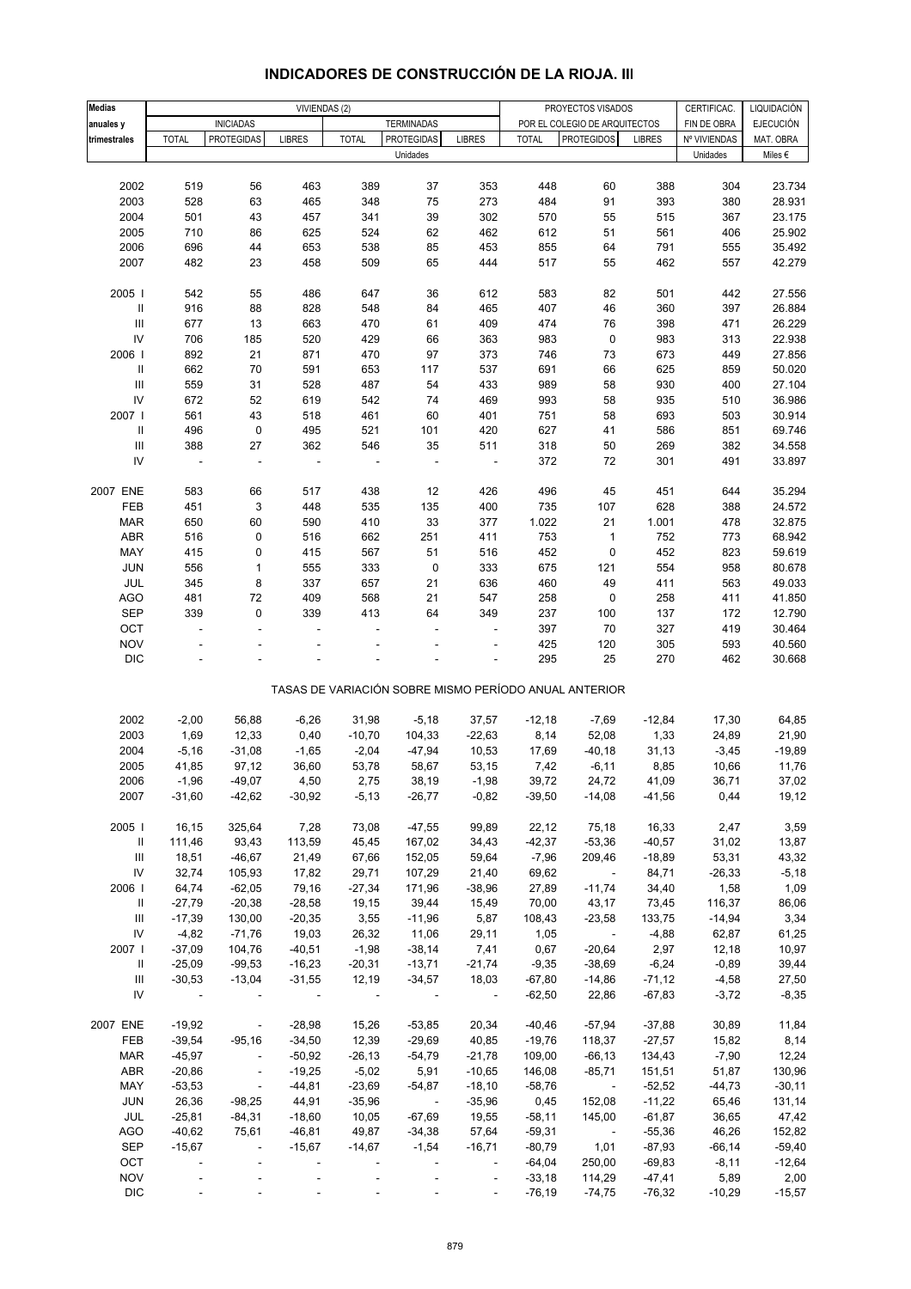| <b>Medias</b>                      |                |                          | VIVIENDAS (2)            |                          |                          |                          |              | PROYECTOS VISADOS                                     |               | CERTIFICAC.  | LIQUIDACIÓN      |
|------------------------------------|----------------|--------------------------|--------------------------|--------------------------|--------------------------|--------------------------|--------------|-------------------------------------------------------|---------------|--------------|------------------|
| anuales y                          |                | <b>INICIADAS</b>         |                          |                          | <b>TERMINADAS</b>        |                          |              | POR EL COLEGIO DE ARQUITECTOS                         |               | FIN DE OBRA  | <b>EJECUCIÓN</b> |
| trimestrales                       | <b>TOTAL</b>   | <b>PROTEGIDAS</b>        | <b>LIBRES</b>            | <b>TOTAL</b>             | PROTEGIDAS               | <b>LIBRES</b>            | <b>TOTAL</b> | <b>PROTEGIDOS</b>                                     | <b>LIBRES</b> | Nº VIVIENDAS | MAT. OBRA        |
|                                    |                |                          |                          |                          | Unidades                 |                          |              |                                                       |               | Unidades     | Miles $\epsilon$ |
|                                    |                |                          |                          |                          |                          |                          |              |                                                       |               |              |                  |
| 2002                               | 519            | 56                       | 463                      | 389                      | 37                       | 353                      | 448          | 60                                                    | 388           | 304          | 23.734           |
| 2003                               | 528            | 63                       | 465                      | 348                      | 75                       | 273                      | 484          | 91                                                    | 393           | 380          | 28.931           |
| 2004                               | 501            | 43                       | 457                      | 341                      | 39                       | 302                      | 570          | 55                                                    | 515           | 367          | 23.175           |
| 2005                               | 710            | 86                       | 625                      | 524                      | 62                       | 462                      | 612          | 51                                                    | 561           | 406          | 25.902           |
| 2006                               | 696            | 44                       | 653                      | 538                      | 85                       | 453                      | 855          | 64                                                    | 791           | 555          | 35.492           |
| 2007                               | 482            | 23                       | 458                      | 509                      | 65                       | 444                      | 517          | 55                                                    | 462           | 557          | 42.279           |
|                                    |                |                          |                          |                          |                          |                          |              |                                                       |               |              |                  |
| 2005 l                             | 542            | 55                       | 486                      | 647                      | 36                       | 612                      | 583          | 82                                                    | 501           | 442          | 27.556           |
| Ш                                  | 916            | 88                       | 828                      | 548                      | 84                       | 465                      | 407          | 46                                                    | 360           | 397          | 26.884           |
| $\ensuremath{\mathsf{III}}\xspace$ | 677            | 13                       | 663                      | 470                      | 61                       | 409                      | 474          | 76                                                    | 398           | 471          | 26.229           |
| ${\sf IV}$                         | 706            | 185                      | 520                      | 429                      | 66                       | 363                      | 983          | 0                                                     | 983           | 313          | 22.938           |
| 2006                               | 892            | 21                       | 871                      | 470                      | 97                       | 373                      | 746          | 73                                                    | 673           | 449          | 27.856           |
| Ш                                  | 662            | 70                       | 591                      | 653                      | 117                      | 537                      | 691          | 66                                                    | 625           | 859          | 50.020           |
| $\ensuremath{\mathsf{III}}\xspace$ | 559            | 31                       | 528                      | 487                      | 54                       | 433                      | 989          | 58                                                    | 930           | 400          | 27.104           |
| IV                                 | 672            | 52                       | 619                      | 542                      | 74                       | 469                      | 993          | 58                                                    | 935           | 510          | 36.986           |
| 2007                               | 561            | 43                       | 518                      | 461                      | 60                       | 401                      | 751          | 58                                                    | 693           | 503          | 30.914           |
| Ш                                  | 496            | $\pmb{0}$                | 495                      | 521                      | 101                      | 420                      | 627          | 41                                                    | 586           | 851          | 69.746           |
| $\ensuremath{\mathsf{III}}\xspace$ | 388            | 27                       | 362                      | 546                      | 35                       | 511                      | 318          | 50                                                    | 269           | 382          | 34.558           |
| IV                                 |                | ÷,                       |                          |                          |                          |                          | 372          | 72                                                    | 301           | 491          | 33.897           |
|                                    |                |                          |                          |                          |                          |                          |              |                                                       |               |              |                  |
| 2007 ENE                           | 583            | 66                       | 517                      | 438                      | 12                       | 426                      | 496          | 45                                                    | 451           | 644          | 35.294           |
| FEB                                | 451            | 3                        | 448                      | 535                      | 135                      | 400                      | 735          | 107                                                   | 628           | 388          | 24.572           |
| <b>MAR</b>                         | 650            | 60                       | 590                      | 410                      | 33                       | 377                      | 1.022        | 21                                                    | 1.001         | 478          | 32.875           |
| ABR                                | 516            |                          |                          |                          | 251                      | 411                      | 753          | $\mathbf{1}$                                          | 752           | 773          | 68.942           |
|                                    |                | 0                        | 516                      | 662                      |                          |                          |              |                                                       |               |              |                  |
| MAY                                | 415            | 0                        | 415                      | 567                      | 51                       | 516                      | 452          | $\pmb{0}$                                             | 452           | 823          | 59.619           |
| <b>JUN</b>                         | 556            | $\mathbf{1}$             | 555                      | 333                      | 0                        | 333                      | 675          | 121                                                   | 554           | 958          | 80.678           |
| JUL                                | 345            | 8                        | 337                      | 657                      | 21                       | 636                      | 460          | 49                                                    | 411           | 563          | 49.033           |
| <b>AGO</b>                         | 481            | 72                       | 409                      | 568                      | 21                       | 547                      | 258          | 0                                                     | 258           | 411          | 41.850           |
| <b>SEP</b>                         | 339            | $\pmb{0}$                | 339                      | 413                      | 64                       | 349                      | 237          | 100                                                   | 137           | 172          | 12.790           |
| OCT                                | ÷,             | ÷,                       | ÷,                       |                          |                          | ÷,                       | 397          | 70                                                    | 327           | 419          | 30.464           |
| <b>NOV</b>                         |                |                          |                          |                          |                          |                          | 425          | 120                                                   | 305           | 593          | 40.560           |
| $\mathsf{DIC}$                     |                |                          |                          |                          |                          |                          | 295          | 25                                                    | 270           | 462          | 30.668           |
|                                    |                |                          |                          |                          |                          |                          |              | TASAS DE VARIACIÓN SOBRE MISMO PERÍODO ANUAL ANTERIOR |               |              |                  |
|                                    |                |                          |                          |                          |                          |                          |              |                                                       |               |              |                  |
| 2002                               | $-2,00$        | 56,88                    | $-6,26$                  | 31,98                    | $-5,18$                  | 37,57                    | $-12,18$     | $-7,69$                                               | $-12,84$      | 17,30        | 64,85            |
| 2003                               | 1,69           | 12,33                    | 0,40                     | $-10,70$                 | 104,33                   | $-22,63$                 | 8,14         | 52,08                                                 | 1,33          | 24,89        | 21,90            |
| 2004                               | $-5,16$        | $-31,08$                 | $-1,65$                  | $-2,04$                  | $-47,94$                 | 10,53                    | 17,69        | $-40,18$                                              | 31,13         | $-3,45$      | $-19,89$         |
| 2005                               | 41,85          | 97,12                    | 36,60                    | 53,78                    | 58,67                    | 53,15                    | 7,42         | $-6,11$                                               | 8,85          | 10,66        | 11,76            |
| 2006                               | -1,96          | -49,07                   | 4,50                     | 2,75                     | 38,19                    | -1,98                    | 39,72        | 24,72                                                 | 41,09         | 36,71        | 37,02            |
| 2007                               | $-31,60$       | $-42,62$                 | $-30,92$                 | $-5,13$                  | $-26,77$                 | $-0,82$                  | $-39,50$     | $-14,08$                                              | $-41,56$      | 0,44         | 19,12            |
| 2005                               | 16,15          | 325,64                   | 7,28                     | 73,08                    | $-47,55$                 | 99,89                    | 22,12        | 75,18                                                 | 16,33         | 2,47         | 3,59             |
| $\mathbf{H}$                       | 111,46         | 93,43                    | 113,59                   | 45,45                    | 167,02                   | 34,43                    | $-42,37$     | $-53,36$                                              | $-40,57$      | 31,02        | 13,87            |
| $\ensuremath{\mathsf{III}}\xspace$ | 18,51          | $-46,67$                 | 21,49                    | 67,66                    | 152,05                   | 59,64                    | $-7,96$      | 209,46                                                | $-18,89$      | 53,31        | 43,32            |
| IV                                 | 32,74          | 105,93                   | 17,82                    | 29,71                    | 107,29                   | 21,40                    | 69,62        | $\sim$                                                | 84,71         | $-26,33$     | $-5,18$          |
| 2006                               | 64,74          | $-62,05$                 | 79,16                    | $-27,34$                 | 171,96                   | $-38,96$                 | 27,89        | $-11,74$                                              | 34,40         | 1,58         | 1,09             |
| Ш                                  | $-27,79$       | $-20,38$                 | $-28,58$                 | 19,15                    | 39,44                    | 15,49                    | 70,00        | 43,17                                                 | 73,45         | 116,37       | 86,06            |
| Ш                                  |                | 130,00                   | $-20,35$                 | 3,55                     | $-11,96$                 | 5,87                     | 108,43       | $-23,58$                                              | 133,75        | $-14,94$     | 3,34             |
| ${\sf IV}$                         | $-17,39$       |                          |                          |                          |                          |                          | 1,05         | $\sim 100$                                            |               |              |                  |
|                                    | $-4,82$        | $-71,76$<br>104,76       | 19,03                    | 26,32                    | 11,06                    | 29,11                    |              |                                                       | $-4,88$       | 62,87        | 61,25            |
| 2007                               | $-37,09$       |                          | $-40,51$                 | $-1,98$                  | $-38,14$                 | 7,41                     | 0,67         | $-20,64$                                              | 2,97          | 12,18        | 10,97            |
| Ш                                  | $-25,09$       | $-99,53$                 | $-16,23$                 | $-20,31$                 | $-13,71$                 | $-21,74$                 | $-9,35$      | $-38,69$                                              | $-6,24$       | $-0,89$      | 39,44            |
| $\ensuremath{\mathsf{III}}\xspace$ | $-30,53$       | $-13,04$                 | $-31,55$                 | 12,19                    | $-34,57$                 | 18,03                    | $-67,80$     | $-14,86$                                              | $-71,12$      | $-4,58$      | 27,50            |
| IV                                 | $\blacksquare$ |                          | $\overline{\phantom{a}}$ | $\overline{\phantom{a}}$ | $\overline{\phantom{a}}$ | $\overline{\phantom{a}}$ | $-62,50$     | 22,86                                                 | $-67,83$      | $-3,72$      | $-8,35$          |
| 2007 ENE                           | $-19,92$       | $\overline{\phantom{a}}$ | $-28,98$                 | 15,26                    | $-53,85$                 | 20,34                    | $-40,46$     | $-57,94$                                              | $-37,88$      | 30,89        | 11,84            |
| FEB                                | $-39,54$       | $-95,16$                 | $-34,50$                 | 12,39                    | $-29,69$                 | 40,85                    | $-19,76$     | 118,37                                                | $-27,57$      | 15,82        | 8,14             |
| <b>MAR</b>                         | $-45,97$       | $\overline{\phantom{a}}$ | $-50,92$                 | $-26, 13$                | $-54,79$                 | $-21,78$                 | 109,00       | $-66, 13$                                             | 134,43        | $-7,90$      | 12,24            |
| ABR                                | $-20,86$       | $\blacksquare$           | $-19,25$                 | $-5,02$                  | 5,91                     | $-10,65$                 | 146,08       | $-85,71$                                              | 151,51        | 51,87        | 130,96           |
| MAY                                | $-53,53$       | $\blacksquare$           | $-44,81$                 | $-23,69$                 | $-54,87$                 | $-18,10$                 | $-58,76$     | $\overline{\phantom{a}}$                              | $-52,52$      | $-44,73$     | $-30,11$         |
| JUN                                | 26,36          | $-98,25$                 | 44,91                    | $-35,96$                 | $\sim$                   | $-35,96$                 | 0,45         | 152,08                                                | $-11,22$      | 65,46        | 131,14           |
| JUL                                | $-25,81$       | $-84,31$                 | $-18,60$                 | 10,05                    | $-67,69$                 | 19,55                    | $-58,11$     | 145,00                                                | $-61,87$      | 36,65        | 47,42            |
| AGO                                | $-40,62$       | 75,61                    | $-46,81$                 | 49,87                    | $-34,38$                 | 57,64                    | $-59,31$     | $\sim 100$ m $^{-1}$                                  | $-55,36$      | 46,26        | 152,82           |
| <b>SEP</b>                         | $-15,67$       | $\overline{\phantom{a}}$ | $-15,67$                 | $-14,67$                 | $-1,54$                  | $-16,71$                 | $-80,79$     | 1,01                                                  | $-87,93$      | $-66, 14$    | $-59,40$         |
| OCT                                | $\blacksquare$ | $\blacksquare$           | $\overline{\phantom{a}}$ |                          |                          | $\overline{\phantom{a}}$ | $-64,04$     | 250,00                                                | $-69,83$      | $-8,11$      | $-12,64$         |
| <b>NOV</b>                         |                |                          | $\overline{\phantom{a}}$ |                          |                          | $\overline{\phantom{a}}$ | $-33,18$     | 114,29                                                | $-47,41$      | 5,89         | 2,00             |
| $\mathsf{DIC}$                     |                |                          |                          |                          |                          |                          | $-76, 19$    | $-74,75$                                              | $-76,32$      | $-10,29$     | $-15,57$         |

# **INDICADORES DE CONSTRUCCIÓN DE LA RIOJA. III**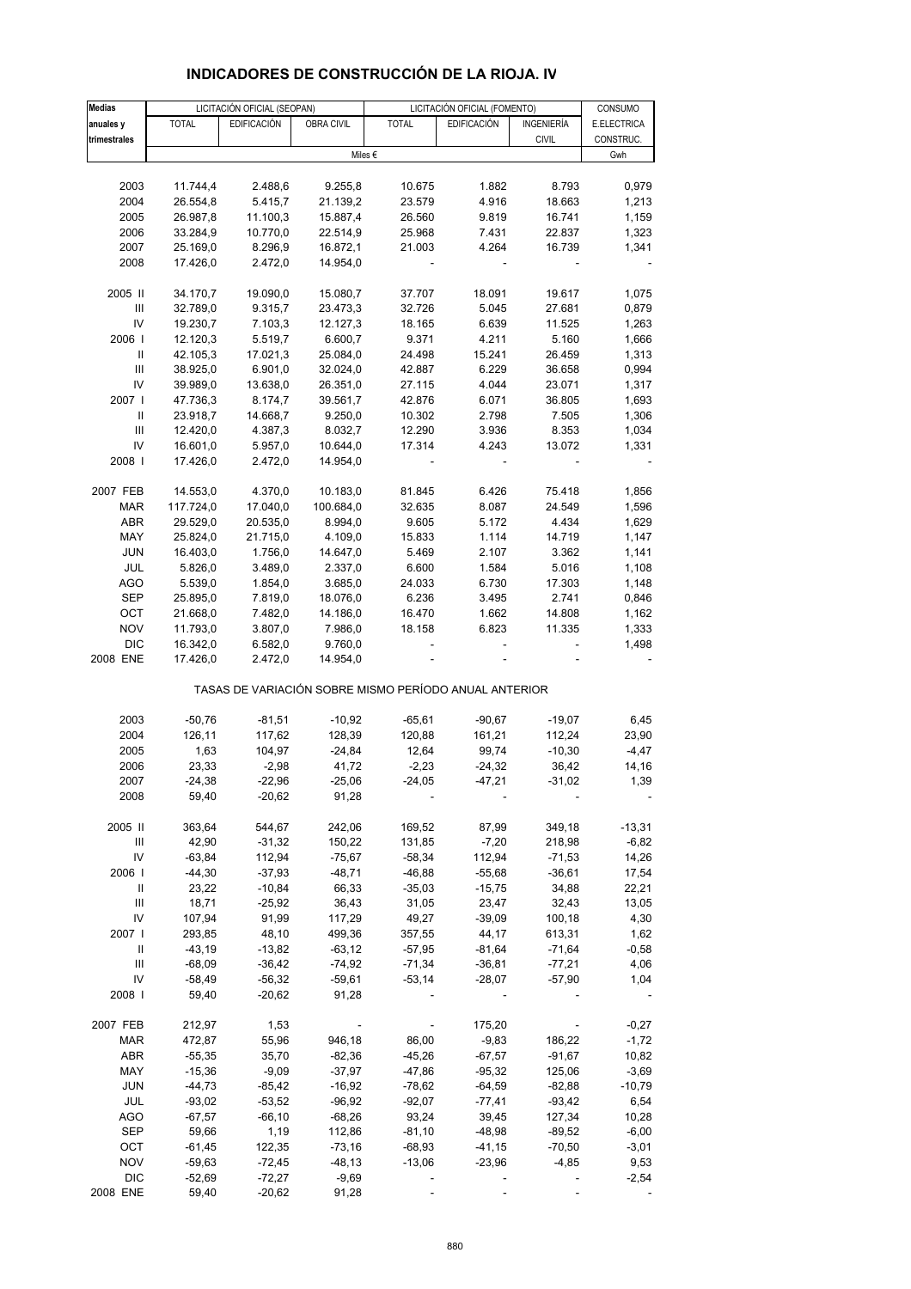| <b>Medias</b>                      |                      | LICITACIÓN OFICIAL (SEOPAN) |                      |                                                       | LICITACIÓN OFICIAL (FOMENTO) |                      | CONSUMO        |
|------------------------------------|----------------------|-----------------------------|----------------------|-------------------------------------------------------|------------------------------|----------------------|----------------|
| anuales y                          | <b>TOTAL</b>         | <b>EDIFICACIÓN</b>          | OBRA CIVIL           | <b>TOTAL</b>                                          | <b>EDIFICACIÓN</b>           | INGENIERÍA           | E.ELECTRICA    |
| trimestrales                       |                      |                             |                      |                                                       |                              | <b>CIVIL</b>         | CONSTRUC.      |
|                                    |                      |                             |                      | Miles €                                               |                              |                      | Gwh            |
|                                    |                      |                             |                      |                                                       |                              |                      |                |
| 2003                               | 11.744,4             | 2.488,6                     | 9.255,8              | 10.675                                                | 1.882                        | 8.793                | 0,979          |
| 2004                               | 26.554,8             | 5.415,7                     | 21.139,2             | 23.579                                                | 4.916                        | 18.663               | 1,213          |
| 2005                               | 26.987,8             | 11.100,3                    | 15.887,4             | 26.560                                                | 9.819                        | 16.741               | 1,159          |
| 2006                               | 33.284,9             | 10.770,0                    | 22.514,9             | 25.968                                                | 7.431                        | 22.837               | 1,323          |
| 2007                               | 25.169,0             | 8.296,9                     | 16.872,1             | 21.003                                                | 4.264                        | 16.739               | 1,341          |
| 2008                               | 17.426,0             | 2.472,0                     | 14.954,0             |                                                       |                              |                      |                |
|                                    |                      |                             |                      |                                                       |                              |                      |                |
| 2005 II                            | 34.170,7             | 19.090,0                    | 15.080,7             | 37.707                                                | 18.091                       | 19.617               | 1,075          |
| $\mathsf{III}\,$                   | 32.789,0             | 9.315,7                     | 23.473,3             | 32.726                                                | 5.045                        | 27.681               | 0,879          |
| IV                                 | 19.230,7             | 7.103,3                     | 12.127,3             | 18.165                                                | 6.639                        | 11.525               | 1,263          |
| 2006  <br>Ш                        | 12.120,3             | 5.519,7                     | 6.600,7              | 9.371                                                 | 4.211                        | 5.160                | 1,666          |
| III                                | 42.105,3             | 17.021,3                    | 25.084,0             | 24.498                                                | 15.241                       | 26.459               | 1,313          |
| IV                                 | 38.925,0             | 6.901,0                     | 32.024,0             | 42.887                                                | 6.229                        | 36.658               | 0,994<br>1,317 |
| 2007 l                             | 39.989,0<br>47.736,3 | 13.638,0<br>8.174,7         | 26.351,0<br>39.561,7 | 27.115<br>42.876                                      | 4.044<br>6.071               | 23.071<br>36.805     | 1,693          |
| Ш                                  | 23.918,7             | 14.668,7                    | 9.250,0              | 10.302                                                | 2.798                        | 7.505                | 1,306          |
| III                                | 12.420,0             | 4.387,3                     | 8.032,7              | 12.290                                                | 3.936                        | 8.353                | 1,034          |
| IV                                 | 16.601,0             | 5.957,0                     | 10.644,0             | 17.314                                                | 4.243                        | 13.072               | 1,331          |
| 2008                               | 17.426,0             | 2.472,0                     | 14.954,0             |                                                       |                              |                      |                |
|                                    |                      |                             |                      |                                                       |                              |                      |                |
| 2007 FEB                           | 14.553,0             | 4.370,0                     | 10.183,0             | 81.845                                                | 6.426                        | 75.418               | 1,856          |
| <b>MAR</b>                         | 117.724,0            | 17.040,0                    | 100.684,0            | 32.635                                                | 8.087                        | 24.549               | 1,596          |
| <b>ABR</b>                         | 29.529,0             | 20.535,0                    | 8.994,0              | 9.605                                                 | 5.172                        | 4.434                | 1,629          |
| MAY                                | 25.824,0             | 21.715,0                    | 4.109,0              | 15.833                                                | 1.114                        | 14.719               | 1,147          |
| <b>JUN</b>                         | 16.403,0             | 1.756,0                     | 14.647,0             | 5.469                                                 | 2.107                        | 3.362                | 1,141          |
| JUL                                | 5.826,0              | 3.489,0                     | 2.337,0              | 6.600                                                 | 1.584                        | 5.016                | 1,108          |
| <b>AGO</b>                         | 5.539,0              | 1.854,0                     | 3.685,0              | 24.033                                                | 6.730                        | 17.303               | 1,148          |
| <b>SEP</b>                         | 25.895,0             | 7.819,0                     | 18.076,0             | 6.236                                                 | 3.495                        | 2.741                | 0,846          |
| OCT                                | 21.668,0             | 7.482,0                     | 14.186,0             | 16.470                                                | 1.662                        | 14.808               | 1,162          |
| <b>NOV</b>                         | 11.793,0             | 3.807,0                     | 7.986,0              | 18.158                                                | 6.823                        | 11.335               | 1,333          |
| <b>DIC</b>                         | 16.342,0             | 6.582,0                     | 9.760,0              |                                                       |                              |                      | 1,498          |
| 2008 ENE                           | 17.426,0             | 2.472,0                     | 14.954,0             |                                                       |                              |                      |                |
|                                    |                      |                             |                      | TASAS DE VARIACIÓN SOBRE MISMO PERÍODO ANUAL ANTERIOR |                              |                      |                |
| 2003                               | $-50,76$             | $-81,51$                    | $-10,92$             | $-65,61$                                              | $-90,67$                     | $-19,07$             | 6,45           |
| 2004                               | 126,11               | 117,62                      | 128,39               | 120,88                                                | 161,21                       | 112,24               | 23,90          |
| 2005                               | 1,63                 | 104,97                      | $-24,84$             | 12,64                                                 | 99,74                        | $-10,30$             | $-4,47$        |
| 2006                               | 23,33                | $-2,98$                     | 41,72                | $-2,23$                                               | $-24,32$                     | 36,42                | 14,16          |
| 2007                               | $-24,38$             | $-22,96$                    | $-25,06$             | $-24,05$                                              | $-47,21$                     | $-31.02$             | 1.39           |
| 2008                               | 59,40                | $-20,62$                    | 91,28                |                                                       |                              |                      |                |
|                                    |                      |                             |                      |                                                       |                              |                      |                |
| 2005 II                            | 363,64               | 544,67                      | 242,06               | 169,52                                                | 87,99                        | 349,18               | $-13,31$       |
| Ш                                  | 42,90                | $-31,32$                    | 150,22               | 131,85                                                | $-7,20$                      | 218,98               | $-6,82$        |
| IV<br>2006                         | $-63,84$<br>$-44,30$ | 112,94<br>$-37,93$          | $-75,67$<br>$-48,71$ | $-58,34$<br>$-46,88$                                  | 112,94<br>$-55,68$           | $-71,53$<br>$-36,61$ | 14,26<br>17,54 |
| Ш                                  | 23,22                | $-10,84$                    | 66,33                | $-35,03$                                              | $-15,75$                     | 34,88                | 22,21          |
| $\ensuremath{\mathsf{III}}\xspace$ | 18,71                | $-25,92$                    | 36,43                | 31,05                                                 | 23,47                        | 32,43                | 13,05          |
| IV                                 | 107,94               | 91,99                       | 117,29               | 49,27                                                 | $-39,09$                     | 100,18               | 4,30           |
| 2007                               | 293,85               | 48,10                       | 499,36               | 357,55                                                | 44,17                        | 613,31               | 1,62           |
| Ш                                  | $-43,19$             | $-13,82$                    | $-63, 12$            | $-57,95$                                              | $-81,64$                     | $-71,64$             | $-0,58$        |
| Ш                                  | $-68,09$             | $-36,42$                    | $-74,92$             | $-71,34$                                              | $-36,81$                     | $-77,21$             | 4,06           |
| IV                                 | -58,49               | $-56,32$                    | $-59,61$             | $-53,14$                                              | $-28,07$                     | $-57,90$             | 1,04           |
| 2008                               | 59,40                | $-20,62$                    | 91,28                |                                                       |                              |                      |                |
|                                    |                      |                             |                      |                                                       |                              |                      |                |
| 2007 FEB                           | 212,97               | 1,53                        |                      |                                                       | 175,20                       |                      | $-0,27$        |
| <b>MAR</b>                         | 472,87               | 55,96                       | 946,18               | 86,00                                                 | $-9,83$                      | 186,22               | $-1,72$        |
| ABR                                | $-55,35$             | 35,70                       | $-82,36$             | $-45,26$                                              | $-67,57$                     | $-91,67$             | 10,82          |
| MAY                                | $-15,36$             | $-9,09$                     | $-37,97$             | -47,86                                                | $-95,32$                     | 125,06               | $-3,69$        |
| <b>JUN</b>                         | $-44,73$             | $-85,42$                    | $-16,92$             | $-78,62$                                              | $-64,59$                     | $-82,88$             | $-10,79$       |
| JUL                                | $-93,02$             | $-53,52$                    | $-96,92$             | $-92,07$                                              | $-77,41$                     | $-93,42$             | 6,54           |
| <b>AGO</b>                         | $-67,57$             | $-66, 10$                   | $-68,26$             | 93,24                                                 | 39,45                        | 127,34               | 10,28          |
| SEP                                | 59,66                | 1,19                        | 112,86               | $-81,10$                                              | $-48,98$                     | $-89,52$             | $-6,00$        |
| OCT                                | $-61,45$             | 122,35                      | $-73,16$             | $-68,93$                                              | $-41,15$                     | $-70,50$             | $-3,01$        |
| <b>NOV</b>                         | $-59,63$             | $-72,45$                    | $-48,13$             | $-13,06$                                              | $-23,96$                     | $-4,85$              | 9,53           |
| <b>DIC</b>                         | $-52,69$             | $-72,27$                    | $-9,69$              |                                                       |                              |                      | $-2,54$        |
| 2008 ENE                           | 59,40                | $-20,62$                    | 91,28                |                                                       |                              |                      |                |

## **INDICADORES DE CONSTRUCCIÓN DE LA RIOJA. IV**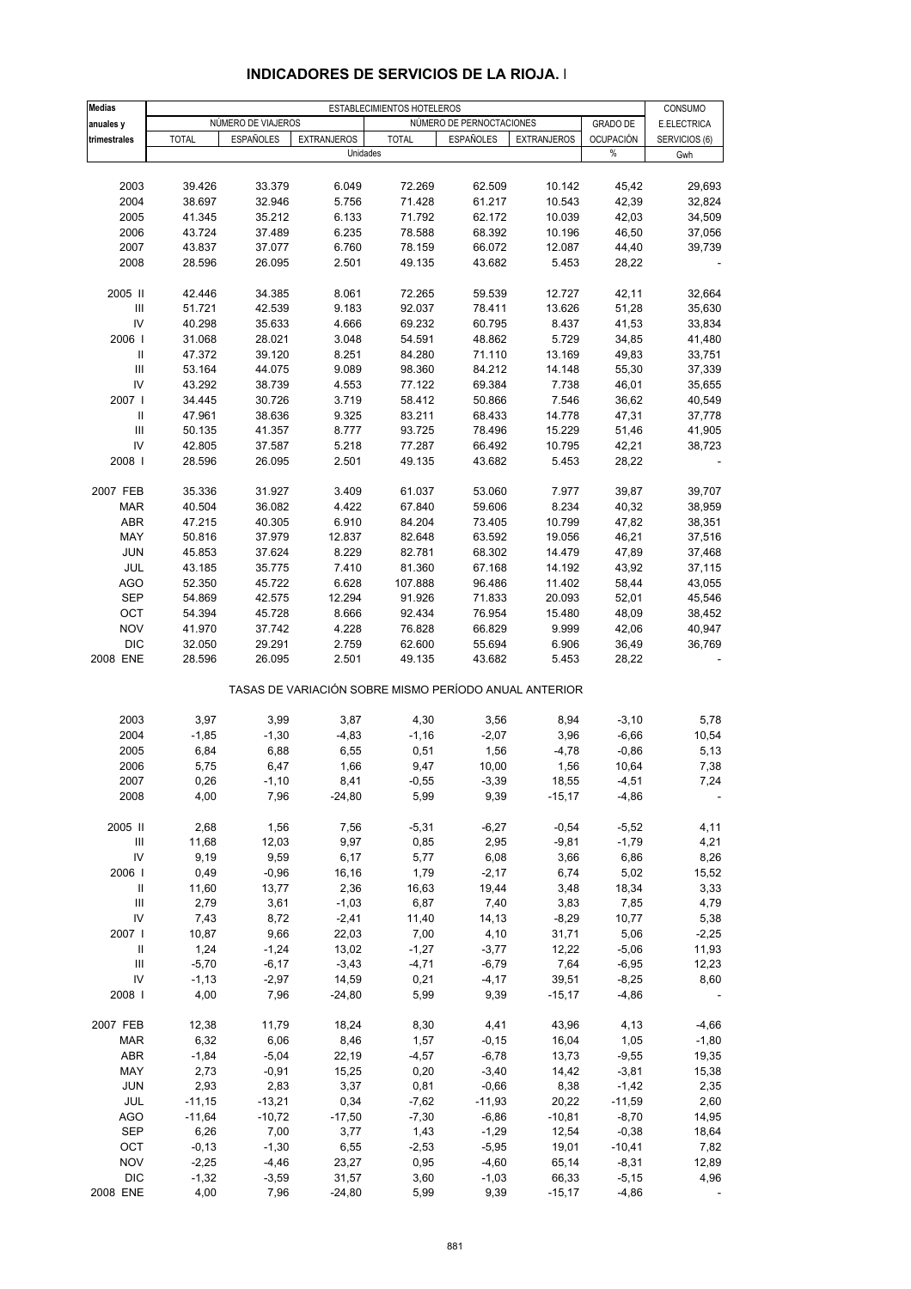| Medias                             |              |                    |                    | ESTABLECIMIENTOS HOTELEROS                            |                          |                    |                          | CONSUMO       |
|------------------------------------|--------------|--------------------|--------------------|-------------------------------------------------------|--------------------------|--------------------|--------------------------|---------------|
| anuales y                          |              | NÚMERO DE VIAJEROS |                    |                                                       | NÚMERO DE PERNOCTACIONES |                    | <b>GRADO DE</b>          | E.ELECTRICA   |
| trimestrales                       | <b>TOTAL</b> | <b>ESPAÑOLES</b>   | <b>EXTRANJEROS</b> | <b>TOTAL</b>                                          | <b>ESPAÑOLES</b>         | <b>EXTRANJEROS</b> | <b>OCUPACIÓN</b><br>$\%$ | SERVICIOS (6) |
|                                    |              |                    |                    | Unidades                                              |                          |                    |                          | Gwh           |
| 2003                               | 39.426       | 33.379             | 6.049              | 72.269                                                | 62.509                   | 10.142             | 45,42                    | 29,693        |
| 2004                               | 38.697       | 32.946             | 5.756              | 71.428                                                | 61.217                   | 10.543             | 42,39                    | 32,824        |
|                                    |              |                    |                    |                                                       |                          |                    |                          |               |
| 2005                               | 41.345       | 35.212             | 6.133              | 71.792                                                | 62.172                   | 10.039             | 42,03                    | 34,509        |
| 2006                               | 43.724       | 37.489             | 6.235              | 78.588                                                | 68.392                   | 10.196             | 46,50                    | 37,056        |
| 2007                               | 43.837       | 37.077             | 6.760              | 78.159                                                | 66.072                   | 12.087             | 44,40                    | 39,739        |
| 2008                               | 28.596       | 26.095             | 2.501              | 49.135                                                | 43.682                   | 5.453              | 28,22                    |               |
| 2005 II                            |              | 34.385             | 8.061              | 72.265                                                |                          | 12.727             | 42,11                    | 32,664        |
|                                    | 42.446       |                    |                    |                                                       | 59.539                   |                    |                          |               |
| $\ensuremath{\mathsf{III}}\xspace$ | 51.721       | 42.539             | 9.183              | 92.037                                                | 78.411                   | 13.626             | 51,28                    | 35,630        |
| IV                                 | 40.298       | 35.633             | 4.666              | 69.232                                                | 60.795                   | 8.437              | 41,53                    | 33,834        |
| 2006                               | 31.068       | 28.021             | 3.048              | 54.591                                                | 48.862                   | 5.729              | 34,85                    | 41,480        |
| $\, \parallel$                     | 47.372       | 39.120             | 8.251              | 84.280                                                | 71.110                   | 13.169             | 49,83                    | 33,751        |
| $\ensuremath{\mathsf{III}}\xspace$ | 53.164       | 44.075             | 9.089              | 98.360                                                | 84.212                   | 14.148             | 55,30                    | 37,339        |
| IV                                 | 43.292       | 38.739             | 4.553              | 77.122                                                | 69.384                   | 7.738              | 46,01                    | 35,655        |
| 2007                               | 34.445       | 30.726             | 3.719              | 58.412                                                | 50.866                   | 7.546              | 36,62                    | 40,549        |
| $\, \parallel$                     |              |                    |                    |                                                       |                          |                    |                          |               |
|                                    | 47.961       | 38.636             | 9.325              | 83.211                                                | 68.433                   | 14.778             | 47,31                    | 37,778        |
| III                                | 50.135       | 41.357             | 8.777              | 93.725                                                | 78.496                   | 15.229             | 51,46                    | 41,905        |
| IV                                 | 42.805       | 37.587             | 5.218              | 77.287                                                | 66.492                   | 10.795             | 42,21                    | 38,723        |
| 2008                               | 28.596       | 26.095             | 2.501              | 49.135                                                | 43.682                   | 5.453              | 28,22                    |               |
| 2007 FEB                           | 35.336       | 31.927             | 3.409              | 61.037                                                | 53.060                   | 7.977              | 39,87                    | 39,707        |
|                                    |              |                    |                    |                                                       |                          |                    |                          |               |
| <b>MAR</b>                         | 40.504       | 36.082             | 4.422              | 67.840                                                | 59.606                   | 8.234              | 40,32                    | 38,959        |
| ABR                                | 47.215       | 40.305             | 6.910              | 84.204                                                | 73.405                   | 10.799             | 47,82                    | 38,351        |
| MAY                                | 50.816       | 37.979             | 12.837             | 82.648                                                | 63.592                   | 19.056             | 46,21                    | 37,516        |
| <b>JUN</b>                         | 45.853       | 37.624             | 8.229              | 82.781                                                | 68.302                   | 14.479             | 47,89                    | 37,468        |
| JUL                                | 43.185       | 35.775             | 7.410              | 81.360                                                | 67.168                   | 14.192             | 43,92                    | 37,115        |
| <b>AGO</b>                         | 52.350       | 45.722             | 6.628              | 107.888                                               | 96.486                   | 11.402             | 58,44                    | 43,055        |
| <b>SEP</b>                         |              |                    |                    |                                                       |                          |                    |                          |               |
|                                    | 54.869       | 42.575             | 12.294             | 91.926                                                | 71.833                   | 20.093             | 52,01                    | 45,546        |
| OCT                                | 54.394       | 45.728             | 8.666              | 92.434                                                | 76.954                   | 15.480             | 48,09                    | 38,452        |
| <b>NOV</b>                         | 41.970       | 37.742             | 4.228              | 76.828                                                | 66.829                   | 9.999              | 42,06                    | 40,947        |
| <b>DIC</b>                         | 32.050       | 29.291             | 2.759              | 62.600                                                | 55.694                   | 6.906              | 36,49                    | 36,769        |
| 2008 ENE                           | 28.596       | 26.095             | 2.501              | 49.135                                                | 43.682                   | 5.453              | 28,22                    |               |
|                                    |              |                    |                    | TASAS DE VARIACIÓN SOBRE MISMO PERÍODO ANUAL ANTERIOR |                          |                    |                          |               |
| 2003                               | 3,97         | 3,99               | 3,87               | 4,30                                                  | 3,56                     | 8,94               | $-3,10$                  | 5,78          |
|                                    |              |                    |                    |                                                       |                          |                    |                          |               |
| 2004                               | $-1,85$      | $-1,30$            | $-4,83$            | $-1,16$                                               | $-2,07$                  | 3,96               | $-6,66$                  | 10,54         |
| 2005                               | 6,84         | 6,88               | 6,55               | 0,51                                                  | 1,56                     | $-4,78$            | $-0,86$                  | 5,13          |
| 2006                               | 5,75         | 6,47               | 1,66               | 9,47                                                  | 10,00                    | 1,56               | 10,64                    | 7,38          |
| 2007                               | 0,26         | $-1,10$            | 8,41               | $-0,55$                                               | $-3,39$                  | 18,55              | $-4,51$                  | 7,24          |
| 2008                               | 4,00         | 7,96               | $-24,80$           | 5,99                                                  | 9,39                     | $-15,17$           | $-4,86$                  |               |
|                                    |              |                    |                    |                                                       |                          |                    |                          |               |
| 2005 II                            | 2,68         | 1,56               | 7,56               | $-5,31$                                               | $-6,27$                  | $-0,54$            | $-5,52$                  | 4,11          |
| $\ensuremath{\mathsf{III}}\xspace$ | 11,68        | 12,03              | 9,97               | 0,85                                                  | 2,95                     | $-9,81$            | $-1,79$                  | 4,21          |
| IV                                 | 9,19         | 9,59               | 6,17               | 5,77                                                  | 6,08                     | 3,66               | 6,86                     | 8,26          |
| 2006                               | 0,49         | $-0,96$            | 16,16              | 1,79                                                  | $-2,17$                  | 6,74               | 5,02                     | 15,52         |
| $\mathbf{II}$                      | 11,60        | 13,77              | 2,36               | 16,63                                                 | 19,44                    | 3,48               | 18,34                    | 3,33          |
| $\ensuremath{\mathsf{III}}\xspace$ | 2,79         | 3,61               | $-1,03$            | 6,87                                                  | 7,40                     | 3,83               | 7,85                     | 4,79          |
| IV                                 | 7,43         | 8,72               | $-2,41$            | 11,40                                                 | 14,13                    | $-8,29$            | 10,77                    | 5,38          |
|                                    |              |                    |                    |                                                       |                          |                    |                          |               |
| 2007                               | 10,87        | 9,66               | 22,03              | 7,00                                                  | 4,10                     | 31,71              | 5,06                     | $-2,25$       |
| Ш                                  | 1,24         | $-1,24$            | 13,02              | $-1,27$                                               | $-3,77$                  | 12,22              | $-5,06$                  | 11,93         |
| $\ensuremath{\mathsf{III}}\xspace$ | $-5,70$      | $-6,17$            | $-3,43$            | $-4,71$                                               | $-6,79$                  | 7,64               | $-6,95$                  | 12,23         |
| IV                                 | $-1,13$      | $-2,97$            | 14,59              | 0,21                                                  | $-4,17$                  | 39,51              | $-8,25$                  | 8,60          |
| 2008                               | 4,00         | 7,96               | $-24,80$           | 5,99                                                  | 9,39                     | $-15,17$           | $-4,86$                  |               |
|                                    |              |                    |                    |                                                       |                          |                    |                          |               |
| 2007 FEB                           | 12,38        | 11,79              | 18,24              | 8,30                                                  | 4,41                     | 43,96              | 4,13                     | $-4,66$       |
| <b>MAR</b>                         | 6,32         | 6,06               | 8,46               | 1,57                                                  | $-0,15$                  | 16,04              | 1,05                     | $-1,80$       |
| ABR                                | $-1,84$      | $-5,04$            | 22,19              | $-4,57$                                               | $-6,78$                  | 13,73              | $-9,55$                  | 19,35         |
| MAY                                | 2,73         | $-0,91$            | 15,25              | 0,20                                                  | $-3,40$                  | 14,42              | $-3,81$                  | 15,38         |
| <b>JUN</b>                         | 2,93         | 2,83               | 3,37               | 0,81                                                  | $-0,66$                  | 8,38               | $-1,42$                  | 2,35          |
| JUL                                | $-11,15$     | $-13,21$           | 0,34               | $-7,62$                                               | $-11,93$                 | 20,22              | $-11,59$                 | 2,60          |
|                                    |              |                    |                    |                                                       |                          |                    |                          |               |
| <b>AGO</b>                         | $-11,64$     | $-10,72$           | $-17,50$           | $-7,30$                                               | $-6,86$                  | $-10,81$           | $-8,70$                  | 14,95         |
| SEP                                | 6,26         | 7,00               | 3,77               | 1,43                                                  | $-1,29$                  | 12,54              | $-0,38$                  | 18,64         |
| OCT                                | $-0,13$      | $-1,30$            | 6,55               | $-2,53$                                               | $-5,95$                  | 19,01              | $-10,41$                 | 7,82          |
| <b>NOV</b>                         | $-2,25$      | $-4,46$            | 23,27              | 0,95                                                  | $-4,60$                  | 65,14              | $-8,31$                  | 12,89         |
| <b>DIC</b>                         | $-1,32$      | $-3,59$            | 31,57              | 3,60                                                  | $-1,03$                  | 66,33              | $-5,15$                  | 4,96          |
| 2008 ENE                           | 4,00         | 7,96               | $-24,80$           | 5,99                                                  | 9,39                     | $-15,17$           | $-4,86$                  |               |

### **INDICADORES DE SERVICIOS DE LA RIOJA. I**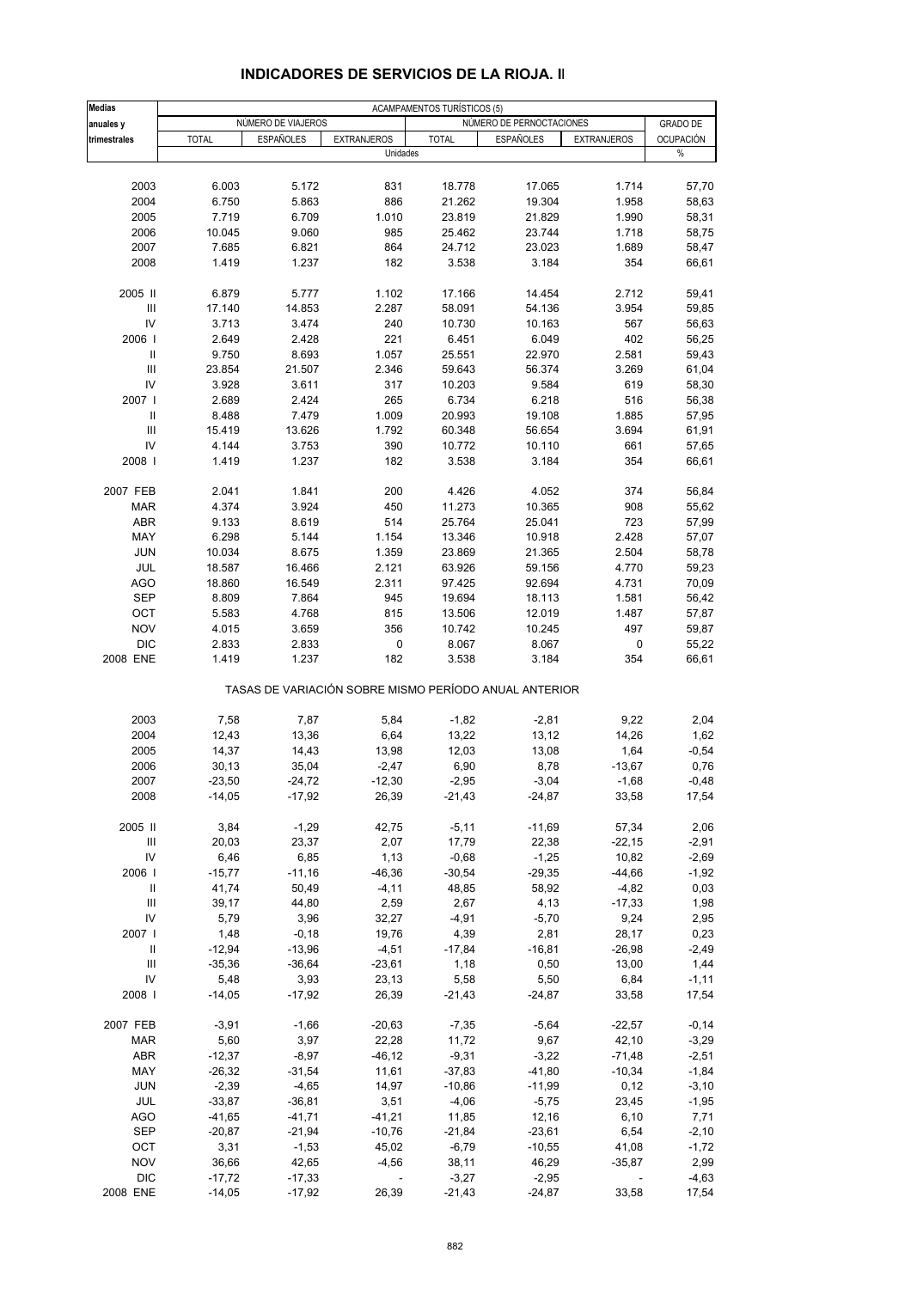| <b>Medias</b>              |              | NÚMERO DE VIAJEROS   |                                                       | ACAMPAMENTOS TURÍSTICOS (5) |                          |                    |                  |
|----------------------------|--------------|----------------------|-------------------------------------------------------|-----------------------------|--------------------------|--------------------|------------------|
| anuales y                  |              |                      |                                                       |                             | NÚMERO DE PERNOCTACIONES |                    | <b>GRADO DE</b>  |
| trimestrales               | <b>TOTAL</b> | <b>ESPAÑOLES</b>     | <b>EXTRANJEROS</b><br>Unidades                        | <b>TOTAL</b>                | <b>ESPAÑOLES</b>         | <b>EXTRANJEROS</b> | OCUPACIÓN<br>%   |
|                            |              |                      |                                                       |                             |                          |                    |                  |
| 2003                       | 6.003        | 5.172                | 831                                                   | 18.778                      | 17.065                   | 1.714              | 57,70            |
| 2004                       | 6.750        | 5.863                | 886                                                   | 21.262                      | 19.304                   | 1.958              | 58,63            |
| 2005                       | 7.719        | 6.709                | 1.010                                                 | 23.819                      | 21.829                   | 1.990              | 58,31            |
| 2006                       | 10.045       | 9.060                | 985                                                   | 25.462                      | 23.744                   | 1.718              | 58,75            |
| 2007                       | 7.685        | 6.821                | 864                                                   | 24.712                      | 23.023                   | 1.689              | 58,47            |
| 2008                       | 1.419        | 1.237                | 182                                                   | 3.538                       | 3.184                    | 354                | 66,61            |
| 2005 II                    | 6.879        | 5.777                | 1.102                                                 | 17.166                      | 14.454                   | 2.712              | 59,41            |
| Ш                          | 17.140       | 14.853               | 2.287                                                 | 58.091                      | 54.136                   | 3.954              | 59,85            |
| IV                         | 3.713        | 3.474                | 240                                                   | 10.730                      | 10.163                   | 567                | 56,63            |
| 2006                       | 2.649        | 2.428                | 221                                                   | 6.451                       | 6.049                    | 402                | 56,25            |
| Ш                          | 9.750        | 8.693                | 1.057                                                 | 25.551                      | 22.970                   | 2.581              |                  |
|                            |              |                      |                                                       |                             |                          |                    | 59,43            |
| $\mathbf{III}$             | 23.854       | 21.507               | 2.346                                                 | 59.643                      | 56.374                   | 3.269              | 61,04            |
| IV                         | 3.928        | 3.611                | 317                                                   | 10.203                      | 9.584                    | 619                | 58,30            |
| 2007 l                     | 2.689        | 2.424                | 265                                                   | 6.734                       | 6.218                    | 516                | 56,38            |
| $\ensuremath{\mathsf{II}}$ | 8.488        | 7.479                | 1.009                                                 | 20.993                      | 19.108                   | 1.885              | 57,95            |
| $\mathbf{III}$             | 15.419       | 13.626               | 1.792                                                 | 60.348                      | 56.654                   | 3.694              | 61,91            |
| IV                         | 4.144        | 3.753                | 390                                                   | 10.772                      | 10.110                   | 661                | 57,65            |
| 2008 l                     | 1.419        | 1.237                | 182                                                   | 3.538                       | 3.184                    | 354                | 66,61            |
| 2007 FEB                   | 2.041        | 1.841                | 200                                                   | 4.426                       | 4.052                    | 374                | 56,84            |
| <b>MAR</b>                 | 4.374        | 3.924                | 450                                                   | 11.273                      | 10.365                   | 908                | 55,62            |
|                            |              |                      |                                                       |                             |                          |                    |                  |
| <b>ABR</b>                 | 9.133        | 8.619                | 514                                                   | 25.764                      | 25.041                   | 723                | 57,99            |
| MAY                        | 6.298        | 5.144                | 1.154                                                 | 13.346                      | 10.918                   | 2.428              | 57,07            |
| <b>JUN</b>                 | 10.034       | 8.675                | 1.359                                                 | 23.869                      | 21.365                   | 2.504              | 58,78            |
| JUL                        | 18.587       | 16.466               | 2.121                                                 | 63.926                      | 59.156                   | 4.770              | 59,23            |
| <b>AGO</b>                 | 18.860       | 16.549               | 2.311                                                 | 97.425                      | 92.694                   | 4.731              | 70,09            |
| <b>SEP</b>                 | 8.809        | 7.864                | 945                                                   | 19.694                      | 18.113                   | 1.581              | 56,42            |
| OCT                        | 5.583        | 4.768                | 815                                                   | 13.506                      | 12.019                   | 1.487              | 57,87            |
| <b>NOV</b>                 | 4.015        | 3.659                | 356                                                   | 10.742                      | 10.245                   | 497                | 59,87            |
| <b>DIC</b>                 | 2.833        | 2.833                | 0                                                     | 8.067                       | 8.067                    | 0                  | 55,22            |
| 2008 ENE                   | 1.419        | 1.237                | 182                                                   | 3.538                       | 3.184                    | 354                | 66,61            |
|                            |              |                      | TASAS DE VARIACIÓN SOBRE MISMO PERÍODO ANUAL ANTERIOR |                             |                          |                    |                  |
| 2003                       | 7,58         | 7,87                 | 5,84                                                  | $-1,82$                     | $-2,81$                  | 9,22               | 2,04             |
| 2004                       | 12,43        | 13,36                | 6,64                                                  | 13,22                       | 13,12                    | 14,26              | 1,62             |
| 2005                       | 14,37        | 14,43                | 13,98                                                 | 12,03                       | 13,08                    | 1,64               | $-0,54$          |
| 2006                       | 30,13        | 35,04                | $-2,47$                                               | 6,90                        | 8,78                     | $-13,67$           | 0,76             |
|                            | $-23,50$     |                      |                                                       |                             | $-3,04$                  |                    |                  |
| 2007<br>2008               | $-14,05$     | $-24,72$<br>$-17,92$ | $-12,30$<br>26,39                                     | $-2,95$<br>-21,43           | -24,87                   | $-1,68$<br>33,58   | $-0,48$<br>17,54 |
|                            |              |                      |                                                       |                             |                          |                    |                  |
| 2005 II                    | 3,84         | $-1,29$<br>23,37     | 42,75                                                 | $-5,11$                     | $-11,69$                 | 57,34              | 2,06             |
| Ш                          | 20,03        |                      | 2,07                                                  | 17,79                       | 22,38                    | $-22,15$           | $-2,91$          |
| IV                         | 6,46         | 6,85                 | 1,13                                                  | $-0,68$                     | $-1,25$                  | 10,82              | $-2,69$          |
| 2006                       | $-15,77$     | $-11,16$             | $-46,36$                                              | $-30,54$                    | $-29,35$                 | $-44,66$           | $-1,92$          |
| Ш                          | 41,74        | 50,49                | $-4, 11$                                              | 48,85                       | 58,92                    | $-4,82$            | 0,03             |
| Ш                          | 39,17        | 44,80                | 2,59                                                  | 2,67                        | 4,13                     | $-17,33$           | 1,98             |
| IV                         | 5,79         | 3,96                 | 32,27                                                 | $-4,91$                     | $-5,70$                  | 9,24               | 2,95             |
| 2007 l                     | 1,48         | $-0,18$              | 19,76                                                 | 4,39                        | 2,81                     | 28,17              | 0,23             |
| Ш                          | $-12,94$     | $-13,96$             | $-4,51$                                               | $-17,84$                    | $-16,81$                 | $-26,98$           | $-2,49$          |
| Ш                          | $-35,36$     | $-36,64$             | $-23,61$                                              | 1,18                        | 0,50                     | 13,00              | 1,44             |
| ${\sf IV}$                 | 5,48         | 3,93                 | 23,13                                                 | 5,58                        | 5,50                     | 6,84               | $-1,11$          |
| 2008                       | $-14,05$     | $-17,92$             | 26,39                                                 | $-21,43$                    | $-24,87$                 | 33,58              | 17,54            |
|                            |              |                      |                                                       |                             |                          |                    |                  |
| 2007 FEB                   | $-3,91$      | $-1,66$              | $-20,63$                                              | $-7,35$                     | $-5,64$                  | $-22,57$           | $-0,14$          |
| <b>MAR</b>                 | 5,60         | 3,97                 | 22,28                                                 | 11,72                       | 9,67                     | 42,10              | $-3,29$          |
| ABR                        | $-12,37$     | $-8,97$              | $-46, 12$                                             | $-9,31$                     | $-3,22$                  | $-71,48$           | $-2,51$          |
| MAY                        | $-26,32$     | $-31,54$             | 11,61                                                 | $-37,83$                    | $-41,80$                 | $-10,34$           | $-1,84$          |
| <b>JUN</b>                 | $-2,39$      | $-4,65$              | 14,97                                                 | $-10,86$                    | $-11,99$                 | 0,12               | $-3,10$          |
| JUL                        | $-33,87$     | $-36,81$             | 3,51                                                  | $-4,06$                     | $-5,75$                  | 23,45              | $-1,95$          |
| AGO                        | $-41,65$     | $-41,71$             | $-41,21$                                              | 11,85                       | 12,16                    | 6, 10              | 7,71             |
| <b>SEP</b>                 | $-20,87$     | $-21,94$             | $-10,76$                                              | $-21,84$                    | $-23,61$                 | 6,54               | $-2,10$          |
| OCT                        | 3,31         | $-1,53$              | 45,02                                                 | $-6,79$                     | $-10,55$                 | 41,08              | $-1,72$          |
|                            |              |                      |                                                       |                             |                          |                    |                  |
| <b>NOV</b>                 | 36,66        | 42,65                | $-4,56$                                               | 38,11                       | 46,29                    | $-35,87$           | 2,99             |
| <b>DIC</b>                 | $-17,72$     | $-17,33$             | $\overline{\phantom{a}}$                              | $-3,27$                     | $-2,95$                  |                    | $-4,63$          |
| 2008 ENE                   | $-14,05$     | $-17,92$             | 26,39                                                 | $-21,43$                    | $-24,87$                 | 33,58              | 17,54            |

### **INDICADORES DE SERVICIOS DE LA RIOJA. II**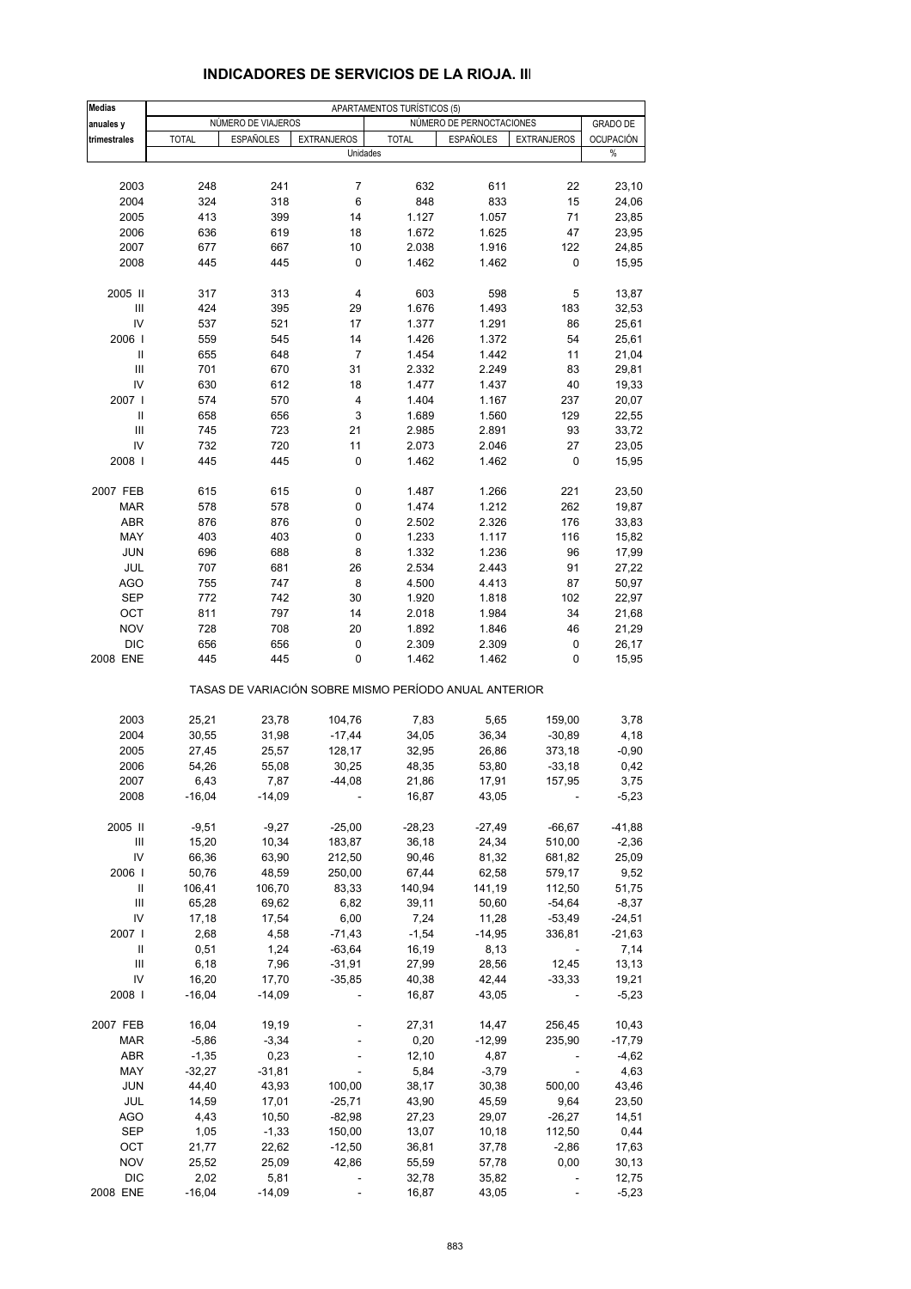| <b>Medias</b> |              |                    |                                | APARTAMENTOS TURÍSTICOS (5) |                                                       |                          |                       |
|---------------|--------------|--------------------|--------------------------------|-----------------------------|-------------------------------------------------------|--------------------------|-----------------------|
| anuales y     |              | NÚMERO DE VIAJEROS |                                |                             | NÚMERO DE PERNOCTACIONES                              |                          | <b>GRADO DE</b>       |
| trimestrales  | <b>TOTAL</b> | <b>ESPAÑOLES</b>   | <b>EXTRANJEROS</b><br>Unidades | <b>TOTAL</b>                | <b>ESPAÑOLES</b>                                      | <b>EXTRANJEROS</b>       | <b>OCUPACIÓN</b><br>% |
|               |              |                    |                                |                             |                                                       |                          |                       |
| 2003          | 248          | 241                | 7                              | 632                         | 611                                                   | 22                       | 23,10                 |
| 2004          | 324          | 318                | 6                              | 848                         | 833                                                   | 15                       |                       |
|               |              |                    |                                |                             |                                                       |                          | 24,06                 |
| 2005          | 413          | 399                | 14                             | 1.127                       | 1.057                                                 | 71                       | 23,85                 |
| 2006          | 636          | 619                | 18                             | 1.672                       | 1.625                                                 | 47                       | 23,95                 |
| 2007          | 677          | 667                | 10                             | 2.038                       | 1.916                                                 | 122                      | 24,85                 |
| 2008          | 445          | 445                | 0                              | 1.462                       | 1.462                                                 | 0                        | 15,95                 |
| 2005 II       | 317          | 313                | 4                              | 603                         | 598                                                   | 5                        | 13,87                 |
| Ш             | 424          | 395                | 29                             | 1.676                       | 1.493                                                 | 183                      | 32,53                 |
| IV            | 537          | 521                | 17                             | 1.377                       | 1.291                                                 | 86                       | 25,61                 |
| 2006          | 559          | 545                | 14                             | 1.426                       | 1.372                                                 | 54                       | 25,61                 |
| Ш             | 655          | 648                | 7                              | 1.454                       | 1.442                                                 | 11                       | 21,04                 |
| III           | 701          | 670                | 31                             | 2.332                       | 2.249                                                 | 83                       | 29,81                 |
| IV            | 630          | 612                | 18                             | 1.477                       | 1.437                                                 | 40                       | 19,33                 |
| 2007 l        | 574          | 570                | 4                              | 1.404                       | 1.167                                                 | 237                      | 20,07                 |
| $\mathbf{I}$  | 658          | 656                | 3                              | 1.689                       | 1.560                                                 | 129                      | 22,55                 |
| III           | 745          | 723                | 21                             | 2.985                       | 2.891                                                 | 93                       | 33,72                 |
| IV            | 732          | 720                | 11                             | 2.073                       | 2.046                                                 | 27                       | 23,05                 |
| 2008          | 445          | 445                | 0                              | 1.462                       | 1.462                                                 | 0                        | 15,95                 |
|               |              |                    |                                |                             |                                                       |                          |                       |
| 2007 FEB      | 615          | 615                | 0                              | 1.487                       | 1.266                                                 | 221                      | 23,50                 |
| <b>MAR</b>    | 578          | 578                | 0                              | 1.474                       | 1.212                                                 | 262                      | 19,87                 |
| <b>ABR</b>    | 876          | 876                | 0                              | 2.502                       | 2.326                                                 | 176                      | 33,83                 |
| MAY           | 403          | 403                | 0                              | 1.233                       | 1.117                                                 | 116                      | 15,82                 |
| <b>JUN</b>    | 696          | 688                | 8                              | 1.332                       | 1.236                                                 | 96                       | 17,99                 |
| JUL           | 707          | 681                | 26                             | 2.534                       | 2.443                                                 | 91                       | 27,22                 |
| <b>AGO</b>    | 755          | 747                | 8                              | 4.500                       | 4.413                                                 | 87                       | 50,97                 |
| <b>SEP</b>    | 772          | 742                | 30                             | 1.920                       | 1.818                                                 | 102                      | 22,97                 |
| OCT           | 811          | 797                | 14                             | 2.018                       | 1.984                                                 | 34                       | 21,68                 |
| <b>NOV</b>    | 728          | 708                | 20                             | 1.892                       | 1.846                                                 | 46                       | 21,29                 |
| <b>DIC</b>    | 656          | 656                | 0                              | 2.309                       | 2.309                                                 | 0                        | 26,17                 |
| 2008 ENE      | 445          | 445                | 0                              | 1.462                       | 1.462                                                 | 0                        | 15,95                 |
|               |              |                    |                                |                             | TASAS DE VARIACIÓN SOBRE MISMO PERÍODO ANUAL ANTERIOR |                          |                       |
| 2003          | 25,21        | 23,78              | 104,76                         | 7,83                        | 5,65                                                  | 159,00                   | 3,78                  |
| 2004          | 30,55        | 31,98              | $-17,44$                       | 34,05                       | 36,34                                                 | $-30,89$                 | 4,18                  |
| 2005          | 27,45        | 25,57              | 128,17                         | 32,95                       | 26,86                                                 | 373,18                   | $-0,90$               |
| 2006          | 54,26        | 55,08              | 30,25                          | 48,35                       | 53,80                                                 | $-33,18$                 | 0,42                  |
| 2007          | 6,43         | 7,87               | $-44,08$                       | 21,86                       | 17,91                                                 | 157,95                   | 3,75                  |
| 2008          | $-16,04$     | $-14,09$           |                                | 16,87                       | 43,05                                                 |                          | $-5,23$               |
| 2005 II       |              |                    |                                |                             |                                                       |                          |                       |
|               | $-9,51$      | $-9,27$            | $-25,00$                       | $-28,23$                    | $-27,49$                                              | $-66,67$                 | $-41,88$              |
| Ш             | 15,20        | 10,34              | 183,87                         | 36,18                       | 24,34                                                 | 510,00                   | $-2,36$               |
| IV            | 66,36        | 63,90              | 212,50                         | 90,46                       | 81,32                                                 | 681,82                   | 25,09                 |
| 2006          | 50,76        | 48,59              | 250,00                         | 67,44                       | 62,58                                                 | 579,17                   | 9,52                  |
| Ш             | 106,41       | 106,70             | 83,33                          | 140,94                      | 141,19                                                | 112,50                   | 51,75                 |
| Ш             | 65,28        | 69,62              | 6,82                           | 39,11                       | 50,60                                                 | $-54,64$                 | $-8,37$               |
| IV            | 17,18        | 17,54              | 6,00                           | 7,24                        | 11,28                                                 | $-53,49$                 | $-24,51$              |
| 2007 l        | 2,68         | 4,58               | $-71,43$                       | $-1,54$                     | $-14,95$                                              | 336,81                   | $-21,63$              |
| Ш             | 0,51         | 1,24               | $-63,64$                       | 16,19                       | 8,13                                                  | $\overline{\phantom{a}}$ | 7,14                  |
| Ш             | 6,18         | 7,96               | $-31,91$                       | 27,99                       | 28,56                                                 | 12,45                    | 13,13                 |
| IV            | 16,20        | 17,70              | $-35,85$                       | 40,38                       | 42,44                                                 | $-33,33$                 | 19,21                 |
| 2008          | $-16,04$     | $-14,09$           | $\blacksquare$                 | 16,87                       | 43,05                                                 |                          | $-5,23$               |
| 2007 FEB      | 16,04        | 19,19              |                                | 27,31                       | 14,47                                                 | 256,45                   | 10,43                 |
| MAR           | $-5,86$      | $-3,34$            |                                | 0,20                        | $-12,99$                                              | 235,90                   | $-17,79$              |
| <b>ABR</b>    | $-1,35$      | 0,23               |                                | 12,10                       | 4,87                                                  |                          | $-4,62$               |
| MAY           | $-32,27$     | $-31,81$           |                                | 5,84                        | $-3,79$                                               |                          | 4,63                  |
| <b>JUN</b>    | 44,40        | 43,93              | 100,00                         | 38,17                       | 30,38                                                 | 500,00                   | 43,46                 |
| JUL           | 14,59        | 17,01              | $-25,71$                       | 43,90                       | 45,59                                                 | 9,64                     | 23,50                 |
| AGO           | 4,43         | 10,50              | $-82,98$                       | 27,23                       | 29,07                                                 | $-26,27$                 | 14,51                 |
|               |              |                    |                                |                             |                                                       |                          |                       |
| SEP           | 1,05         | $-1,33$            | 150,00                         | 13,07                       | 10, 18                                                | 112,50                   | 0,44                  |
| OCT           | 21,77        | 22,62              | $-12,50$                       | 36,81                       | 37,78                                                 | $-2,86$                  | 17,63                 |
| <b>NOV</b>    | 25,52        | 25,09              | 42,86                          | 55,59                       | 57,78                                                 | 0,00                     | 30, 13                |
| <b>DIC</b>    | 2,02         | 5,81               |                                | 32,78                       | 35,82                                                 |                          | 12,75                 |
| 2008 ENE      | $-16,04$     | $-14,09$           |                                | 16,87                       | 43,05                                                 |                          | $-5,23$               |

## **INDICADORES DE SERVICIOS DE LA RIOJA. III**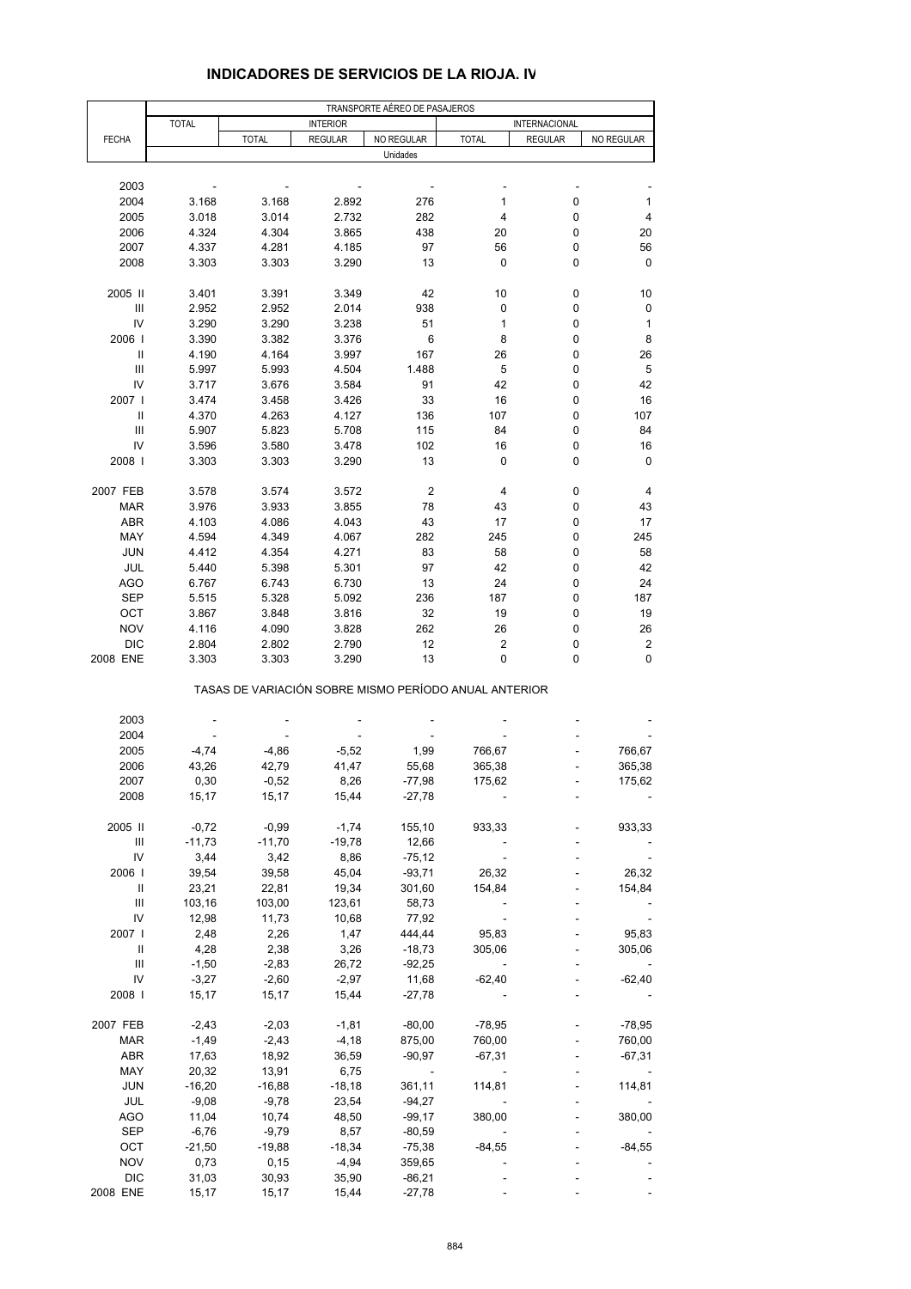|                                    | TRANSPORTE AÉREO DE PASAJEROS |                                                       |                  |                    |              |                |                  |  |  |
|------------------------------------|-------------------------------|-------------------------------------------------------|------------------|--------------------|--------------|----------------|------------------|--|--|
|                                    | <b>TOTAL</b>                  |                                                       | <b>INTERIOR</b>  |                    |              | INTERNACIONAL  |                  |  |  |
| <b>FECHA</b>                       |                               | <b>TOTAL</b>                                          | <b>REGULAR</b>   | NO REGULAR         | <b>TOTAL</b> | <b>REGULAR</b> | NO REGULAR       |  |  |
|                                    |                               |                                                       |                  | Unidades           |              |                |                  |  |  |
| 2003                               |                               |                                                       |                  |                    |              |                |                  |  |  |
| 2004                               | 3.168                         | 3.168                                                 | 2.892            | 276                | 1            | 0              | 1                |  |  |
| 2005                               | 3.018                         | 3.014                                                 | 2.732            | 282                | 4            | 0              | 4                |  |  |
| 2006                               | 4.324                         | 4.304                                                 | 3.865            | 438                | 20           | 0              | 20               |  |  |
| 2007                               | 4.337                         | 4.281                                                 | 4.185            | 97                 | 56           | 0              | 56               |  |  |
| 2008                               | 3.303                         | 3.303                                                 | 3.290            | 13                 | 0            | 0              | $\mathbf 0$      |  |  |
|                                    |                               |                                                       |                  |                    |              |                |                  |  |  |
| 2005 II                            | 3.401                         | 3.391                                                 | 3.349            | 42                 | 10           | 0              | 10               |  |  |
| $\ensuremath{\mathsf{III}}\xspace$ | 2.952                         | 2.952                                                 | 2.014            | 938                | 0            | 0              | 0                |  |  |
| IV                                 | 3.290                         | 3.290                                                 | 3.238            | 51                 | 1            | 0              | 1                |  |  |
| 2006                               | 3.390                         | 3.382                                                 | 3.376            | 6                  | 8            | 0              | 8                |  |  |
| Ш<br>Ш                             | 4.190                         | 4.164<br>5.993                                        | 3.997<br>4.504   | 167<br>1.488       | 26<br>5      | 0<br>0         | 26<br>5          |  |  |
| IV                                 | 5.997<br>3.717                | 3.676                                                 | 3.584            | 91                 | 42           | 0              | 42               |  |  |
| 2007                               | 3.474                         | 3.458                                                 | 3.426            | 33                 | 16           | 0              | 16               |  |  |
| Ш                                  | 4.370                         | 4.263                                                 | 4.127            | 136                | 107          | 0              | 107              |  |  |
| III                                | 5.907                         | 5.823                                                 | 5.708            | 115                | 84           | 0              | 84               |  |  |
| IV                                 | 3.596                         | 3.580                                                 | 3.478            | 102                | 16           | 0              | 16               |  |  |
| 2008                               | 3.303                         | 3.303                                                 | 3.290            | 13                 | 0            | 0              | 0                |  |  |
|                                    |                               |                                                       |                  |                    |              |                |                  |  |  |
| 2007 FEB                           | 3.578                         | 3.574                                                 | 3.572            | $\boldsymbol{2}$   | 4            | 0              | 4                |  |  |
| <b>MAR</b>                         | 3.976                         | 3.933                                                 | 3.855            | 78                 | 43           | 0              | 43               |  |  |
| ABR                                | 4.103                         | 4.086                                                 | 4.043            | 43                 | 17           | 0              | 17               |  |  |
| MAY                                | 4.594                         | 4.349                                                 | 4.067            | 282                | 245          | 0              | 245              |  |  |
| <b>JUN</b><br>JUL                  | 4.412<br>5.440                | 4.354<br>5.398                                        | 4.271<br>5.301   | 83<br>97           | 58<br>42     | 0<br>0         | 58<br>42         |  |  |
| <b>AGO</b>                         | 6.767                         | 6.743                                                 | 6.730            | 13                 | 24           | 0              | 24               |  |  |
| <b>SEP</b>                         | 5.515                         | 5.328                                                 | 5.092            | 236                | 187          | 0              | 187              |  |  |
| OCT                                | 3.867                         | 3.848                                                 | 3.816            | 32                 | 19           | 0              | 19               |  |  |
| <b>NOV</b>                         | 4.116                         | 4.090                                                 | 3.828            | 262                | 26           | 0              | 26               |  |  |
| <b>DIC</b>                         | 2.804                         | 2.802                                                 | 2.790            | 12                 | 2            | 0              | $\boldsymbol{2}$ |  |  |
| 2008 ENE                           | 3.303                         | 3.303                                                 | 3.290            | 13                 | 0            | 0              | 0                |  |  |
|                                    |                               | TASAS DE VARIACIÓN SOBRE MISMO PERÍODO ANUAL ANTERIOR |                  |                    |              |                |                  |  |  |
| 2003                               |                               |                                                       |                  |                    |              |                |                  |  |  |
| 2004                               |                               |                                                       |                  |                    |              |                |                  |  |  |
| 2005                               | $-4,74$                       | $-4,86$                                               | $-5,52$          | 1,99               | 766,67       |                | 766,67           |  |  |
| 2006                               | 43,26                         | 42,79                                                 | 41,47            | 55,68              | 365,38       |                | 365,38           |  |  |
| 2007                               | 0,30                          | $-0,52$                                               | 8,26             | $-77,98$           | 175,62       |                | 175,62           |  |  |
| 2008                               | 15,17                         | 15,17                                                 | 15,44            | $-27,78$           |              |                |                  |  |  |
|                                    |                               |                                                       |                  |                    |              |                |                  |  |  |
| 2005 II                            | $-0,72$                       | $-0,99$                                               | $-1,74$          | 155,10             | 933,33       |                | 933,33           |  |  |
| Ш<br>IV                            | $-11,73$<br>3,44              | $-11,70$<br>3,42                                      | $-19,78$<br>8,86 | 12,66<br>$-75,12$  |              |                |                  |  |  |
| 2006                               | 39,54                         | 39,58                                                 | 45,04            | $-93,71$           | 26,32        |                | 26,32            |  |  |
| $\, \parallel$                     | 23,21                         | 22,81                                                 | 19,34            | 301,60             | 154,84       |                | 154,84           |  |  |
| $\ensuremath{\mathsf{III}}\xspace$ | 103,16                        | 103,00                                                | 123,61           | 58,73              |              |                |                  |  |  |
| IV                                 | 12,98                         | 11,73                                                 | 10,68            | 77,92              |              |                |                  |  |  |
| 2007                               | 2,48                          | 2,26                                                  | 1,47             | 444,44             | 95,83        |                | 95,83            |  |  |
| Ш                                  | 4,28                          | 2,38                                                  | 3,26             | $-18,73$           | 305,06       |                | 305,06           |  |  |
| Ш                                  | $-1,50$                       | $-2,83$                                               | 26,72            | $-92,25$           |              |                |                  |  |  |
| IV                                 | $-3,27$                       | $-2,60$                                               | $-2,97$          | 11,68              | $-62,40$     |                | -62,40           |  |  |
| 2008                               | 15,17                         | 15,17                                                 | 15,44            | $-27,78$           |              |                |                  |  |  |
| 2007 FEB                           | $-2,43$                       | $-2,03$                                               | $-1,81$          | $-80,00$           | $-78,95$     |                | $-78,95$         |  |  |
| <b>MAR</b>                         | $-1,49$                       | $-2,43$                                               | $-4,18$          | 875,00             | 760,00       |                | 760,00           |  |  |
| ABR                                | 17,63                         | 18,92                                                 | 36,59            | $-90,97$           | $-67,31$     |                | $-67,31$         |  |  |
| MAY                                | 20,32                         | 13,91                                                 | 6,75             |                    |              |                |                  |  |  |
| <b>JUN</b>                         | $-16,20$                      | $-16,88$                                              | $-18,18$         | 361,11             | 114,81       |                | 114,81           |  |  |
| JUL                                | $-9,08$                       | $-9,78$                                               | 23,54            | $-94,27$           |              |                |                  |  |  |
| <b>AGO</b>                         | 11,04                         | 10,74                                                 | 48,50            | $-99,17$           | 380,00       |                | 380,00           |  |  |
| SEP                                | $-6,76$                       | $-9,79$                                               | 8,57             | $-80,59$           |              |                |                  |  |  |
| OCT                                | $-21,50$                      | $-19,88$                                              | $-18,34$         | $-75,38$           | $-84,55$     |                | $-84,55$         |  |  |
| <b>NOV</b><br><b>DIC</b>           | 0,73<br>31,03                 | 0, 15<br>30,93                                        | $-4,94$<br>35,90 | 359,65<br>$-86,21$ |              |                |                  |  |  |
| 2008 ENE                           | 15,17                         | 15,17                                                 | 15,44            | $-27,78$           |              |                |                  |  |  |
|                                    |                               |                                                       |                  |                    |              |                |                  |  |  |

## **INDICADORES DE SERVICIOS DE LA RIOJA. IV**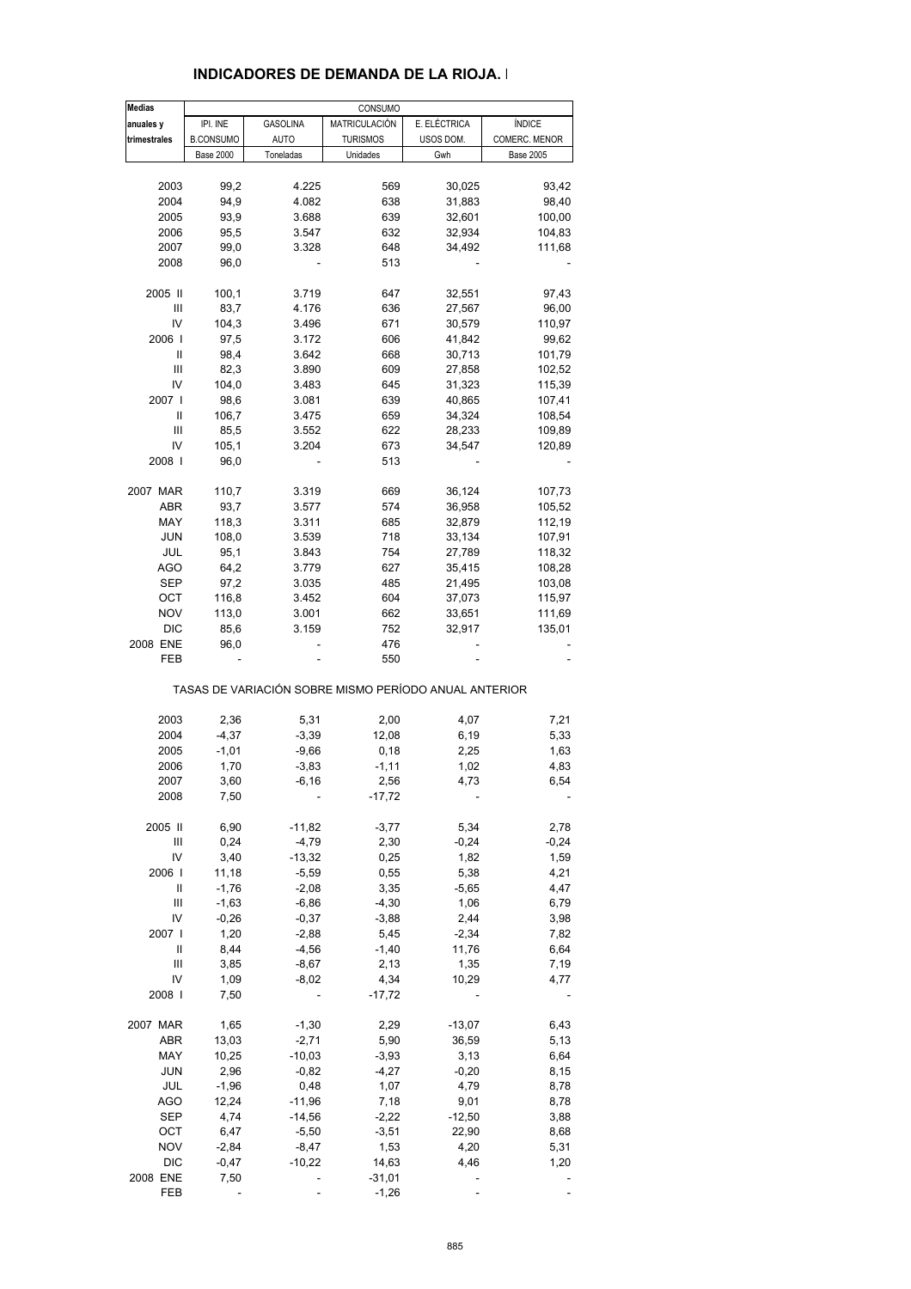| <b>Medias</b> |                  |                 | CONSUMO         |                                                       |                  |
|---------------|------------------|-----------------|-----------------|-------------------------------------------------------|------------------|
| anuales y     | IPI. INE         | <b>GASOLINA</b> | MATRICULACIÓN   | E. ELÉCTRICA                                          | <b>ÍNDICE</b>    |
| trimestrales  | <b>B.CONSUMO</b> | <b>AUTO</b>     | <b>TURISMOS</b> | USOS DOM.                                             | COMERC. MENOR    |
|               | <b>Base 2000</b> | Toneladas       | Unidades        | Gwh                                                   | <b>Base 2005</b> |
|               |                  |                 |                 |                                                       |                  |
| 2003          | 99,2             | 4.225           | 569             | 30,025                                                | 93,42            |
| 2004          | 94,9             | 4.082           | 638             | 31,883                                                | 98,40            |
|               |                  |                 |                 |                                                       |                  |
| 2005          | 93,9             | 3.688           | 639             | 32,601                                                | 100,00           |
| 2006          | 95,5             | 3.547           | 632             | 32,934                                                | 104,83           |
| 2007          | 99,0             | 3.328           | 648             | 34,492                                                | 111,68           |
| 2008          | 96,0             |                 | 513             |                                                       |                  |
|               |                  |                 |                 |                                                       |                  |
| 2005 II       | 100,1            | 3.719           | 647             | 32,551                                                | 97,43            |
| Ш             | 83,7             | 4.176           | 636             | 27,567                                                | 96,00            |
| IV            | 104,3            | 3.496           | 671             | 30,579                                                | 110,97           |
| 2006          | 97,5             | 3.172           | 606             | 41,842                                                | 99,62            |
| Ш             | 98,4             | 3.642           | 668             | 30,713                                                | 101,79           |
| Ш             |                  |                 |                 |                                                       |                  |
|               | 82,3             | 3.890           | 609             | 27,858                                                | 102,52           |
| IV            | 104,0            | 3.483           | 645             | 31,323                                                | 115,39           |
| 2007 l        | 98,6             | 3.081           | 639             | 40,865                                                | 107,41           |
| Ш             | 106,7            | 3.475           | 659             | 34,324                                                | 108,54           |
| Ш             | 85,5             | 3.552           | 622             | 28,233                                                | 109,89           |
| IV            | 105,1            | 3.204           | 673             | 34,547                                                | 120,89           |
|               |                  |                 |                 |                                                       |                  |
| 2008          | 96,0             |                 | 513             |                                                       |                  |
| 2007 MAR      | 110,7            | 3.319           | 669             | 36,124                                                | 107,73           |
|               |                  |                 |                 | 36,958                                                |                  |
| ABR           | 93,7             | 3.577           | 574             |                                                       | 105,52           |
| MAY           | 118,3            | 3.311           | 685             | 32,879                                                | 112,19           |
| <b>JUN</b>    | 108,0            | 3.539           | 718             | 33,134                                                | 107,91           |
| JUL           | 95,1             | 3.843           | 754             | 27,789                                                | 118,32           |
| AGO           | 64,2             | 3.779           | 627             | 35,415                                                | 108,28           |
| SEP           | 97,2             | 3.035           | 485             | 21,495                                                | 103,08           |
|               |                  |                 |                 |                                                       |                  |
| OCT           | 116,8            | 3.452           | 604             | 37,073                                                | 115,97           |
| <b>NOV</b>    | 113,0            | 3.001           | 662             | 33,651                                                | 111,69           |
| <b>DIC</b>    | 85,6             | 3.159           | 752             | 32,917                                                | 135,01           |
| 2008 ENE      | 96,0             |                 | 476             |                                                       |                  |
| FEB           |                  |                 | 550             |                                                       |                  |
|               |                  |                 |                 | TASAS DE VARIACIÓN SOBRE MISMO PERÍODO ANUAL ANTERIOR |                  |
|               |                  |                 |                 |                                                       |                  |
| 2003          | 2,36             | 5,31            | 2,00            | 4,07                                                  | 7,21             |
| 2004          | $-4,37$          | $-3,39$         | 12,08           | 6,19                                                  | 5,33             |
| 2005          | $-1,01$          | $-9,66$         | 0,18            | 2,25                                                  | 1,63             |
| 2006          | 1,70             | $-3,83$         | $-1,11$         | 1,02                                                  | 4,83             |
| 2007          | 3,60             | $-6,16$         | 2,56            | 4,73                                                  | 6,54             |
| 2008          | 7,50             |                 | $-17,72$        |                                                       |                  |
|               |                  |                 |                 |                                                       |                  |
| 2005 II       | 6,90             | $-11,82$        | $-3,77$         | 5,34                                                  | 2,78             |
| Ш             | 0,24             | $-4,79$         | 2,30            | $-0,24$                                               | $-0,24$          |
| IV            | 3,40             | $-13,32$        | 0,25            | 1,82                                                  | 1,59             |
| 2006          | 11,18            | $-5,59$         | 0,55            | 5,38                                                  | 4,21             |
|               |                  |                 |                 |                                                       |                  |
| Ш             | $-1,76$          | $-2,08$         | 3,35            | $-5,65$                                               | 4,47             |
| Ш             | $-1,63$          | $-6,86$         | $-4,30$         | 1,06                                                  | 6,79             |
| IV            | $-0,26$          | $-0,37$         | $-3,88$         | 2,44                                                  | 3,98             |
| 2007          | 1,20             | $-2,88$         | 5,45            | $-2,34$                                               | 7,82             |
| Ш             | 8,44             | $-4,56$         | $-1,40$         | 11,76                                                 | 6,64             |
| Ш             | 3,85             | $-8,67$         | 2,13            | 1,35                                                  | 7,19             |
|               |                  |                 |                 |                                                       |                  |
| IV            | 1,09             | $-8,02$         | 4,34            | 10,29                                                 | 4,77             |
| 2008          | 7,50             |                 | $-17,72$        |                                                       |                  |
| 2007 MAR      | 1,65             | $-1,30$         | 2,29            | $-13,07$                                              | 6,43             |
|               |                  |                 |                 |                                                       |                  |
| ABR           | 13,03            | $-2,71$         | 5,90            | 36,59                                                 | 5,13             |
| MAY           | 10,25            | $-10,03$        | $-3,93$         | 3,13                                                  | 6,64             |
| <b>JUN</b>    | 2,96             | $-0,82$         | $-4,27$         | $-0,20$                                               | 8,15             |
| JUL           | $-1,96$          | 0,48            | 1,07            | 4,79                                                  | 8,78             |
| <b>AGO</b>    | 12,24            | $-11,96$        | 7,18            | 9,01                                                  | 8,78             |
| <b>SEP</b>    | 4,74             | $-14,56$        | $-2,22$         | $-12,50$                                              |                  |
|               |                  |                 |                 |                                                       | 3,88             |
| OCT           | 6,47             | $-5,50$         | $-3,51$         | 22,90                                                 | 8,68             |
| <b>NOV</b>    | $-2,84$          | $-8,47$         | 1,53            | 4,20                                                  | 5,31             |
| <b>DIC</b>    | $-0,47$          | $-10,22$        | 14,63           | 4,46                                                  | 1,20             |
| 2008 ENE      | 7,50             |                 | $-31,01$        |                                                       |                  |
| FEB           |                  |                 | $-1,26$         |                                                       |                  |
|               |                  |                 |                 |                                                       |                  |

#### **INDICADORES DE DEMANDA DE LA RIOJA. I**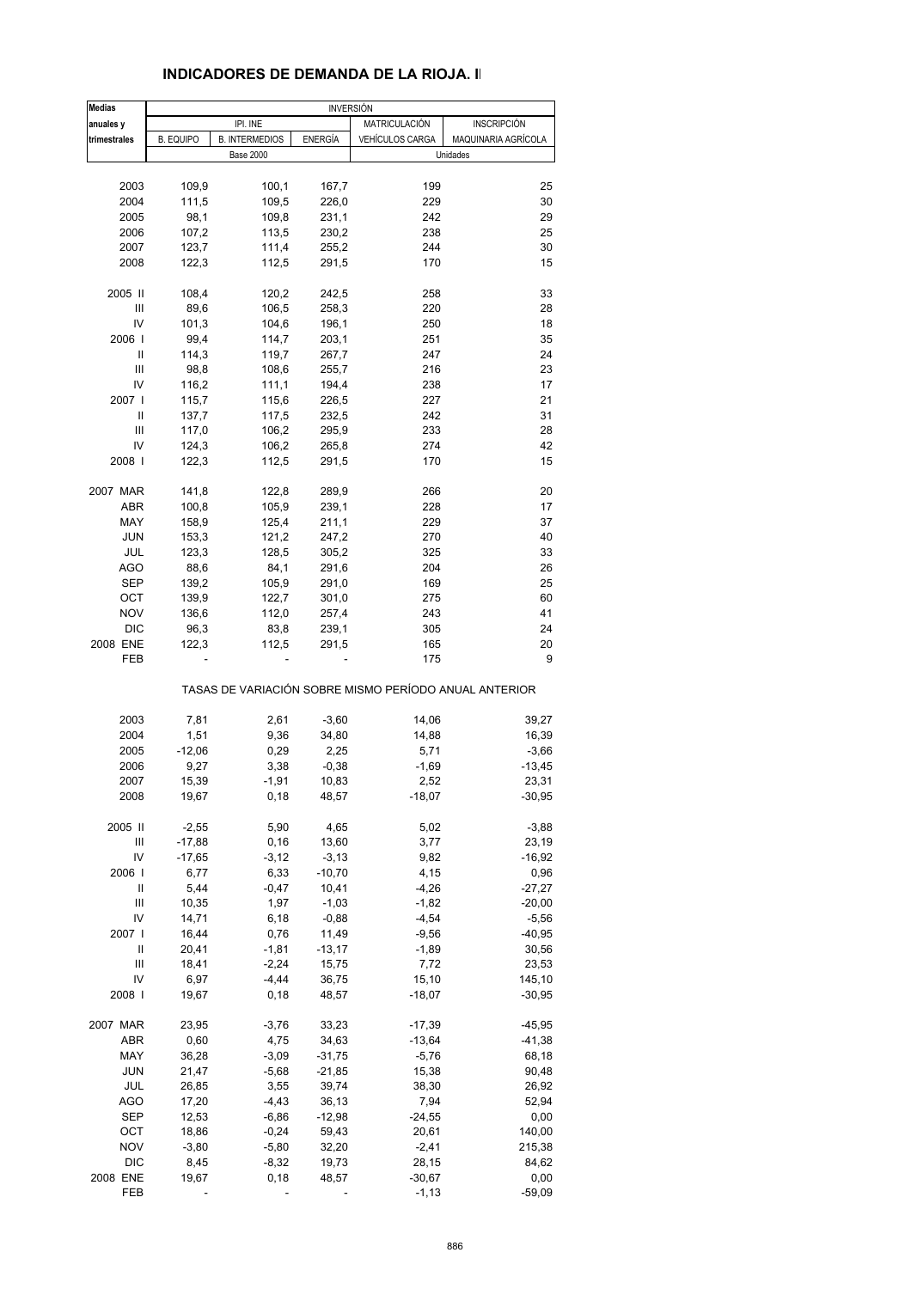#### **Medias anuales y letter de la production de la production de la production de la production de la production de la p**<br>Institution de la production de la production de la production de la production de la production de la product **trimestrales** B. EQUIPO B. INTERMEDIOS ENERGÍA VEHÍCULOS CARGA MAQUINARIA AGRÍCOLA 2003 109,9 100,1 167,7 199 25 2004 111,5 109,5 226,0 229 30 2005 98,1 109,8 231,1 242 29 2006 107,2 113,5 230,2 238 25 2007 123,7 111,4 255,2 244 30 2008 122,3 112,5 291,5 170 15 2005 II 108,4 120,2 242,5 258 33 III 89,6 106,5 258,3 220 28 IV 101,3 104,6 196,1 250 18 2006 I 99,4 114,7 203,1 251 35 II 114,3 119,7 267,7 247 24 III 98,8 108,6 255,7 216 23 IV 116,2 111,1 194,4 238 17 2007 I 115,7 115,6 226,5 227 21 II 137,7 117,5 232,5 242 31 III 117,0 106,2 295,9 233 28 IV 124,3 106,2 265,8 274 42 2008 I 122,3 112,5 291,5 170 15 2007 MAR 141,8 122,8 289,9 266 20 ABR 100,8 105,9 239,1 228 17 MAY 158,9 125,4 211,1 229 37 JUN 153,3 121,2 247,2 270 40 JUL 123,3 128,5 305,2 325 33 AGO 88,6 84,1 291,6 204 26 SEP 139,2 105,9 291,0 169 25 OCT 139,9 122,7 301,0 275 60 NOV 136,6 112,0 257,4 243 41 DIC 96,3 83,8 239,1 305 24 2008 ENE 122,3 112,5 291,5 165 20 FEB - - - 175 9 TASAS DE VARIACIÓN SOBRE MISMO PERÍODO ANUAL ANTERIOR 2003 7,81 2,61 -3,60 14,06 39,27 2004 1,51 9,36 34,80 14,88 16,39 2005 -12,06 0,29 2,25 5,71 -3,66 2006 9,27 3,38 -0,38 -1,69 -13,45 2007 15,39 -1,91 10,83 2,52 23,31 2008 19,67 0,18 48,57 -18,07 -30,95 2005 II -2,55 5,90 4,65 5,02 -3,88 III -17,88 0,16 13,60 3,77 23,19 IV -17,65 -3,12 -3,13 9,82 -16,92 2006 I 6,77 6,33 -10,70 4,15 0,96  $II$  5,44 -0,47 10,41 -4,26 -27,27 III 10,35 1,97 -1,03 -1,82 -20,00 IV 14,71 6,18 -0,88 -4,54 -5,56 2007 I 16,44 0,76 11,49 -9,56 -40,95 II 20,41 -1,81 -13,17 -1,89 30,56 III 18,41 -2,24 15,75 7,72 23,53 IV 6,97 -4,44 36,75 15,10 145,10 2008 I 19,67 0,18 48,57 -18,07 -30,95 2007 MAR 23,95 -3,76 33,23 -17,39 -45,95 ABR 0,60 4,75 34,63 -13,64 -41,38 MAY 36,28 -3,09 -31,75 -5,76 - 68,18 JUN 21,47 -5,68 -21,85 15,38 90,48 JUL 26,85 3,55 39,74 38,30 26,92 AGO 17,20 -4,43 36,13 7,94 52,94 SEP 12,53 -6,86 -12,98 -24,55 0,00 OCT 18,86 -0,24 59,43 20,61 140,00 NOV -3,80 -5,80 32,20 -2,41 215,38 INVERSIÓN IPI. INE Base 2000 **Unidades**

 DIC 8,45 -8,32 19,73 28,15 84,62 2008 ENE 19,67 0,18 48,57 -30,67 0,00 FEB - - - - - - - - -1,13 - -59,09

#### **INDICADORES DE DEMANDA DE LA RIOJA. II**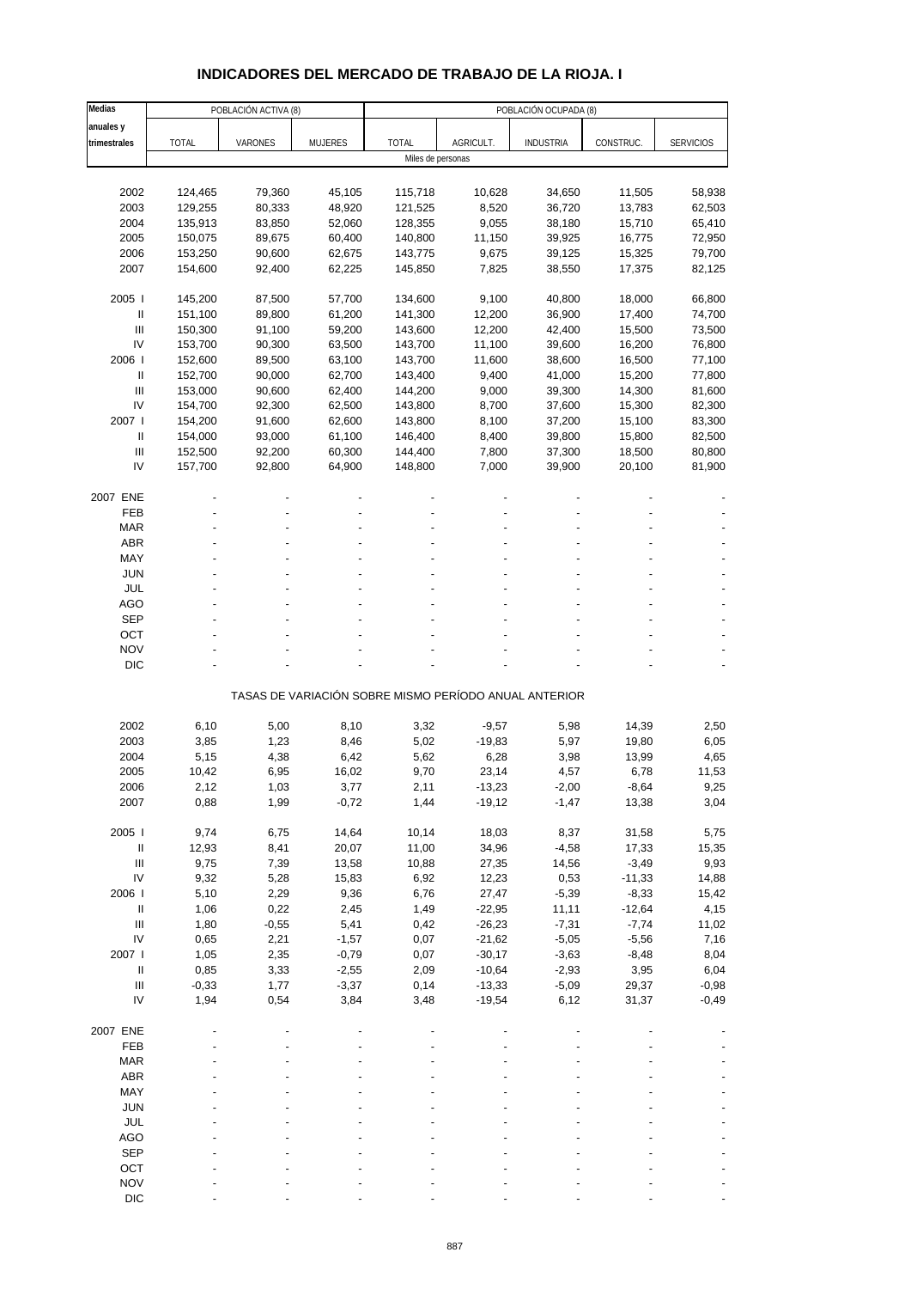# **INDICADORES DEL MERCADO DE TRABAJO DE LA RIOJA. I**

| Medias                               |              | POBLACIÓN ACTIVA (8) |                    | POBLACIÓN OCUPADA (8) |                      |                                                       |                 |                  |  |  |  |
|--------------------------------------|--------------|----------------------|--------------------|-----------------------|----------------------|-------------------------------------------------------|-----------------|------------------|--|--|--|
| anuales y                            |              |                      |                    |                       |                      |                                                       |                 |                  |  |  |  |
| trimestrales                         | <b>TOTAL</b> | VARONES              | <b>MUJERES</b>     | <b>TOTAL</b>          | AGRICULT.            | <b>INDUSTRIA</b>                                      | CONSTRUC.       | <b>SERVICIOS</b> |  |  |  |
|                                      |              |                      |                    | Miles de personas     |                      |                                                       |                 |                  |  |  |  |
|                                      |              |                      |                    |                       |                      |                                                       |                 |                  |  |  |  |
| 2002                                 | 124,465      | 79,360               | 45,105             | 115,718               | 10,628               | 34,650                                                | 11,505          | 58,938           |  |  |  |
| 2003                                 | 129,255      | 80,333               | 48,920             | 121,525               | 8,520                | 36,720                                                | 13,783          | 62,503           |  |  |  |
| 2004                                 | 135,913      | 83,850               | 52,060             | 128,355               | 9,055                | 38,180                                                | 15,710          | 65,410           |  |  |  |
| 2005                                 | 150,075      | 89,675               | 60,400             | 140,800               | 11,150               | 39,925                                                | 16,775          | 72,950           |  |  |  |
| 2006                                 | 153,250      | 90,600               | 62,675             | 143,775               | 9,675                | 39,125                                                | 15,325          | 79,700           |  |  |  |
| 2007                                 | 154,600      | 92,400               | 62,225             | 145,850               | 7,825                | 38,550                                                | 17,375          | 82,125           |  |  |  |
|                                      |              |                      |                    |                       |                      |                                                       |                 |                  |  |  |  |
| 2005                                 | 145,200      | 87,500               | 57,700             | 134,600               | 9,100                | 40,800                                                | 18,000          | 66,800           |  |  |  |
| $\, \parallel$                       | 151,100      | 89,800               | 61,200             | 141,300               | 12,200               | 36,900                                                | 17,400          | 74,700           |  |  |  |
| III<br>IV                            | 150,300      | 91,100               | 59,200             | 143,600               | 12,200               | 42,400                                                | 15,500          | 73,500           |  |  |  |
| 2006                                 | 153,700      | 90,300               | 63,500             | 143,700               | 11,100               | 39,600                                                | 16,200          | 76,800           |  |  |  |
|                                      | 152,600      | 89,500               | 63,100             | 143,700               | 11,600               | 38,600                                                | 16,500          | 77,100           |  |  |  |
| Ш                                    | 152,700      | 90,000               | 62,700             | 143,400               | 9,400                | 41,000                                                | 15,200          | 77,800           |  |  |  |
| $\ensuremath{\mathsf{III}}\xspace$   | 153,000      | 90,600               | 62,400             | 144,200               | 9,000                | 39,300                                                | 14,300          | 81,600           |  |  |  |
| IV<br>2007                           | 154,700      | 92,300               | 62,500             | 143,800               | 8,700                | 37,600                                                | 15,300          | 82,300           |  |  |  |
|                                      | 154,200      | 91,600               | 62,600             | 143,800               | 8,100                | 37,200                                                | 15,100          | 83,300           |  |  |  |
| $\mathbf{I}$                         | 154,000      | 93,000               | 61,100<br>60,300   | 146,400               | 8,400                | 39,800                                                | 15,800          | 82,500           |  |  |  |
| $\ensuremath{\mathsf{III}}\xspace$   | 152,500      | 92,200               |                    | 144,400               | 7,800                | 37,300                                                | 18,500          | 80,800           |  |  |  |
| IV                                   | 157,700      | 92,800               | 64,900             | 148,800               | 7,000                | 39,900                                                | 20,100          | 81,900           |  |  |  |
| 2007 ENE                             |              |                      |                    |                       |                      |                                                       |                 |                  |  |  |  |
| FEB                                  |              |                      |                    |                       |                      |                                                       |                 |                  |  |  |  |
| <b>MAR</b>                           |              |                      |                    |                       |                      |                                                       |                 |                  |  |  |  |
| <b>ABR</b>                           |              |                      |                    |                       |                      |                                                       |                 |                  |  |  |  |
| MAY                                  |              |                      |                    |                       |                      |                                                       |                 |                  |  |  |  |
| <b>JUN</b>                           |              |                      |                    |                       |                      |                                                       |                 |                  |  |  |  |
| <b>JUL</b>                           |              |                      |                    |                       |                      |                                                       |                 |                  |  |  |  |
| <b>AGO</b>                           |              |                      |                    |                       |                      |                                                       |                 |                  |  |  |  |
| <b>SEP</b>                           |              |                      |                    |                       |                      |                                                       |                 |                  |  |  |  |
| OCT                                  |              |                      |                    |                       |                      |                                                       |                 |                  |  |  |  |
| <b>NOV</b>                           |              |                      |                    |                       |                      |                                                       |                 |                  |  |  |  |
| <b>DIC</b>                           |              |                      |                    |                       |                      |                                                       |                 |                  |  |  |  |
|                                      |              |                      |                    |                       |                      |                                                       |                 |                  |  |  |  |
|                                      |              |                      |                    |                       |                      | TASAS DE VARIACIÓN SOBRE MISMO PERÍODO ANUAL ANTERIOR |                 |                  |  |  |  |
|                                      |              |                      |                    |                       |                      |                                                       |                 |                  |  |  |  |
| 2002                                 | 6,10         | 5,00                 | 8,10               | 3,32                  | $-9,57$              | 5,98                                                  | 14,39           | 2,50             |  |  |  |
| 2003                                 | 3,85         | 1,23                 | 8,46               | 5,02                  | $-19,83$             | 5,97                                                  | 19,80           | 6,05             |  |  |  |
| 2004                                 | 5,15         | 4,38                 | 6,42               | 5,62                  | 6,28                 | 3,98                                                  | 13,99           | 4,65             |  |  |  |
| 2005                                 | 10,42        | 6,95                 | 16,02              | 9,70                  | 23,14                | 4,57                                                  | 6,78            | 11,53            |  |  |  |
| 2006                                 | 2,12         | 1,03                 | 3,77               | 2,11                  | $-13,23$             | $-2,00$                                               | -8,64           | 9,25             |  |  |  |
| 2007                                 | 0,88         | 1,99                 | $-0,72$            | 1,44                  | $-19,12$             | $-1,47$                                               | 13,38           | 3,04             |  |  |  |
|                                      |              |                      |                    |                       |                      |                                                       |                 |                  |  |  |  |
| 2005 l                               | 9,74         | 6,75                 | 14,64              | 10,14                 | 18,03                | 8,37                                                  | 31,58           | 5,75             |  |  |  |
| $\, \parallel$                       | 12,93        | 8,41                 | 20,07              | 11,00                 | 34,96                | $-4,58$                                               | 17,33           | 15,35            |  |  |  |
| $\ensuremath{\mathsf{III}}\xspace$   | 9,75         | 7,39                 | 13,58              | 10,88                 | 27,35                | 14,56                                                 | $-3,49$         | 9,93             |  |  |  |
| IV                                   | 9,32         | 5,28                 | 15,83              | 6,92                  | 12,23                | 0,53                                                  | $-11,33$        | 14,88            |  |  |  |
| 2006  <br>$\ensuremath{\mathsf{II}}$ | 5,10         | 2,29                 | 9,36               | 6,76                  | 27,47<br>$-22,95$    | $-5,39$                                               | $-8,33$         | 15,42            |  |  |  |
| $\ensuremath{\mathsf{III}}\xspace$   | 1,06         | 0,22                 | 2,45               | 1,49                  | $-26,23$             | 11,11                                                 | $-12,64$        | 4,15             |  |  |  |
| IV                                   | 1,80         | $-0,55$              | 5,41               | 0,42                  |                      | $-7,31$                                               | $-7,74$         | 11,02            |  |  |  |
| 2007 l                               | 0,65         | 2,21                 | $-1,57$            | 0,07                  | $-21,62$<br>$-30,17$ | $-5,05$                                               | $-5,56$         | 7,16             |  |  |  |
| $\ensuremath{\mathsf{II}}$           | 1,05<br>0,85 | 2,35<br>3,33         | $-0,79$<br>$-2,55$ | 0,07                  | $-10,64$             | $-3,63$<br>$-2,93$                                    | $-8,48$<br>3,95 | 8,04             |  |  |  |
| $\ensuremath{\mathsf{III}}\xspace$   | $-0,33$      | 1,77                 | $-3,37$            | 2,09<br>0,14          | $-13,33$             | $-5,09$                                               | 29,37           | 6,04<br>$-0,98$  |  |  |  |
| IV                                   | 1,94         | 0,54                 | 3,84               | 3,48                  | $-19,54$             | 6,12                                                  | 31,37           | $-0,49$          |  |  |  |
|                                      |              |                      |                    |                       |                      |                                                       |                 |                  |  |  |  |
| 2007 ENE                             |              |                      |                    |                       |                      |                                                       |                 |                  |  |  |  |
| FEB                                  |              |                      |                    |                       |                      |                                                       |                 |                  |  |  |  |
| <b>MAR</b>                           |              |                      |                    |                       |                      |                                                       |                 |                  |  |  |  |
| ABR                                  |              |                      |                    |                       |                      |                                                       |                 |                  |  |  |  |
| MAY                                  |              |                      |                    |                       |                      |                                                       |                 |                  |  |  |  |
| <b>JUN</b>                           |              |                      |                    |                       |                      |                                                       |                 |                  |  |  |  |
| JUL                                  |              |                      |                    |                       |                      |                                                       |                 |                  |  |  |  |
| <b>AGO</b>                           |              |                      |                    |                       |                      |                                                       |                 |                  |  |  |  |
| <b>SEP</b>                           |              |                      |                    |                       |                      |                                                       |                 |                  |  |  |  |
| OCT                                  |              |                      |                    |                       |                      |                                                       |                 |                  |  |  |  |
| <b>NOV</b>                           |              |                      |                    |                       |                      |                                                       |                 |                  |  |  |  |
| <b>DIC</b>                           |              |                      |                    |                       |                      |                                                       |                 |                  |  |  |  |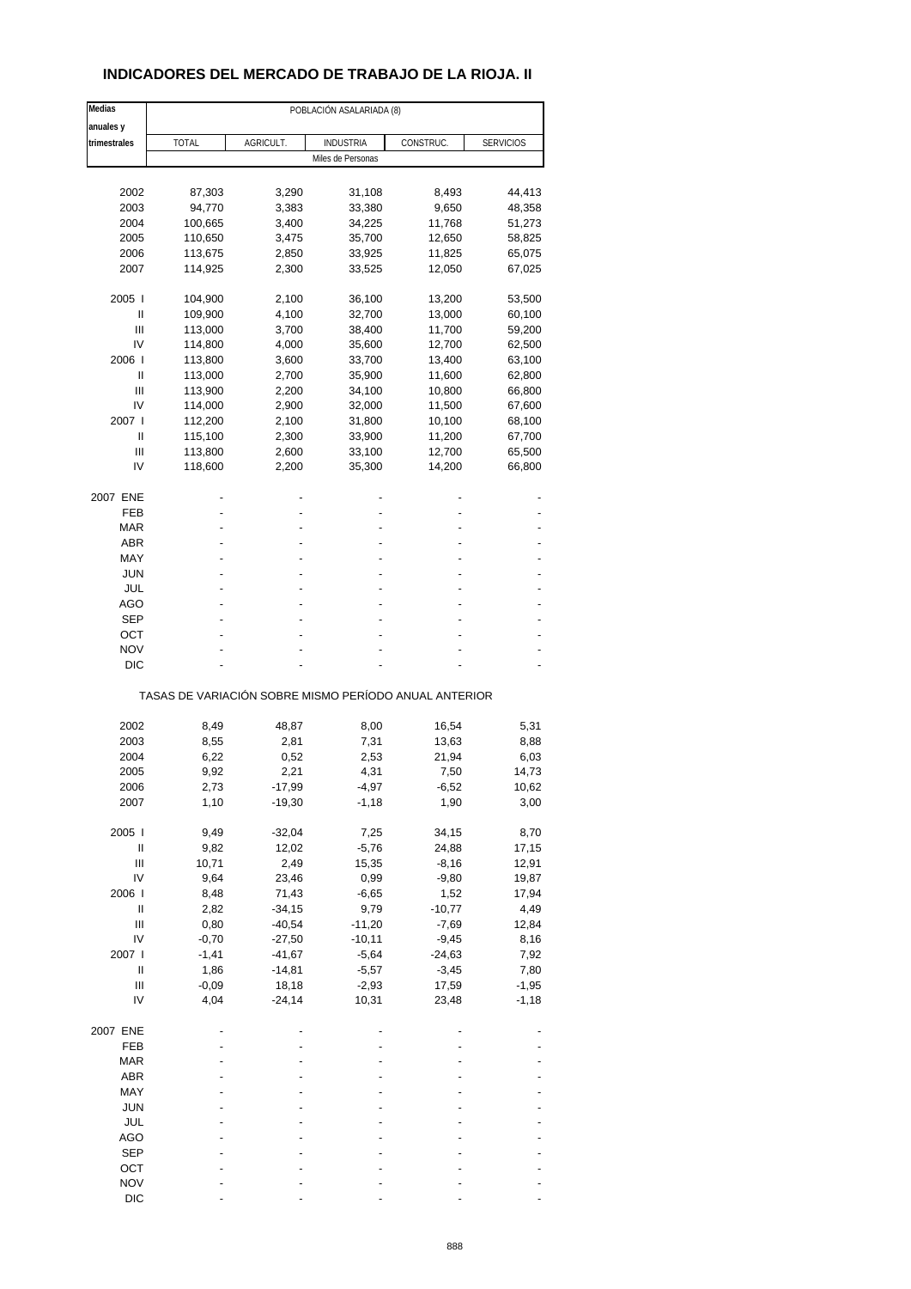## **INDICADORES DEL MERCADO DE TRABAJO DE LA RIOJA. II**

| Medias                             |                                                       |           | POBLACIÓN ASALARIADA (8) |           |                  |
|------------------------------------|-------------------------------------------------------|-----------|--------------------------|-----------|------------------|
| anuales y                          |                                                       |           |                          |           |                  |
| trimestrales                       | <b>TOTAL</b>                                          | AGRICULT. | <b>INDUSTRIA</b>         | CONSTRUC. | <b>SERVICIOS</b> |
|                                    |                                                       |           | Miles de Personas        |           |                  |
|                                    |                                                       |           |                          |           |                  |
| 2002                               | 87,303                                                | 3,290     | 31,108                   | 8,493     | 44,413           |
| 2003                               | 94,770                                                | 3,383     | 33,380                   | 9,650     | 48,358           |
| 2004                               | 100,665                                               | 3,400     | 34,225                   | 11,768    | 51,273           |
| 2005                               | 110,650                                               | 3,475     | 35,700                   | 12,650    | 58,825           |
| 2006                               | 113,675                                               | 2,850     | 33,925                   | 11,825    | 65,075           |
| 2007                               | 114,925                                               | 2,300     | 33,525                   | 12,050    | 67,025           |
| 2005                               | 104,900                                               | 2,100     | 36,100                   | 13,200    | 53,500           |
| Ш                                  | 109,900                                               | 4,100     | 32,700                   | 13,000    | 60,100           |
| Ш                                  |                                                       |           |                          |           |                  |
| IV                                 | 113,000                                               | 3,700     | 38,400                   | 11,700    | 59,200           |
|                                    | 114,800                                               | 4,000     | 35,600                   | 12,700    | 62,500           |
| 2006                               | 113,800                                               | 3,600     | 33,700                   | 13,400    | 63,100           |
| Ш                                  | 113,000                                               | 2,700     | 35,900                   | 11,600    | 62,800           |
| Ш                                  | 113,900                                               | 2,200     | 34,100                   | 10,800    | 66,800           |
| IV                                 | 114,000                                               | 2,900     | 32,000                   | 11,500    | 67,600           |
| 2007 l                             | 112,200                                               | 2,100     | 31,800                   | 10,100    | 68,100           |
| Ш                                  | 115,100                                               | 2,300     | 33,900                   | 11,200    | 67,700           |
| Ш                                  | 113,800                                               | 2,600     | 33,100                   | 12,700    | 65,500           |
| IV                                 | 118,600                                               | 2,200     | 35,300                   | 14,200    | 66,800           |
|                                    |                                                       |           |                          |           |                  |
| 2007 ENE<br>FEB                    |                                                       |           |                          |           |                  |
| <b>MAR</b>                         |                                                       |           |                          |           |                  |
| <b>ABR</b>                         |                                                       |           |                          |           |                  |
|                                    |                                                       |           |                          |           |                  |
| MAY                                |                                                       |           |                          |           |                  |
| <b>JUN</b>                         |                                                       |           |                          |           |                  |
| JUL                                |                                                       |           |                          |           |                  |
| AGO                                |                                                       |           |                          |           |                  |
| SEP                                |                                                       |           |                          |           |                  |
| OCT                                |                                                       |           |                          |           |                  |
| <b>NOV</b>                         |                                                       |           |                          |           |                  |
| <b>DIC</b>                         |                                                       |           |                          |           |                  |
|                                    | TASAS DE VARIACIÓN SOBRE MISMO PERÍODO ANUAL ANTERIOR |           |                          |           |                  |
|                                    |                                                       |           |                          |           |                  |
| 2002                               | 8,49                                                  | 48,87     | 8,00                     | 16,54     | 5,31             |
| 2003                               | 8,55                                                  | 2,81      | 7,31                     | 13,63     | 8,88             |
| 2004                               | 6,22                                                  | 0,52      | 2,53                     | 21,94     | 6,03             |
| 2005                               | 9,92                                                  | 2,21      | 4,31                     | 7,50      | 14,73            |
| 2006                               | 2,73                                                  | $-17,99$  | $-4,97$                  | $-6,52$   | 10,62            |
| 2007                               | 1,10                                                  | $-19,30$  | $-1,18$                  | 1,90      | 3,00             |
| 2005                               | 9,49                                                  | $-32,04$  | 7,25                     | 34,15     | 8,70             |
| $\sf II$                           | 9,82                                                  | 12,02     | $-5,76$                  | 24,88     | 17,15            |
|                                    |                                                       |           |                          |           |                  |
| Ш                                  | 10,71                                                 | 2,49      | 15,35                    | $-8,16$   | 12,91            |
| IV                                 | 9,64                                                  | 23,46     | 0,99                     | $-9,80$   | 19,87            |
| 2006                               | 8,48                                                  | 71,43     | $-6,65$                  | 1,52      | 17,94            |
| Ш                                  | 2,82                                                  | $-34,15$  | 9,79                     | $-10,77$  | 4,49             |
| $\ensuremath{\mathsf{III}}\xspace$ | 0,80                                                  | $-40,54$  | $-11,20$                 | $-7,69$   | 12,84            |
| IV                                 | $-0,70$                                               | $-27,50$  | $-10,11$                 | $-9,45$   | 8,16             |
| 2007 l                             | $-1,41$                                               | $-41,67$  | $-5,64$                  | $-24,63$  | 7,92             |
| Ш                                  | 1,86                                                  | $-14,81$  | $-5,57$                  | $-3,45$   | 7,80             |
| Ш                                  | $-0,09$                                               | 18,18     | $-2,93$                  | 17,59     | $-1,95$          |
| IV                                 | 4,04                                                  | $-24,14$  | 10,31                    | 23,48     | $-1,18$          |
| 2007 ENE                           |                                                       |           |                          |           |                  |
|                                    |                                                       |           |                          |           |                  |
| FEB                                |                                                       |           |                          |           |                  |
| <b>MAR</b>                         |                                                       |           |                          |           |                  |
| ABR                                |                                                       |           |                          |           |                  |
| MAY                                |                                                       |           |                          |           |                  |
| <b>JUN</b>                         |                                                       |           |                          |           |                  |
| JUL                                |                                                       |           |                          |           |                  |
| AGO                                |                                                       |           |                          |           |                  |
| <b>SEP</b>                         |                                                       |           |                          |           |                  |
| OCT                                |                                                       |           |                          |           |                  |
| <b>NOV</b>                         |                                                       |           |                          |           |                  |
| <b>DIC</b>                         |                                                       |           |                          |           |                  |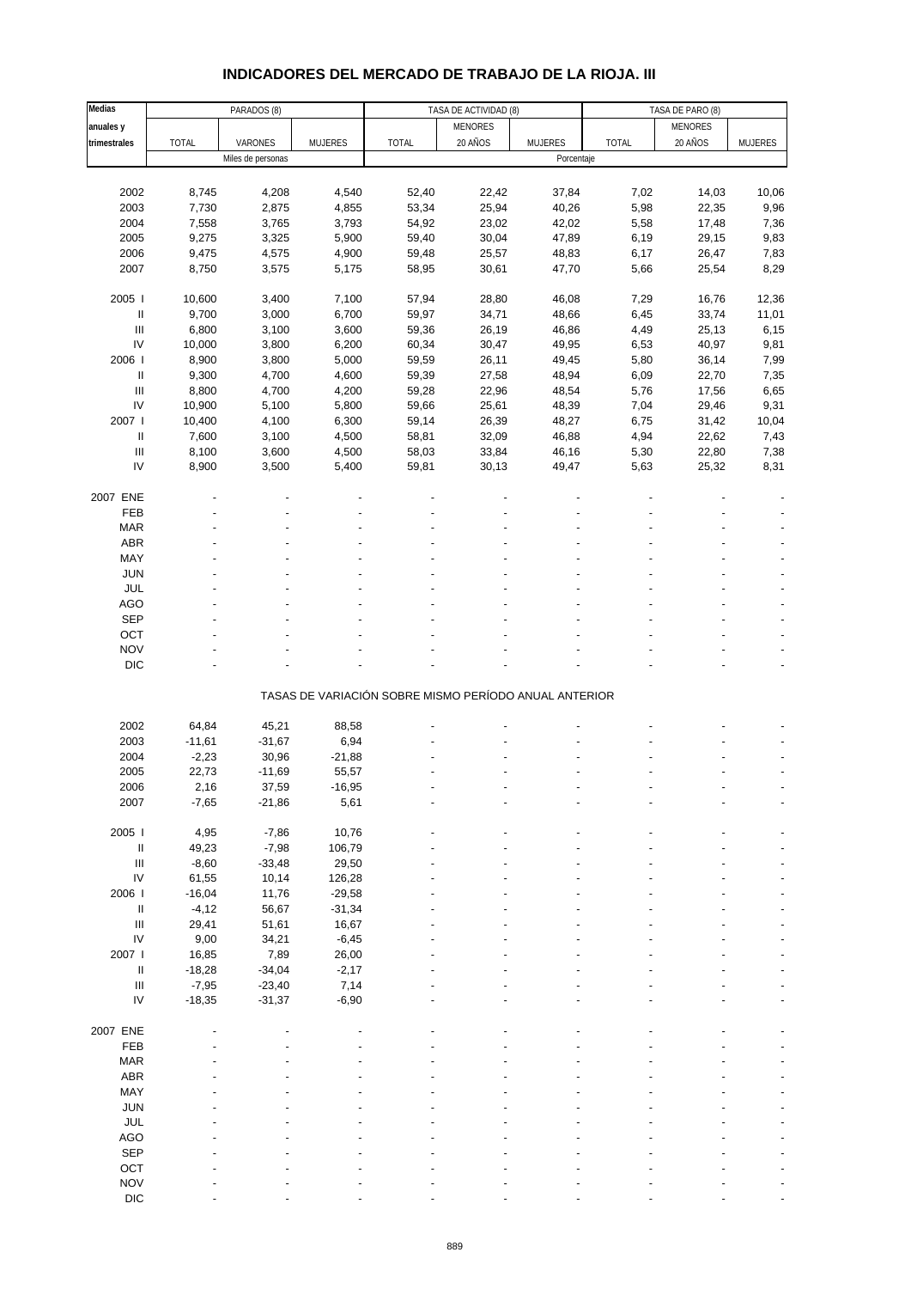#### **Medias PARADOS (8)** TASA DE ACTIVIDAD (8) TASA DE PARO (8) TASA DE PARO (8) anuales y website the second term of the second of the MENORES (and the MENORES of the MENORES of the MENORES **trimestrales** TOTAL VARONES MUJERES TOTAL 20 AÑOS MUJERES TOTAL 20 AÑOS MUJERES Miles de personas **Porcentaje** 2002 8,745 4,208 4,540 52,40 22,42 37,84 7,02 14,03 10,06 2003 7,730 2,875 4,855 53,34 25,94 40,26 5,98 22,35 9,96 2004 7,558 3,765 3,793 54,92 23,02 42,02 5,58 17,48 7,36 2005 9,275 3,325 5,900 59,40 30,04 47,89 6,19 29,15 9,83 2006 9,475 4,575 4,900 59,48 25,57 48,83 6,17 26,47 7,83 2007 8,750 3,575 5,175 58,95 30,61 47,70 5,66 25,54 8,29 2005 I 10,600 3,400 7,100 57,94 28,80 46,08 7,29 16,76 12,36 II 9,700 3,000 6,700 59,97 34,71 48,66 6,45 33,74 11,01 III 6,800 3,100 3,600 59,36 26,19 46,86 4,49 25,13 6,15 IV 10,000 3,800 6,200 60,34 30,47 49,95 6,53 40,97 9,81 2006 I 8,900 3,800 5,000 59,59 26,11 49,45 5,80 36,14 7,99 II 9,300 4,700 4,600 59,39 27,58 48,94 6,09 22,70 7,35 III 8,800 4,700 4,200 59,28 22,96 48,54 5,76 17,56 6,65 IV 10,900 5,100 5,800 59,66 25,61 48,39 7,04 29,46 9,31 2007 I 10,400 4,100 6,300 59,14 26,39 48,27 6,75 31,42 10,04 II 7,600 3,100 4,500 58,81 32,09 46,88 4,94 22,62 7,43 III 8,100 3,600 4,500 58,03 33,84 46,16 5,30 22,80 7,38 IV 8,900 3,500 5,400 59,81 30,13 49,47 5,63 25,32 8,31 2007 ENE - - - - - - - -- FEB - - - - - - - - - MAR - - - - - - - - -  $ABR$  , and the set of the set of the set of the set of the set of the set of the set of the set of the set of the set of the set of the set of the set of the set of the set of the set of the set of the set of the set of t  $\text{MAY}$  , and  $\text{MAY}$  , and  $\text{MAY}$  , and  $\text{MAY}$  , and  $\text{MAY}$  , and  $\text{MAY}$  , and  $\text{MAY}$  JUN - - - - - - - - - JUL - - - - - - - - - AGO - - - - - - - - - SEP - - - - - - - - - OCT the set of the set of the set of the set of the set of the set of the set of the set of the set of the set  $NOV$  , and  $\sim$  -  $\sim$  -  $\sim$  -  $\sim$  -  $\sim$  -  $\sim$  -  $\sim$  -  $\sim$  -  $\sim$  -  $\sim$ DIC  $\qquad \qquad \qquad \qquad \qquad \qquad \qquad \qquad \qquad \qquad \qquad \qquad \qquad \qquad \qquad \qquad \qquad \qquad -$ TASAS DE VARIACIÓN SOBRE MISMO PERÍODO ANUAL ANTERIOR 2002 64,84 45,21 88,58 - - - - -- 2003 -11,61 -31,67 6,94 - - - - -- 2004 -2,23 30,96 -21,88 - - - - -- 2005 22,73 -11,69 55,57 - - - - -- 2006 2,16 37,59 -16,95 - - - - -- 2007 -7,65 -21,86 5,61 - - - - -- 2005 I 4,95 -7,86 10,76 - - - - -- II 49,23 -7,98 106,79 - - - - -- III -8,60 -33,48 29,50 - - - - -- IV 61,55 10,14 126,28 - - - - -- 2006 I -16,04 11,76 -29,58 - - - - -- II -4,12 56,67 -31,34 - - - - -- III 29,41 51,61 16,67 - - - - -- IV 9,00 34,21 -6,45 - - - - -- 2007 I 16,85 7,89 26,00 - - - - -- II -18,28 -34,04 -2,17 - - - - -- III -7,95 -23,40 7,14 - - - - -- IV -18,35 -31,37 -6,90 - - - - -- 2007 ENE - - - - - - - -- FEB - - - - - - - - -  $MAR$  , and the set of the set of the set of the set of the set of the set of the set of the set of the set of the set of the set of the set of the set of the set of the set of the set of the set of the set of the set of t  $ABR$  , and the set of the set of the set of the set of the set of the set of the set of the set of the set of the set of the set of the set of the set of the set of the set of the set of the set of the set of the set of t  $\text{MAY}$  , and  $\text{MAY}$  , and  $\text{MAY}$  , and  $\text{MAY}$  , and  $\text{MAY}$  , and  $\text{MAY}$  , and  $\text{MAY}$  JUN - - - - - - - - - JUL - - - - - - - - - AGO - - - - - - - - - SEP - - - - - - - - -  $OCT$  , and the set of the set of the set of the set of the set of the set of the set of the set of the set of the set of the set of the set of the set of the set of the set of the set of the set of the set of the set of t  $NOV$  , and  $\sim$  -  $\sim$  -  $\sim$  -  $\sim$  -  $\sim$  -  $\sim$  -  $\sim$  -  $\sim$  -  $\sim$  -  $\sim$

#### **INDICADORES DEL MERCADO DE TRABAJO DE LA RIOJA. III**

DIC  $\qquad \qquad \qquad \qquad \qquad \qquad \qquad \qquad \qquad \qquad \qquad \qquad \qquad \qquad \qquad \qquad \qquad \qquad -$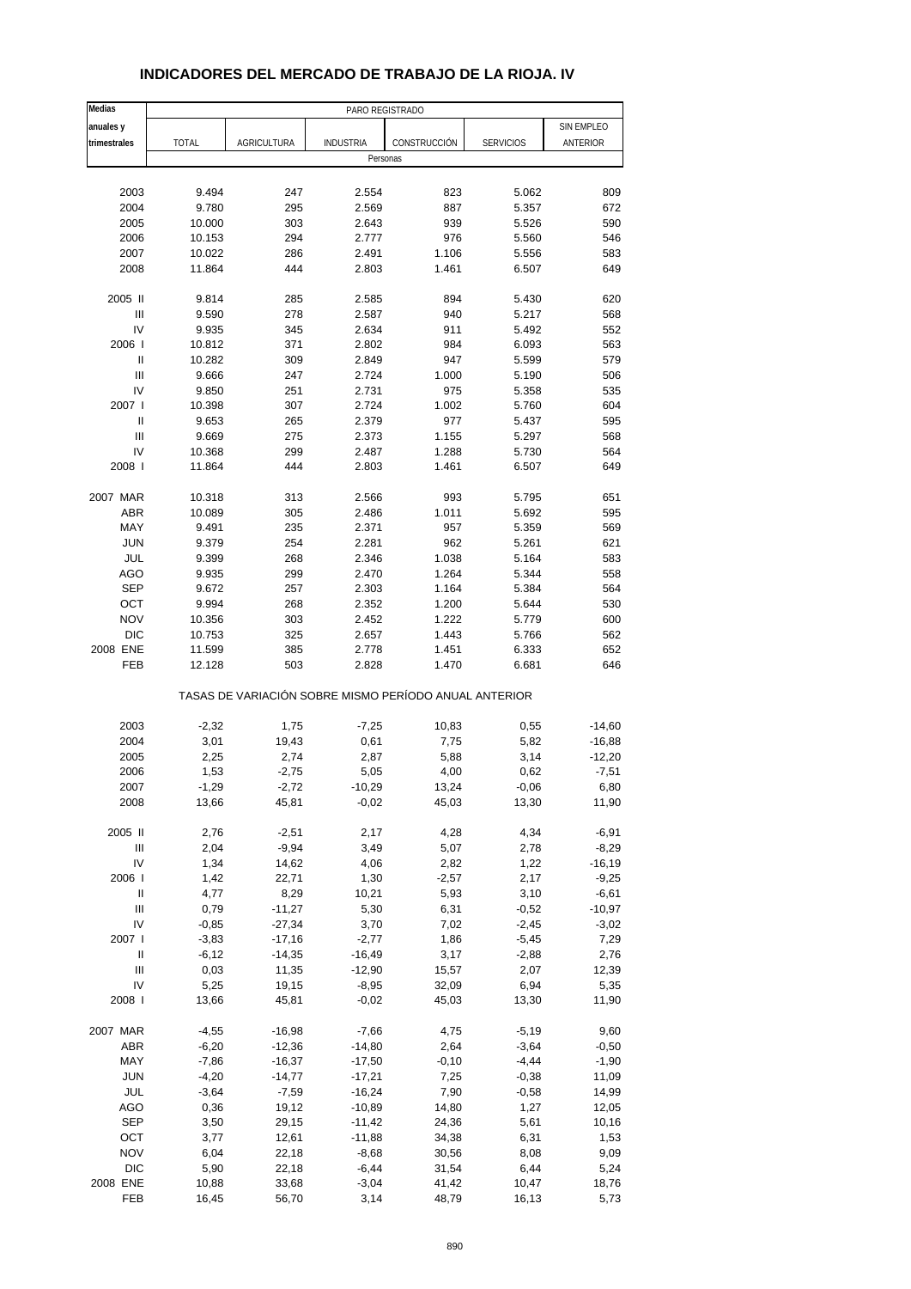| Medias                                  | PARO REGISTRADO    |                      |                     |                                                       |                    |               |
|-----------------------------------------|--------------------|----------------------|---------------------|-------------------------------------------------------|--------------------|---------------|
| anuales y                               |                    |                      |                     |                                                       |                    | SIN EMPLEO    |
| trimestrales                            | <b>TOTAL</b>       | AGRICULTURA          | <b>INDUSTRIA</b>    | CONSTRUCCIÓN                                          | <b>SERVICIOS</b>   | ANTERIOR      |
|                                         |                    |                      | Personas            |                                                       |                    |               |
|                                         |                    |                      |                     |                                                       |                    |               |
| 2003                                    | 9.494              | 247                  | 2.554               | 823                                                   | 5.062              | 809           |
| 2004                                    | 9.780              | 295                  | 2.569               | 887                                                   | 5.357              | 672           |
| 2005                                    | 10.000             | 303                  | 2.643               | 939                                                   | 5.526              | 590           |
| 2006                                    | 10.153             | 294                  | 2.777               | 976                                                   | 5.560              | 546           |
| 2007                                    | 10.022             | 286                  | 2.491               | 1.106                                                 | 5.556              | 583           |
| 2008                                    | 11.864             | 444                  | 2.803               | 1.461                                                 | 6.507              | 649           |
|                                         |                    |                      |                     |                                                       |                    |               |
| 2005 II                                 | 9.814              | 285                  | 2.585               | 894                                                   | 5.430              | 620           |
| Ш                                       | 9.590              | 278                  | 2.587               | 940                                                   | 5.217              | 568           |
| IV                                      | 9.935              | 345                  | 2.634               | 911                                                   | 5.492              | 552           |
| 2006                                    | 10.812             | 371                  | 2.802               | 984                                                   | 6.093              | 563           |
| Ш                                       | 10.282             | 309                  | 2.849               | 947                                                   | 5.599              | 579           |
| III                                     | 9.666              | 247                  | 2.724               | 1.000                                                 | 5.190              | 506           |
| IV                                      | 9.850              | 251                  | 2.731               | 975                                                   | 5.358              | 535           |
| 2007 l                                  | 10.398             | 307                  | 2.724               | 1.002                                                 | 5.760              | 604           |
| Ш<br>$\ensuremath{\mathsf{III}}\xspace$ | 9.653              | 265                  | 2.379               | 977                                                   | 5.437              | 595           |
|                                         | 9.669              | 275                  | 2.373               | 1.155                                                 | 5.297              | 568           |
| IV<br>2008                              | 10.368             | 299<br>444           | 2.487<br>2.803      | 1.288<br>1.461                                        | 5.730              | 564<br>649    |
|                                         | 11.864             |                      |                     |                                                       | 6.507              |               |
| 2007 MAR                                | 10.318             | 313                  | 2.566               | 993                                                   | 5.795              | 651           |
| <b>ABR</b>                              | 10.089             | 305                  | 2.486               | 1.011                                                 | 5.692              | 595           |
| MAY                                     | 9.491              | 235                  | 2.371               | 957                                                   | 5.359              | 569           |
| <b>JUN</b>                              | 9.379              | 254                  | 2.281               | 962                                                   | 5.261              | 621           |
| JUL                                     | 9.399              | 268                  | 2.346               | 1.038                                                 | 5.164              | 583           |
| AGO                                     | 9.935              | 299                  | 2.470               | 1.264                                                 | 5.344              | 558           |
| <b>SEP</b>                              | 9.672              | 257                  | 2.303               | 1.164                                                 | 5.384              | 564           |
| OCT                                     | 9.994              | 268                  | 2.352               | 1.200                                                 | 5.644              | 530           |
| <b>NOV</b>                              | 10.356             | 303                  | 2.452               | 1.222                                                 | 5.779              | 600           |
| <b>DIC</b>                              | 10.753             | 325                  | 2.657               | 1.443                                                 | 5.766              | 562           |
| 2008 ENE                                | 11.599             | 385                  | 2.778               | 1.451                                                 | 6.333              | 652           |
| FEB                                     | 12.128             | 503                  | 2.828               | 1.470                                                 | 6.681              | 646           |
|                                         |                    |                      |                     | TASAS DE VARIACIÓN SOBRE MISMO PERÍODO ANUAL ANTERIOR |                    |               |
|                                         |                    |                      |                     |                                                       |                    |               |
| 2003                                    | $-2,32$            | 1,75                 | $-7,25$             | 10,83                                                 | 0,55               | $-14,60$      |
| 2004                                    | 3,01               | 19,43                | 0,61                | 7,75                                                  | 5,82               | $-16,88$      |
| 2005                                    | 2,25               | 2,74                 | 2,87                | 5,88                                                  | 3,14               | $-12,20$      |
| 2006                                    | 1,53               | $-2,75$              | 5,05                | 4,00                                                  | 0,62               | $-7,51$       |
| 2007<br>2008                            | -1,29<br>13,66     | $-2,72$<br>45,81     | -10,29<br>$-0,02$   | 13,24<br>45,03                                        | $-0,06$<br>13,30   | 6,80<br>11,90 |
|                                         |                    |                      |                     |                                                       |                    |               |
| 2005 II                                 | 2,76               | $-2,51$              | 2,17                | 4,28                                                  | 4,34               | $-6,91$       |
| $\ensuremath{\mathsf{III}}\xspace$      | 2,04               | $-9,94$              | 3,49                | 5,07                                                  | 2,78               | $-8,29$       |
| IV                                      | 1,34               | 14,62                | 4,06                | 2,82                                                  | 1,22               | $-16,19$      |
| 2006                                    | 1,42               | 22,71                | 1,30                | $-2,57$                                               | 2,17               | $-9,25$       |
| Ш                                       | 4,77               | 8,29                 | 10,21               | 5,93                                                  | 3,10               | $-6,61$       |
| Ш<br>IV                                 | 0,79               | $-11,27$             | 5,30                | 6,31                                                  | $-0,52$            | $-10,97$      |
|                                         | $-0,85$            | $-27,34$             | 3,70                | 7,02                                                  | $-2,45$            | $-3,02$       |
| 2007 l<br>Ш                             | $-3,83$<br>$-6,12$ | $-17,16$<br>$-14,35$ | $-2,77$<br>$-16,49$ | 1,86<br>3,17                                          | $-5,45$<br>$-2,88$ | 7,29<br>2,76  |
| $\ensuremath{\mathsf{III}}\xspace$      | 0,03               | 11,35                | $-12,90$            | 15,57                                                 | 2,07               | 12,39         |
| IV                                      | 5,25               | 19,15                | $-8,95$             | 32,09                                                 | 6,94               | 5,35          |
| 2008                                    | 13,66              | 45,81                | $-0,02$             | 45,03                                                 | 13,30              | 11,90         |
|                                         |                    |                      |                     |                                                       |                    |               |
| 2007 MAR                                | $-4,55$            | $-16,98$             | $-7,66$             | 4,75                                                  | $-5,19$            | 9,60          |
| ABR                                     | $-6,20$            | $-12,36$             | $-14,80$            | 2,64                                                  | $-3,64$            | $-0,50$       |
| MAY                                     | $-7,86$            | $-16,37$             | $-17,50$            | $-0,10$                                               | $-4,44$            | $-1,90$       |
| <b>JUN</b>                              | $-4,20$            | $-14,77$             | $-17,21$            | 7,25                                                  | $-0,38$            | 11,09         |
| JUL                                     | $-3,64$            | $-7,59$              | $-16,24$            | 7,90                                                  | $-0,58$            | 14,99         |
| AGO                                     | 0,36               | 19,12                | $-10,89$            | 14,80                                                 | 1,27               | 12,05         |
| <b>SEP</b>                              | 3,50               | 29,15                | $-11,42$            | 24,36                                                 | 5,61               | 10,16         |
| OCT                                     | 3,77               | 12,61                | $-11,88$            | 34,38                                                 | 6,31               | 1,53          |
| <b>NOV</b>                              | 6,04               | 22,18                | $-8,68$             | 30,56                                                 | 8,08               | 9,09          |
| <b>DIC</b>                              | 5,90               | 22,18                | $-6,44$             | 31,54                                                 | 6,44               | 5,24          |
| 2008 ENE<br>FEB                         | 10,88<br>16,45     | 33,68<br>56,70       | $-3,04$<br>3,14     | 41,42<br>48,79                                        | 10,47<br>16,13     | 18,76<br>5,73 |
|                                         |                    |                      |                     |                                                       |                    |               |

## **INDICADORES DEL MERCADO DE TRABAJO DE LA RIOJA. IV**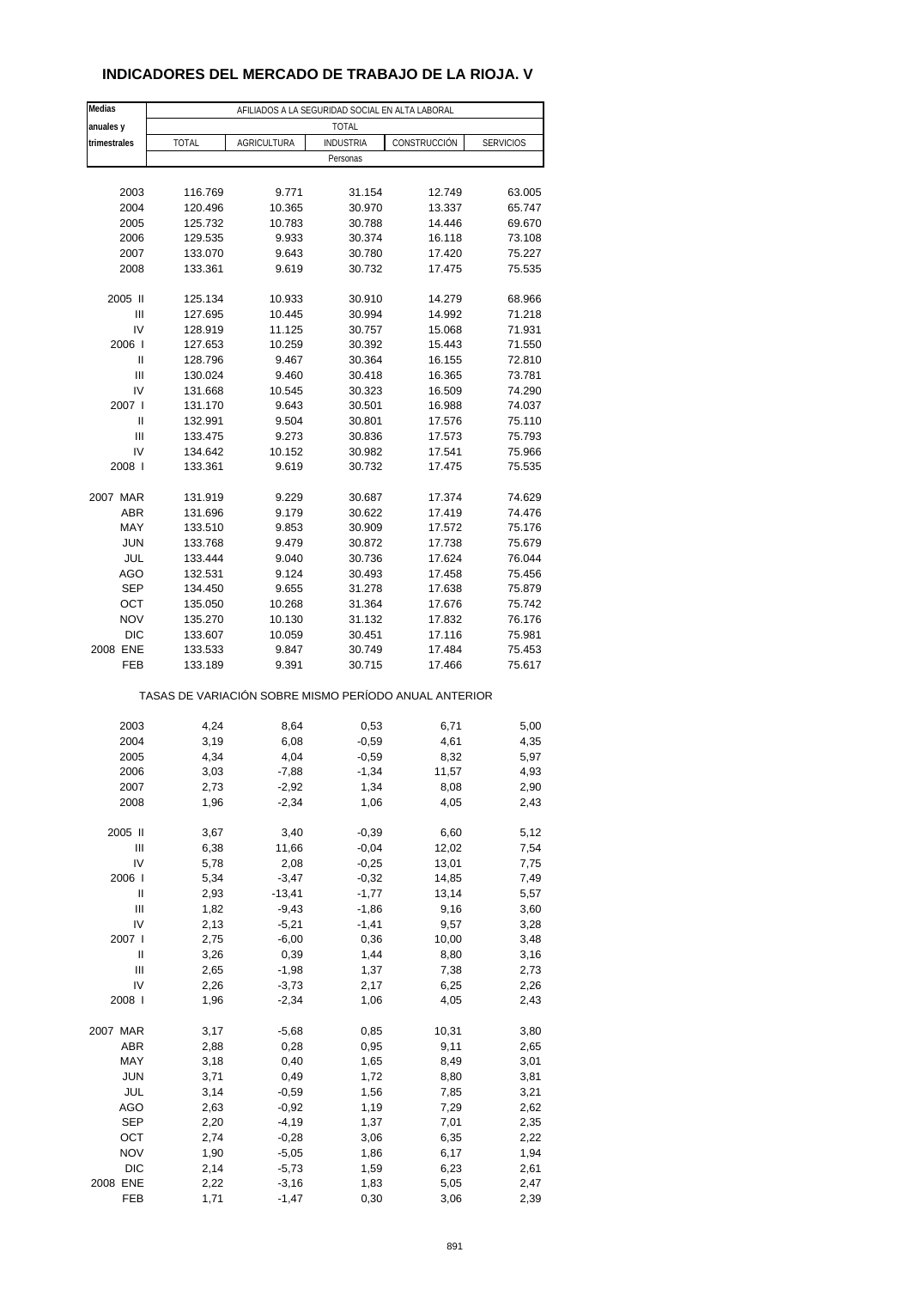## **INDICADORES DEL MERCADO DE TRABAJO DE LA RIOJA. V**

| Medias                 | AFILIADOS A LA SEGURIDAD SOCIAL EN ALTA LABORAL       |                     |                    |                |                  |  |
|------------------------|-------------------------------------------------------|---------------------|--------------------|----------------|------------------|--|
| anuales y              |                                                       |                     | <b>TOTAL</b>       |                |                  |  |
| trimestrales           | <b>TOTAL</b>                                          | AGRICULTURA         | <b>INDUSTRIA</b>   | CONSTRUCCIÓN   | <b>SERVICIOS</b> |  |
|                        |                                                       |                     | Personas           |                |                  |  |
|                        |                                                       |                     |                    |                |                  |  |
| 2003                   | 116.769                                               | 9.771               | 31.154             | 12.749         | 63.005           |  |
| 2004                   | 120.496                                               | 10.365              | 30.970             | 13.337         | 65.747           |  |
| 2005                   | 125.732                                               | 10.783              | 30.788             | 14.446         | 69.670           |  |
| 2006                   | 129.535                                               | 9.933               | 30.374             | 16.118         | 73.108           |  |
| 2007                   | 133.070                                               | 9.643               | 30.780             | 17.420         | 75.227           |  |
| 2008                   | 133.361                                               | 9.619               | 30.732             | 17.475         | 75.535           |  |
|                        |                                                       |                     |                    |                |                  |  |
| 2005 II                | 125.134                                               | 10.933              | 30.910             | 14.279         | 68.966           |  |
| Ш                      | 127.695                                               | 10.445              | 30.994             | 14.992         | 71.218           |  |
| IV                     | 128.919                                               | 11.125              | 30.757             | 15.068         | 71.931           |  |
| 2006                   | 127.653                                               | 10.259              | 30.392             | 15.443         | 71.550           |  |
| Ш                      | 128.796                                               | 9.467               | 30.364             | 16.155         | 72.810           |  |
| $\mathsf{III}$         | 130.024                                               | 9.460               | 30.418             | 16.365         | 73.781           |  |
| IV                     | 131.668                                               | 10.545              | 30.323             | 16.509         | 74.290           |  |
| 2007 l                 | 131.170                                               | 9.643               | 30.501             | 16.988         | 74.037           |  |
| Ш                      | 132.991                                               | 9.504               | 30.801             | 17.576         | 75.110           |  |
| Ш                      | 133.475                                               | 9.273               | 30.836             | 17.573         | 75.793           |  |
| IV                     | 134.642                                               | 10.152<br>9.619     | 30.982             | 17.541         | 75.966           |  |
| 2008                   | 133.361                                               |                     | 30.732             | 17.475         | 75.535           |  |
|                        |                                                       |                     |                    |                |                  |  |
| 2007 MAR               | 131.919                                               | 9.229               | 30.687             | 17.374         | 74.629           |  |
| <b>ABR</b><br>MAY      | 131.696                                               | 9.179               | 30.622             | 17.419         | 74.476           |  |
|                        | 133.510                                               | 9.853               | 30.909             | 17.572         | 75.176           |  |
| <b>JUN</b>             | 133.768                                               | 9.479               | 30.872             | 17.738         | 75.679           |  |
| JUL                    | 133.444                                               | 9.040               | 30.736             | 17.624         | 76.044           |  |
| AGO<br><b>SEP</b>      | 132.531                                               | 9.124               | 30.493             | 17.458         | 75.456           |  |
|                        | 134.450                                               | 9.655               | 31.278             | 17.638         | 75.879           |  |
| OCT                    | 135.050                                               | 10.268              | 31.364             | 17.676         | 75.742           |  |
| <b>NOV</b>             | 135.270                                               | 10.130              | 31.132             | 17.832         | 76.176           |  |
| <b>DIC</b><br>2008 ENE | 133.607                                               | 10.059              | 30.451             | 17.116         | 75.981           |  |
| FEB                    | 133.533                                               | 9.847               | 30.749             | 17.484         | 75.453           |  |
|                        | 133.189                                               | 9.391               | 30.715             | 17.466         | 75.617           |  |
|                        | TASAS DE VARIACIÓN SOBRE MISMO PERÍODO ANUAL ANTERIOR |                     |                    |                |                  |  |
|                        |                                                       |                     |                    |                |                  |  |
| 2003                   | 4,24                                                  | 8,64                | 0,53               | 6,71           | 5,00             |  |
| 2004                   | 3,19                                                  | 6,08                | $-0,59$            | 4,61           | 4,35             |  |
| 2005                   | 4,34                                                  | 4,04                | -0,59              | 8,32           | 5,97             |  |
| 2006                   | 3,03                                                  | $-7,88$             | $-1,34$            | 11,57          | 4,93             |  |
| 2007                   | 2,73                                                  | -2,92               | 1,34               | 8,08           | 2,90             |  |
| 2008                   | 1,96                                                  | $-2,34$             | 1,06               | 4,05           | 2,43             |  |
| 2005 II                |                                                       |                     | $-0,39$            |                |                  |  |
|                        | 3,67                                                  | 3,40                |                    | 6,60           | 5,12             |  |
| Ш<br>IV                | 6,38<br>5,78                                          | 11,66<br>2,08       | $-0,04$<br>$-0,25$ | 12,02<br>13,01 | 7,54<br>7,75     |  |
| 2006                   | 5,34                                                  |                     |                    | 14,85          |                  |  |
| Ш                      | 2,93                                                  | $-3,47$<br>$-13,41$ | $-0,32$<br>$-1,77$ | 13,14          | 7,49<br>5,57     |  |
| Ш                      | 1,82                                                  | $-9,43$             | $-1,86$            | 9,16           | 3,60             |  |
| IV                     | 2,13                                                  | $-5,21$             | $-1,41$            | 9,57           | 3,28             |  |
| 2007 l                 | 2,75                                                  | $-6,00$             | 0,36               | 10,00          | 3,48             |  |
| Ш                      | 3,26                                                  | 0,39                | 1,44               | 8,80           | 3,16             |  |
| Ш                      | 2,65                                                  | $-1,98$             | 1,37               | 7,38           | 2,73             |  |
| IV                     | 2,26                                                  | $-3,73$             | 2,17               | 6,25           | 2,26             |  |
| 2008                   | 1,96                                                  | $-2,34$             | 1,06               | 4,05           | 2,43             |  |
|                        |                                                       |                     |                    |                |                  |  |
| 2007 MAR               | 3,17                                                  | $-5,68$             | 0,85               | 10,31          | 3,80             |  |
| ABR                    | 2,88                                                  | 0,28                | 0,95               | 9,11           | 2,65             |  |
| MAY                    | 3,18                                                  | 0,40                | 1,65               | 8,49           | 3,01             |  |
| <b>JUN</b>             | 3,71                                                  | 0,49                | 1,72               | 8,80           | 3,81             |  |
| JUL                    | 3,14                                                  | $-0,59$             | 1,56               | 7,85           | 3,21             |  |
| AGO                    | 2,63                                                  | $-0,92$             | 1,19               | 7,29           | 2,62             |  |
| <b>SEP</b>             | 2,20                                                  | $-4,19$             | 1,37               | 7,01           | 2,35             |  |
| OCT                    | 2,74                                                  | $-0,28$             | 3,06               | 6,35           | 2,22             |  |
| <b>NOV</b>             | 1,90                                                  | $-5,05$             | 1,86               | 6,17           | 1,94             |  |
| <b>DIC</b>             | 2,14                                                  | $-5,73$             | 1,59               | 6,23           | 2,61             |  |
| 2008 ENE               | 2,22                                                  | $-3,16$             | 1,83               | 5,05           | 2,47             |  |
| FEB                    | 1,71                                                  | $-1,47$             | 0,30               | 3,06           | 2,39             |  |
|                        |                                                       |                     |                    |                |                  |  |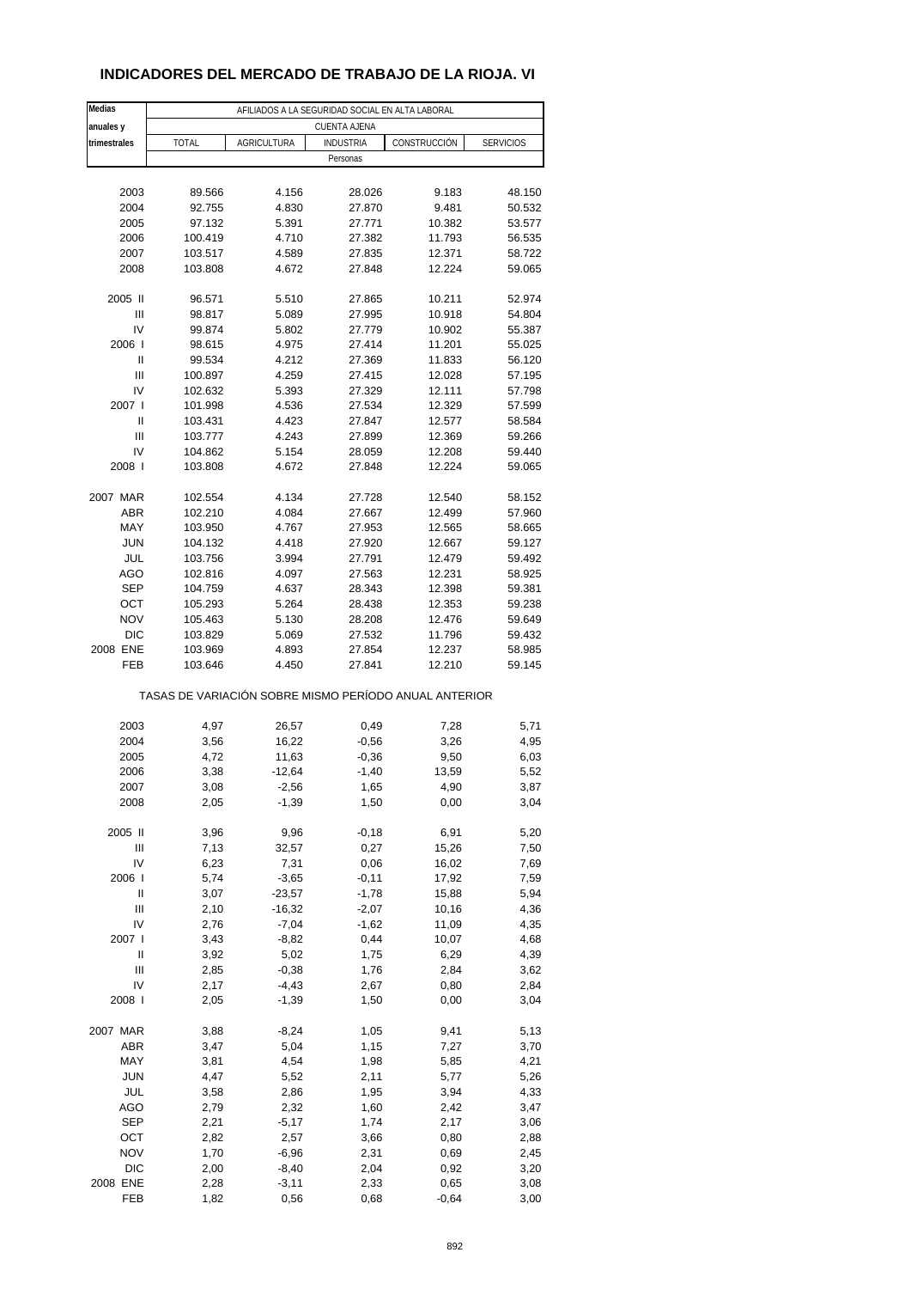## **INDICADORES DEL MERCADO DE TRABAJO DE LA RIOJA. VI**

| Medias              | AFILIADOS A LA SEGURIDAD SOCIAL EN ALTA LABORAL       |                    |                  |                  |                  |  |
|---------------------|-------------------------------------------------------|--------------------|------------------|------------------|------------------|--|
| anuales y           |                                                       |                    | CUENTA AJENA     |                  |                  |  |
| trimestrales        | <b>TOTAL</b>                                          | AGRICULTURA        | <b>INDUSTRIA</b> | CONSTRUCCIÓN     | <b>SERVICIOS</b> |  |
|                     |                                                       |                    | Personas         |                  |                  |  |
|                     |                                                       |                    |                  |                  |                  |  |
| 2003                | 89.566                                                | 4.156              | 28.026           | 9.183            | 48.150           |  |
| 2004<br>2005        | 92.755<br>97.132                                      | 4.830<br>5.391     | 27.870<br>27.771 | 9.481<br>10.382  | 50.532<br>53.577 |  |
| 2006                | 100.419                                               | 4.710              | 27.382           | 11.793           | 56.535           |  |
| 2007                | 103.517                                               | 4.589              | 27.835           | 12.371           | 58.722           |  |
| 2008                | 103.808                                               | 4.672              | 27.848           | 12.224           | 59.065           |  |
|                     |                                                       |                    |                  |                  |                  |  |
| 2005 II             | 96.571                                                | 5.510              | 27.865           | 10.211           | 52.974           |  |
| Ш                   | 98.817                                                | 5.089              | 27.995           | 10.918           | 54.804           |  |
| IV                  | 99.874                                                | 5.802              | 27.779           | 10.902           | 55.387           |  |
| 2006                | 98.615                                                | 4.975              | 27.414           | 11.201           | 55.025           |  |
| Ш<br>$\mathsf{III}$ | 99.534<br>100.897                                     | 4.212<br>4.259     | 27.369<br>27.415 | 11.833<br>12.028 | 56.120<br>57.195 |  |
| IV                  | 102.632                                               | 5.393              | 27.329           | 12.111           | 57.798           |  |
| 2007 l              | 101.998                                               | 4.536              | 27.534           | 12.329           | 57.599           |  |
| Ш                   | 103.431                                               | 4.423              | 27.847           | 12.577           | 58.584           |  |
| Ш                   | 103.777                                               | 4.243              | 27.899           | 12.369           | 59.266           |  |
| IV                  | 104.862                                               | 5.154              | 28.059           | 12.208           | 59.440           |  |
| 2008                | 103.808                                               | 4.672              | 27.848           | 12.224           | 59.065           |  |
|                     |                                                       |                    |                  |                  |                  |  |
| 2007 MAR            | 102.554                                               | 4.134              | 27.728           | 12.540           | 58.152           |  |
| <b>ABR</b><br>MAY   | 102.210<br>103.950                                    | 4.084<br>4.767     | 27.667<br>27.953 | 12.499<br>12.565 | 57.960<br>58.665 |  |
| <b>JUN</b>          | 104.132                                               | 4.418              | 27.920           | 12.667           | 59.127           |  |
| JUL                 | 103.756                                               | 3.994              | 27.791           | 12.479           | 59.492           |  |
| AGO                 | 102.816                                               | 4.097              | 27.563           | 12.231           | 58.925           |  |
| <b>SEP</b>          | 104.759                                               | 4.637              | 28.343           | 12.398           | 59.381           |  |
| OCT                 | 105.293                                               | 5.264              | 28.438           | 12.353           | 59.238           |  |
| <b>NOV</b>          | 105.463                                               | 5.130              | 28.208           | 12.476           | 59.649           |  |
| DIC                 | 103.829                                               | 5.069              | 27.532           | 11.796           | 59.432           |  |
| 2008 ENE            | 103.969                                               | 4.893              | 27.854           | 12.237           | 58.985           |  |
| FEB                 | 103.646                                               | 4.450              | 27.841           | 12.210           | 59.145           |  |
|                     | TASAS DE VARIACIÓN SOBRE MISMO PERÍODO ANUAL ANTERIOR |                    |                  |                  |                  |  |
|                     |                                                       |                    |                  |                  |                  |  |
| 2003<br>2004        | 4,97<br>3,56                                          | 26,57<br>16,22     | 0,49<br>$-0,56$  | 7,28<br>3,26     | 5,71<br>4,95     |  |
| 2005                | 4,72                                                  | 11,63              | $-0,36$          | 9,50             | 6,03             |  |
| 2006                | 3,38                                                  | $-12,64$           | $-1,40$          | 13,59            | 5,52             |  |
| 2007                | 3,08                                                  | -2,56              | 1,65             | 4,90             | 3,87             |  |
| 2008                | 2,05                                                  | $-1,39$            | 1,50             | 0,00             | 3,04             |  |
|                     |                                                       |                    |                  |                  |                  |  |
| 2005 II             | 3,96                                                  | 9,96               | $-0,18$          | 6,91             | 5,20             |  |
| Ш                   | 7,13                                                  | 32,57              | 0,27             | 15,26            | 7,50             |  |
| IV<br>2006          | 6,23<br>5,74                                          | 7,31<br>$-3,65$    | 0,06<br>$-0,11$  | 16,02<br>17,92   | 7,69<br>7,59     |  |
| Ш                   | 3,07                                                  | $-23,57$           | $-1,78$          | 15,88            | 5,94             |  |
| Ш                   | 2,10                                                  | $-16,32$           | $-2,07$          | 10,16            | 4,36             |  |
| IV                  | 2,76                                                  | $-7,04$            | $-1,62$          | 11,09            | 4,35             |  |
| 2007 l              | 3,43                                                  | $-8,82$            | 0,44             | 10,07            | 4,68             |  |
| Ш                   | 3,92                                                  | 5,02               | 1,75             | 6,29             | 4,39             |  |
| Ш                   | 2,85                                                  | $-0,38$            | 1,76             | 2,84             | 3,62             |  |
| IV                  | 2,17                                                  | $-4,43$            | 2,67             | 0,80             | 2,84             |  |
| 2008                | 2,05                                                  | $-1,39$            | 1,50             | 0,00             | 3,04             |  |
| 2007 MAR            | 3,88                                                  | $-8,24$            | 1,05             | 9,41             | 5,13             |  |
| ABR                 | 3,47                                                  | 5,04               | 1,15             | 7,27             | 3,70             |  |
| MAY                 | 3,81                                                  | 4,54               | 1,98             | 5,85             | 4,21             |  |
| <b>JUN</b>          | 4,47                                                  | 5,52               | 2,11             | 5,77             | 5,26             |  |
| JUL                 | 3,58                                                  | 2,86               | 1,95             | 3,94             | 4,33             |  |
| AGO                 | 2,79                                                  | 2,32               | 1,60             | 2,42             | 3,47             |  |
| SEP                 | 2,21                                                  | $-5,17$            | 1,74             | 2,17             | 3,06             |  |
| OCT<br><b>NOV</b>   | 2,82<br>1,70                                          | 2,57               | 3,66             | 0,80             | 2,88             |  |
| <b>DIC</b>          | 2,00                                                  | $-6,96$<br>$-8,40$ | 2,31<br>2,04     | 0,69<br>0,92     | 2,45<br>3,20     |  |
| 2008 ENE            | 2,28                                                  | $-3,11$            | 2,33             | 0,65             | 3,08             |  |
| FEB                 | 1,82                                                  | 0,56               | 0,68             | $-0,64$          | 3,00             |  |
|                     |                                                       |                    |                  |                  |                  |  |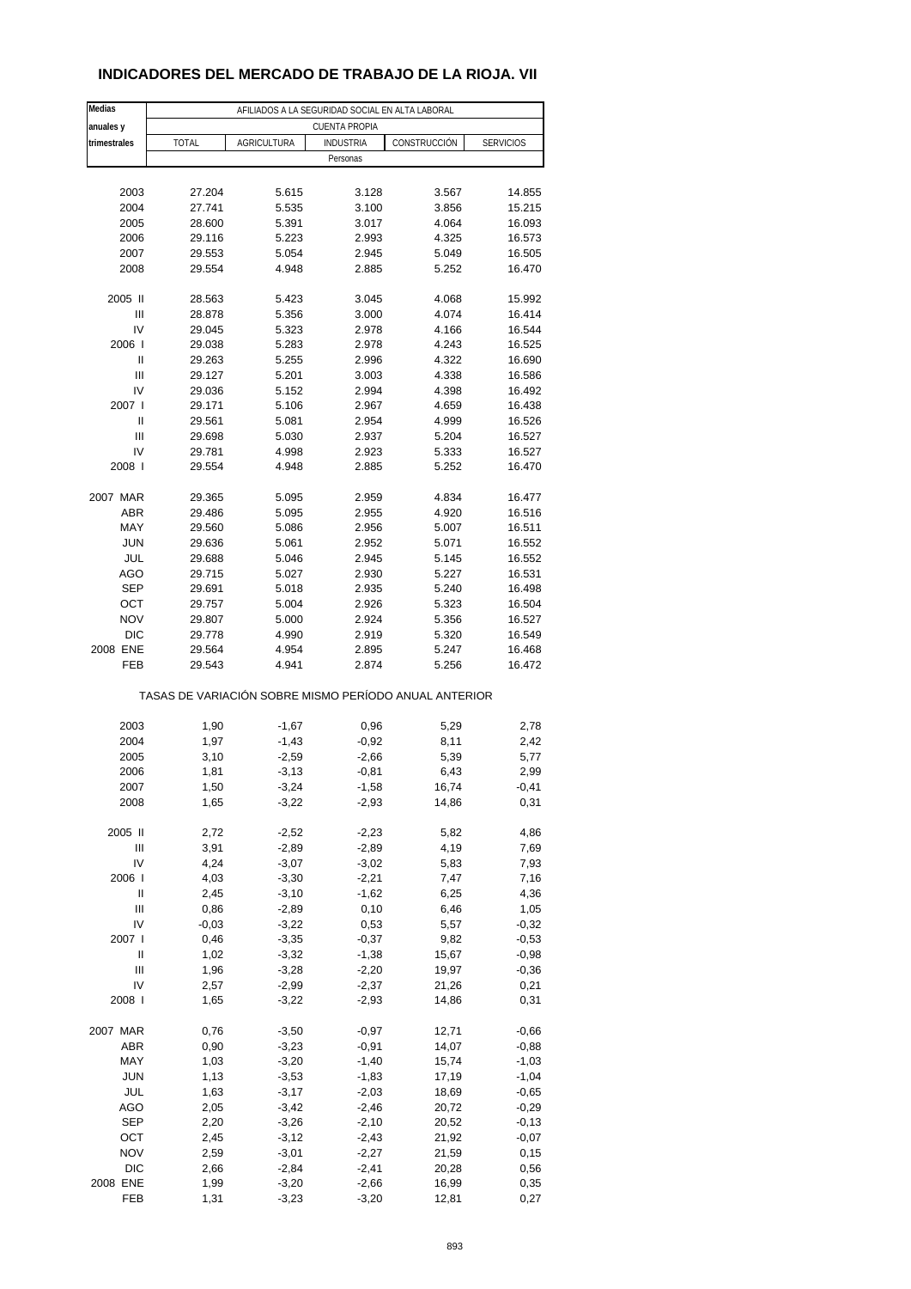## **INDICADORES DEL MERCADO DE TRABAJO DE LA RIOJA. VII**

| Medias       | AFILIADOS A LA SEGURIDAD SOCIAL EN ALTA LABORAL       |                    |                      |                |                    |  |
|--------------|-------------------------------------------------------|--------------------|----------------------|----------------|--------------------|--|
| anuales y    |                                                       |                    | <b>CUENTA PROPIA</b> |                |                    |  |
| trimestrales | <b>TOTAL</b>                                          | <b>AGRICULTURA</b> | <b>INDUSTRIA</b>     | CONSTRUCCIÓN   | <b>SERVICIOS</b>   |  |
|              |                                                       |                    | Personas             |                |                    |  |
|              |                                                       |                    |                      |                |                    |  |
| 2003         | 27.204                                                | 5.615              | 3.128                | 3.567          | 14.855             |  |
| 2004         | 27.741                                                | 5.535              | 3.100                | 3.856          | 15.215             |  |
| 2005<br>2006 | 28.600<br>29.116                                      | 5.391<br>5.223     | 3.017<br>2.993       | 4.064<br>4.325 | 16.093<br>16.573   |  |
| 2007         | 29.553                                                | 5.054              | 2.945                | 5.049          | 16.505             |  |
| 2008         | 29.554                                                | 4.948              | 2.885                | 5.252          | 16.470             |  |
|              |                                                       |                    |                      |                |                    |  |
| 2005 II      | 28.563                                                | 5.423              | 3.045                | 4.068          | 15.992             |  |
| Ш            | 28.878                                                | 5.356              | 3.000                | 4.074          | 16.414             |  |
| IV           | 29.045                                                | 5.323              | 2.978                | 4.166          | 16.544             |  |
| 2006         | 29.038                                                | 5.283              | 2.978                | 4.243          | 16.525             |  |
| Ш            | 29.263                                                | 5.255              | 2.996                | 4.322          | 16.690             |  |
| Ш            | 29.127                                                | 5.201              | 3.003                | 4.338          | 16.586             |  |
| IV           | 29.036                                                | 5.152              | 2.994                | 4.398          | 16.492             |  |
| 2007 l       | 29.171                                                | 5.106              | 2.967                | 4.659          | 16.438             |  |
| Ш            | 29.561                                                | 5.081              | 2.954                | 4.999          | 16.526             |  |
| Ш<br>IV      | 29.698                                                | 5.030              | 2.937                | 5.204<br>5.333 | 16.527             |  |
| 2008         | 29.781<br>29.554                                      | 4.998<br>4.948     | 2.923<br>2.885       | 5.252          | 16.527<br>16.470   |  |
|              |                                                       |                    |                      |                |                    |  |
| 2007 MAR     | 29.365                                                | 5.095              | 2.959                | 4.834          | 16.477             |  |
| <b>ABR</b>   | 29.486                                                | 5.095              | 2.955                | 4.920          | 16.516             |  |
| MAY          | 29.560                                                | 5.086              | 2.956                | 5.007          | 16.511             |  |
| <b>JUN</b>   | 29.636                                                | 5.061              | 2.952                | 5.071          | 16.552             |  |
| JUL          | 29.688                                                | 5.046              | 2.945                | 5.145          | 16.552             |  |
| AGO          | 29.715                                                | 5.027              | 2.930                | 5.227          | 16.531             |  |
| <b>SEP</b>   | 29.691                                                | 5.018              | 2.935                | 5.240          | 16.498             |  |
| OCT          | 29.757                                                | 5.004              | 2.926                | 5.323          | 16.504             |  |
| <b>NOV</b>   | 29.807                                                | 5.000              | 2.924                | 5.356          | 16.527             |  |
| <b>DIC</b>   | 29.778                                                | 4.990              | 2.919                | 5.320          | 16.549             |  |
| 2008 ENE     | 29.564                                                | 4.954              | 2.895                | 5.247          | 16.468             |  |
| FEB          | 29.543                                                | 4.941              | 2.874                | 5.256          | 16.472             |  |
|              | TASAS DE VARIACIÓN SOBRE MISMO PERÍODO ANUAL ANTERIOR |                    |                      |                |                    |  |
| 2003         | 1,90                                                  | $-1,67$            | 0,96                 | 5,29           | 2,78               |  |
| 2004         | 1,97                                                  | $-1,43$            | $-0,92$              | 8,11           | 2,42               |  |
| 2005         | 3,10                                                  | $-2,59$            | $-2,66$              | 5,39           | 5,77               |  |
| 2006         | 1,81                                                  | $-3,13$            | $-0,81$              | 6,43           | 2,99               |  |
| 2007         | 1,50                                                  | $-3,24$            | -1,58                | 16,74          | -0,41              |  |
| 2008         | 1,65                                                  | $-3,22$            | $-2,93$              | 14,86          | 0,31               |  |
|              |                                                       |                    |                      |                |                    |  |
| 2005 II      | 2,72                                                  | $-2,52$            | $-2,23$              | 5,82           | 4,86               |  |
| Ш            | 3,91                                                  | $-2,89$            | $-2,89$              | 4,19           | 7,69               |  |
| IV           | 4,24                                                  | $-3,07$            | $-3,02$              | 5,83           | 7,93               |  |
| 2006         | 4,03                                                  | $-3,30$            | $-2,21$              | 7,47           | 7,16               |  |
| Ш            | 2,45                                                  | $-3,10$            | $-1,62$              | 6,25           | 4,36               |  |
| Ш            | 0,86                                                  | $-2,89$            | 0,10                 | 6,46           | 1,05               |  |
| IV           | $-0,03$                                               | $-3,22$            | 0,53                 | 5,57<br>9,82   | $-0,32$            |  |
| 2007 l       | 0,46                                                  | $-3,35$            | $-0,37$              |                | $-0,53$            |  |
| Ш<br>Ш       | 1,02<br>1,96                                          | $-3,32$<br>$-3,28$ | $-1,38$<br>$-2,20$   | 15,67<br>19,97 | $-0,98$<br>$-0,36$ |  |
| IV           | 2,57                                                  | $-2,99$            | $-2,37$              | 21,26          | 0,21               |  |
| 2008         | 1,65                                                  | $-3,22$            | $-2,93$              | 14,86          | 0,31               |  |
|              |                                                       |                    |                      |                |                    |  |
| 2007 MAR     | 0,76                                                  | $-3,50$            | $-0,97$              | 12,71          | $-0,66$            |  |
| ABR          | 0,90                                                  | $-3,23$            | $-0,91$              | 14,07          | $-0,88$            |  |
| MAY          | 1,03                                                  | $-3,20$            | $-1,40$              | 15,74          | $-1,03$            |  |
| <b>JUN</b>   | 1,13                                                  | $-3,53$            | $-1,83$              | 17,19          | $-1,04$            |  |
| JUL          | 1,63                                                  | $-3,17$            | $-2,03$              | 18,69          | $-0,65$            |  |
| <b>AGO</b>   | 2,05                                                  | $-3,42$            | $-2,46$              | 20,72          | $-0,29$            |  |
| SEP          | 2,20                                                  | $-3,26$            | $-2,10$              | 20,52          | $-0,13$            |  |
| OCT          | 2,45                                                  | $-3,12$            | $-2,43$              | 21,92          | $-0,07$            |  |
| <b>NOV</b>   | 2,59                                                  | $-3,01$            | $-2,27$              | 21,59          | 0,15               |  |
| <b>DIC</b>   | 2,66                                                  | $-2,84$            | $-2,41$              | 20,28          | 0,56               |  |
| 2008 ENE     | 1,99                                                  | $-3,20$            | $-2,66$              | 16,99          | 0,35               |  |
| FEB          | 1,31                                                  | $-3,23$            | $-3,20$              | 12,81          | 0,27               |  |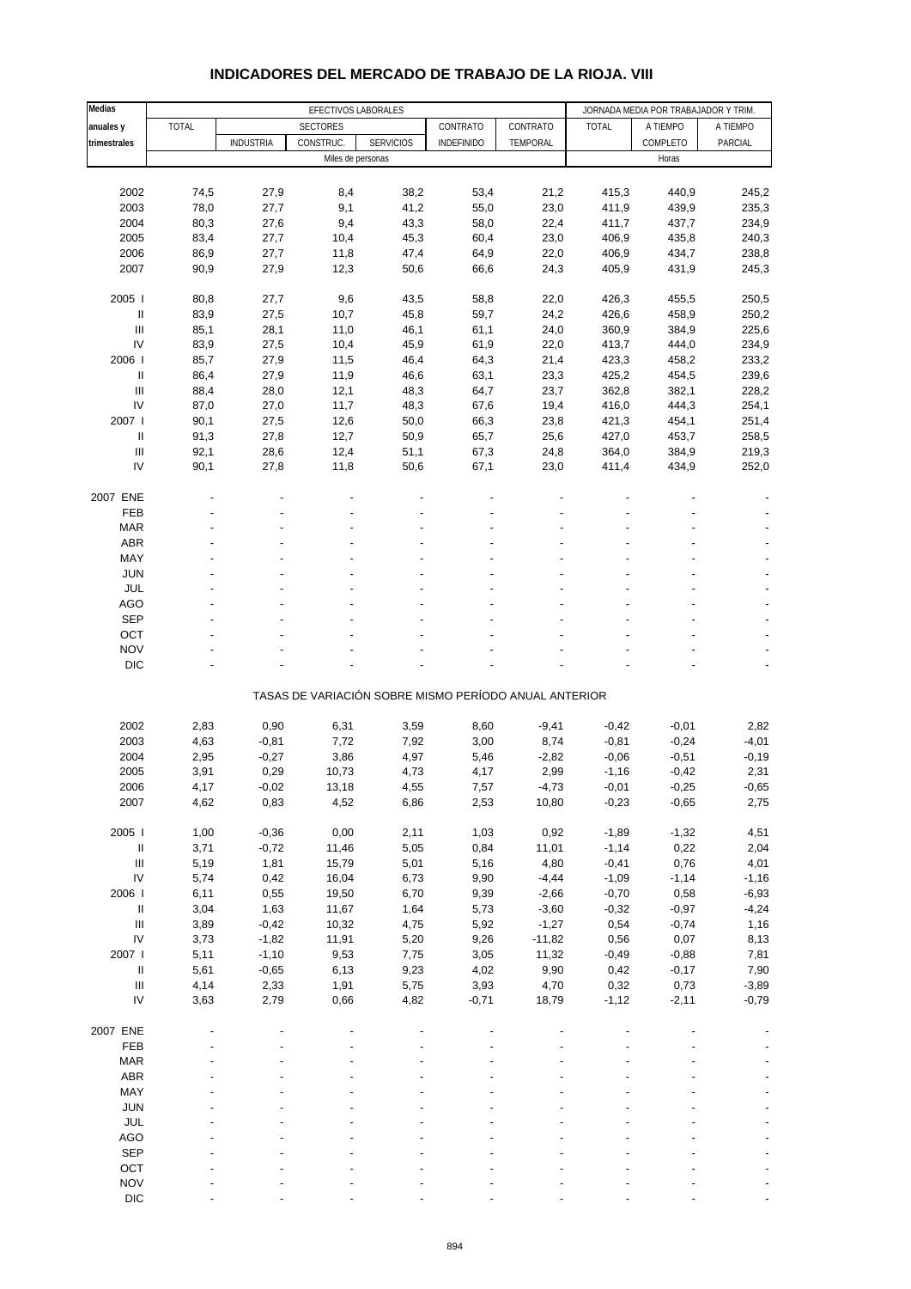| Medias                             |              | EFECTIVOS LABORALES |                                                       |                  |              |              | JORNADA MEDIA POR TRABAJADOR Y TRIM. |                |                |
|------------------------------------|--------------|---------------------|-------------------------------------------------------|------------------|--------------|--------------|--------------------------------------|----------------|----------------|
| anuales y                          | <b>TOTAL</b> |                     | <b>SECTORES</b>                                       |                  | CONTRATO     | CONTRATO     | <b>TOTAL</b>                         | A TIEMPO       | A TIEMPO       |
| trimestrales                       |              | <b>INDUSTRIA</b>    | CONSTRUC.                                             | <b>SERVICIOS</b> | INDEFINIDO   | TEMPORAL     |                                      | COMPLETO       | PARCIAL        |
|                                    |              |                     | Miles de personas                                     |                  |              |              |                                      | Horas          |                |
|                                    |              |                     |                                                       |                  |              |              |                                      |                |                |
| 2002                               | 74,5         | 27,9                | 8,4                                                   | 38,2             | 53,4         | 21,2         | 415,3                                | 440,9          | 245,2          |
| 2003                               | 78,0         | 27,7                | 9,1                                                   | 41,2             | 55,0         | 23,0         | 411,9                                | 439,9          | 235,3          |
| 2004                               | 80,3         | 27,6                | 9,4                                                   | 43,3             | 58,0         | 22,4         | 411,7                                | 437,7          | 234,9          |
| 2005                               | 83,4         | 27,7                | 10,4                                                  | 45,3             | 60,4         | 23,0         | 406,9                                | 435,8          | 240,3          |
| 2006                               | 86,9         | 27,7                | 11,8                                                  | 47,4             | 64,9         | 22,0         | 406,9                                | 434,7          | 238,8          |
| 2007                               | 90,9         | 27,9                | 12,3                                                  | 50,6             | 66,6         | 24,3         | 405,9                                | 431,9          | 245,3          |
|                                    |              |                     |                                                       |                  |              |              |                                      |                |                |
| 2005                               | 80,8         | 27,7                | 9,6                                                   | 43,5             | 58,8         | 22,0         | 426,3                                | 455,5          | 250,5          |
| $\ensuremath{\mathsf{II}}$         | 83,9         | 27,5                | 10,7                                                  | 45,8             | 59,7         | 24,2         | 426,6                                | 458,9          | 250,2          |
| $\mathsf{III}$                     | 85,1         | 28,1                | 11,0                                                  | 46,1             | 61,1         | 24,0         | 360,9                                | 384,9          | 225,6          |
| IV                                 | 83,9         | 27,5                | 10,4                                                  | 45,9             | 61,9         | 22,0         | 413,7                                | 444,0          | 234,9          |
| 2006                               | 85,7         | 27,9                | 11,5                                                  | 46,4             | 64,3         | 21,4         | 423,3                                | 458,2          | 233,2          |
| $\ensuremath{\mathsf{II}}$         | 86,4         | 27,9                | 11,9                                                  | 46,6             | 63,1         | 23,3         | 425,2                                | 454,5          | 239,6          |
| Ш                                  | 88,4         | 28,0                | 12,1                                                  | 48,3             | 64,7         | 23,7         | 362,8                                | 382,1          | 228,2          |
| IV                                 | 87,0         | 27,0                | 11,7                                                  | 48,3             | 67,6         | 19,4         | 416,0                                | 444,3          | 254,1          |
| 2007 l                             |              |                     |                                                       |                  |              |              |                                      |                |                |
| $\ensuremath{\mathsf{II}}$         | 90,1<br>91,3 | 27,5<br>27,8        | 12,6<br>12,7                                          | 50,0<br>50,9     | 66,3<br>65,7 | 23,8<br>25,6 | 421,3<br>427,0                       | 454,1<br>453,7 | 251,4<br>258,5 |
| $\ensuremath{\mathsf{III}}\xspace$ |              | 28,6                |                                                       |                  |              |              |                                      |                | 219,3          |
|                                    | 92,1         |                     | 12,4                                                  | 51,1             | 67,3         | 24,8         | 364,0                                | 384,9          |                |
| IV                                 | 90,1         | 27,8                | 11,8                                                  | 50,6             | 67,1         | 23,0         | 411,4                                | 434,9          | 252,0          |
|                                    |              |                     |                                                       |                  |              |              |                                      |                |                |
| 2007 ENE                           |              |                     |                                                       |                  |              |              |                                      |                |                |
| FEB                                |              |                     |                                                       |                  |              |              |                                      |                |                |
| <b>MAR</b>                         |              |                     |                                                       |                  |              |              |                                      |                |                |
| <b>ABR</b>                         |              |                     |                                                       |                  |              |              |                                      |                |                |
| MAY                                |              |                     |                                                       |                  |              |              |                                      |                |                |
| <b>JUN</b>                         |              |                     |                                                       |                  |              |              |                                      |                |                |
| JUL                                |              |                     |                                                       |                  |              |              |                                      |                |                |
| <b>AGO</b>                         |              |                     |                                                       |                  |              |              |                                      |                |                |
| <b>SEP</b>                         |              |                     |                                                       |                  |              |              |                                      |                |                |
| OCT                                |              |                     |                                                       |                  |              |              |                                      |                |                |
| <b>NOV</b>                         |              |                     |                                                       |                  |              |              |                                      |                |                |
| <b>DIC</b>                         |              |                     |                                                       |                  |              |              |                                      |                |                |
|                                    |              |                     |                                                       |                  |              |              |                                      |                |                |
|                                    |              |                     | TASAS DE VARIACIÓN SOBRE MISMO PERÍODO ANUAL ANTERIOR |                  |              |              |                                      |                |                |
|                                    |              |                     |                                                       |                  |              |              |                                      |                |                |
| 2002                               | 2,83         | 0,90                | 6,31                                                  | 3,59             | 8,60         | $-9,41$      | $-0,42$                              | $-0,01$        | 2,82           |
| 2003                               | 4,63         | $-0,81$             | 7,72                                                  | 7,92             | 3,00         | 8,74         | $-0,81$                              | $-0,24$        | $-4,01$        |
| 2004                               | 2,95         | $-0,27$             | 3,86                                                  | 4,97             | 5,46         | $-2,82$      | $-0,06$                              | $-0,51$        | $-0,19$        |
| 2005                               | 3,91         | 0,29                | 10,73                                                 | 4,73             | 4,17         | 2,99         | $-1,16$                              | $-0,42$        | 2,31           |
| 2006                               | 4,17         | -0,02               | 13,18                                                 | 4,55             | 7,57         | -4,73        | -0,01                                | $-0,25$        | -0,65          |
| 2007                               | 4,62         | 0,83                | 4,52                                                  | 6,86             | 2,53         | 10,80        | $-0,23$                              | $-0,65$        | 2,75           |
|                                    |              |                     |                                                       |                  |              |              |                                      |                |                |
| 2005 l                             | 1,00         | $-0,36$             | 0,00                                                  | 2,11             | 1,03         | 0,92         | $-1,89$                              | $-1,32$        | 4,51           |
| $\sf II$                           | 3,71         | $-0,72$             | 11,46                                                 | 5,05             | 0,84         | 11,01        | $-1,14$                              | 0,22           | 2,04           |
| $\ensuremath{\mathsf{III}}\xspace$ | 5,19         | 1,81                | 15,79                                                 | 5,01             | 5,16         | 4,80         | $-0,41$                              | 0,76           | 4,01           |
| IV                                 | 5,74         | 0,42                | 16,04                                                 | 6,73             | 9,90         | $-4,44$      | $-1,09$                              | $-1,14$        | $-1,16$        |
| 2006                               | 6,11         | 0,55                | 19,50                                                 | 6,70             | 9,39         | $-2,66$      | $-0,70$                              | 0,58           | $-6,93$        |
| $\sf II$                           | 3,04         | 1,63                | 11,67                                                 | 1,64             | 5,73         | $-3,60$      | $-0,32$                              | $-0,97$        | $-4,24$        |
| $\ensuremath{\mathsf{III}}\xspace$ | 3,89         | $-0,42$             | 10,32                                                 | 4,75             | 5,92         | $-1,27$      | 0,54                                 | $-0,74$        | 1,16           |
| ${\sf IV}$                         | 3,73         | $-1,82$             | 11,91                                                 | 5,20             | 9,26         | $-11,82$     | 0,56                                 | 0,07           | 8,13           |
| 2007 l                             | 5,11         | $-1,10$             | 9,53                                                  | 7,75             | 3,05         | 11,32        | $-0,49$                              | $-0,88$        | 7,81           |
| $\sf II$                           | 5,61         | $-0,65$             | 6,13                                                  | 9,23             | 4,02         | 9,90         | 0,42                                 | $-0,17$        | 7,90           |
| $\ensuremath{\mathsf{III}}\xspace$ | 4,14         | 2,33                | 1,91                                                  | 5,75             | 3,93         | 4,70         | 0,32                                 | 0,73           | $-3,89$        |
| IV                                 | 3,63         | 2,79                | 0,66                                                  | 4,82             | $-0,71$      | 18,79        | $-1,12$                              | $-2,11$        | $-0,79$        |
|                                    |              |                     |                                                       |                  |              |              |                                      |                |                |
| 2007 ENE                           |              |                     |                                                       |                  |              |              |                                      |                |                |
| FEB                                |              |                     |                                                       |                  |              |              |                                      |                |                |
| <b>MAR</b>                         |              |                     |                                                       |                  |              |              |                                      |                |                |
| ABR                                |              |                     |                                                       |                  |              |              |                                      |                |                |
| MAY                                |              |                     |                                                       |                  |              |              |                                      |                |                |
| <b>JUN</b>                         |              |                     |                                                       |                  |              |              |                                      |                |                |
| JUL                                |              |                     |                                                       |                  |              |              |                                      |                |                |
| <b>AGO</b>                         |              |                     |                                                       |                  |              |              |                                      |                |                |
| <b>SEP</b>                         |              |                     |                                                       |                  |              |              |                                      |                |                |
| OCT                                |              |                     |                                                       |                  |              |              |                                      |                |                |
| <b>NOV</b>                         |              |                     |                                                       |                  |              |              |                                      |                |                |
| DIC                                |              |                     |                                                       |                  |              |              |                                      |                |                |

## **INDICADORES DEL MERCADO DE TRABAJO DE LA RIOJA. VIII**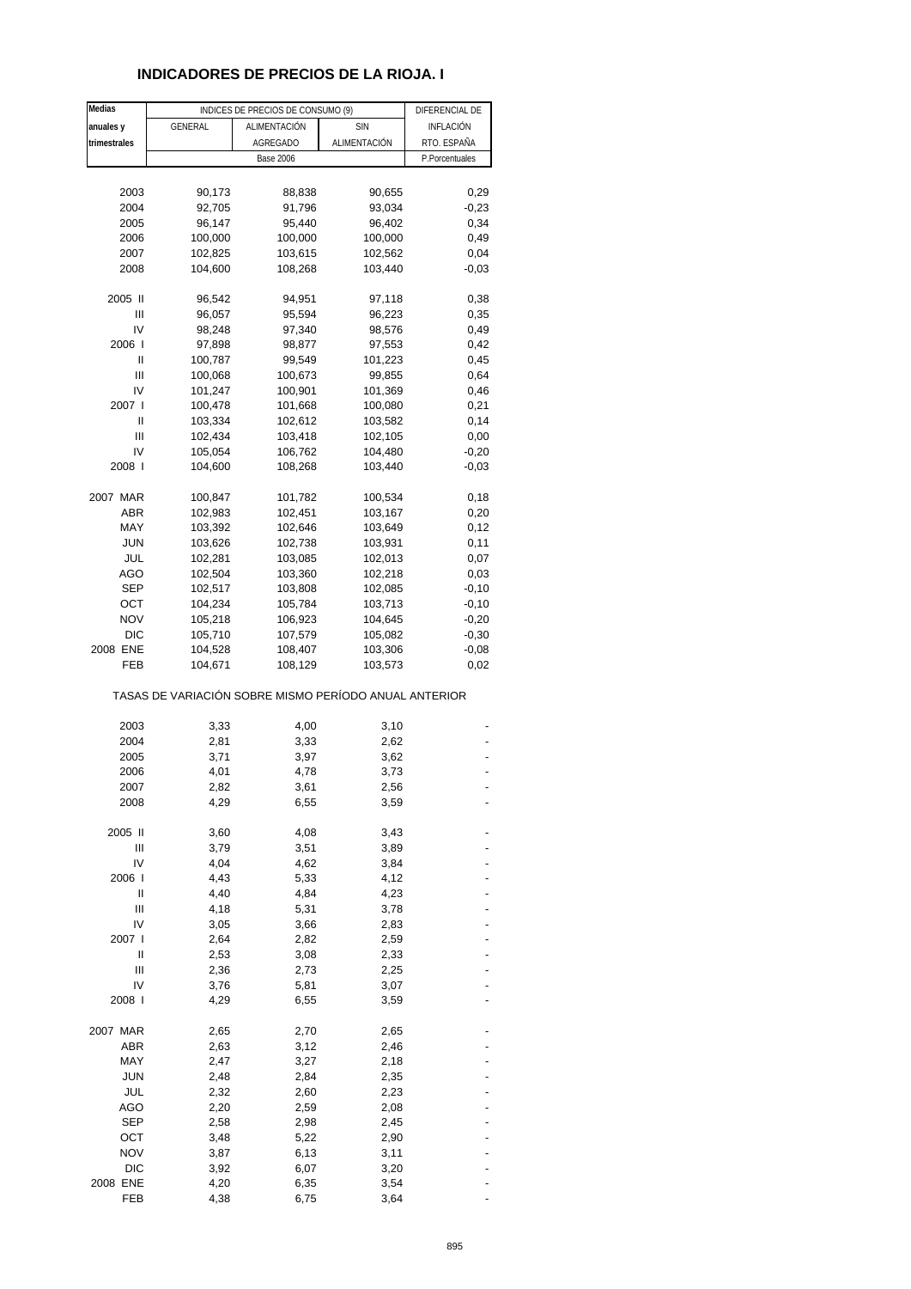## **INDICADORES DE PRECIOS DE LA RIOJA. I**

| Medias       |                                                       | INDICES DE PRECIOS DE CONSUMO (9) |                    | DIFERENCIAL DE   |
|--------------|-------------------------------------------------------|-----------------------------------|--------------------|------------------|
| anuales y    | GENERAL                                               | ALIMENTACIÓN                      | <b>SIN</b>         | <b>INFLACIÓN</b> |
| trimestrales |                                                       | <b>AGREGADO</b>                   | ALIMENTACIÓN       | RTO. ESPAÑA      |
|              |                                                       | <b>Base 2006</b>                  |                    | P.Porcentuales   |
|              |                                                       |                                   |                    |                  |
| 2003         | 90,173                                                | 88,838                            | 90,655             | 0,29             |
| 2004         | 92,705                                                | 91,796                            | 93,034             | $-0,23$          |
| 2005         | 96,147                                                | 95,440                            | 96,402             | 0,34             |
| 2006         | 100,000                                               | 100,000                           | 100,000            | 0,49             |
| 2007         | 102,825                                               | 103,615                           | 102,562            | 0,04             |
| 2008         | 104,600                                               | 108,268                           | 103,440            | $-0,03$          |
|              |                                                       |                                   |                    |                  |
| 2005 II      | 96,542                                                | 94,951                            | 97,118             | 0,38             |
| Ш            | 96,057                                                | 95,594                            | 96,223             | 0,35             |
| IV           | 98,248                                                | 97,340                            | 98,576             | 0,49             |
| 2006         | 97,898                                                | 98,877                            | 97,553             | 0,42             |
| Ш            | 100,787                                               | 99,549                            | 101,223            | 0,45             |
| Ш            | 100,068                                               | 100,673                           | 99,855             | 0,64             |
| IV           | 101,247                                               | 100,901                           | 101,369            | 0,46             |
| 2007 l       | 100,478                                               | 101,668                           | 100,080            | 0,21             |
| Ш<br>Ш       | 103,334                                               | 102,612                           | 103,582            | 0,14             |
| IV           | 102,434<br>105,054                                    | 103,418                           | 102,105<br>104,480 | 0,00<br>$-0,20$  |
| 2008 l       | 104,600                                               | 106,762<br>108,268                | 103,440            | $-0,03$          |
|              |                                                       |                                   |                    |                  |
| 2007 MAR     | 100,847                                               | 101,782                           | 100,534            | 0,18             |
| ABR          | 102,983                                               | 102,451                           | 103,167            | 0,20             |
| MAY          | 103,392                                               | 102,646                           | 103,649            | 0,12             |
| <b>JUN</b>   | 103,626                                               | 102,738                           | 103,931            | 0,11             |
| JUL          | 102,281                                               | 103,085                           | 102,013            | 0,07             |
| AGO          | 102,504                                               | 103,360                           | 102,218            | 0,03             |
| <b>SEP</b>   | 102,517                                               | 103,808                           | 102,085            | $-0,10$          |
| ОСТ          | 104,234                                               | 105,784                           | 103,713            | $-0,10$          |
| <b>NOV</b>   | 105,218                                               | 106,923                           | 104,645            | $-0,20$          |
| <b>DIC</b>   | 105,710                                               | 107,579                           | 105,082            | $-0,30$          |
| 2008 ENE     | 104,528                                               | 108,407                           | 103,306            | $-0,08$          |
| FEB          | 104,671                                               | 108,129                           | 103,573            | 0,02             |
|              | TASAS DE VARIACIÓN SOBRE MISMO PERÍODO ANUAL ANTERIOR |                                   |                    |                  |
| 2003         | 3,33                                                  | 4,00                              | 3,10               |                  |
| 2004         | 2,81                                                  | 3,33                              | 2,62               |                  |
| 2005         | 3,71                                                  | 3,97                              | 3,62               |                  |
| 2006         | 4,01                                                  | 4,78                              | 3,73               |                  |
| 2007         | 2,82                                                  | 3,61                              | 2,56               |                  |
| 2008         | 4,29                                                  | 6,55                              | 3,59               |                  |
|              |                                                       |                                   |                    |                  |
| 2005 II      | 3,60                                                  | 4,08                              | 3,43               |                  |
| Ш            | 3,79                                                  | 3,51                              | 3,89               |                  |
| IV           | 4,04                                                  | 4,62                              | 3,84               |                  |
| 2006 l       | 4,43                                                  | 5,33                              | 4,12               |                  |
| Ш            | 4,40                                                  | 4,84                              | 4,23               |                  |
| Ш            | 4,18                                                  | 5,31                              | 3,78               |                  |
| IV           | 3,05                                                  | 3,66                              | 2,83               |                  |
| 2007 l       | 2,64                                                  | 2,82                              | 2,59               |                  |
| Ш            | 2,53                                                  | 3,08                              | 2,33               |                  |
| Ш            | 2,36                                                  | 2,73                              | 2,25               |                  |
| IV           | 3,76                                                  | 5,81                              | 3,07               |                  |
| 2008 l       | 4,29                                                  | 6,55                              | 3,59               |                  |
| 2007 MAR     |                                                       |                                   |                    |                  |
| <b>ABR</b>   | 2,65<br>2,63                                          | 2,70<br>3,12                      | 2,65<br>2,46       |                  |
| MAY          | 2,47                                                  | 3,27                              | 2,18               |                  |
| <b>JUN</b>   | 2,48                                                  | 2,84                              | 2,35               |                  |
| JUL          | 2,32                                                  | 2,60                              | 2,23               |                  |
| AGO          | 2,20                                                  | 2,59                              | 2,08               |                  |
| <b>SEP</b>   | 2,58                                                  | 2,98                              | 2,45               |                  |
| ост          | 3,48                                                  | 5,22                              | 2,90               |                  |
| <b>NOV</b>   | 3,87                                                  | 6,13                              | 3,11               |                  |
| <b>DIC</b>   | 3,92                                                  | 6,07                              | 3,20               |                  |
| 2008 ENE     | 4,20                                                  | 6,35                              | 3,54               |                  |
| FEB          | 4,38                                                  | 6,75                              | 3,64               |                  |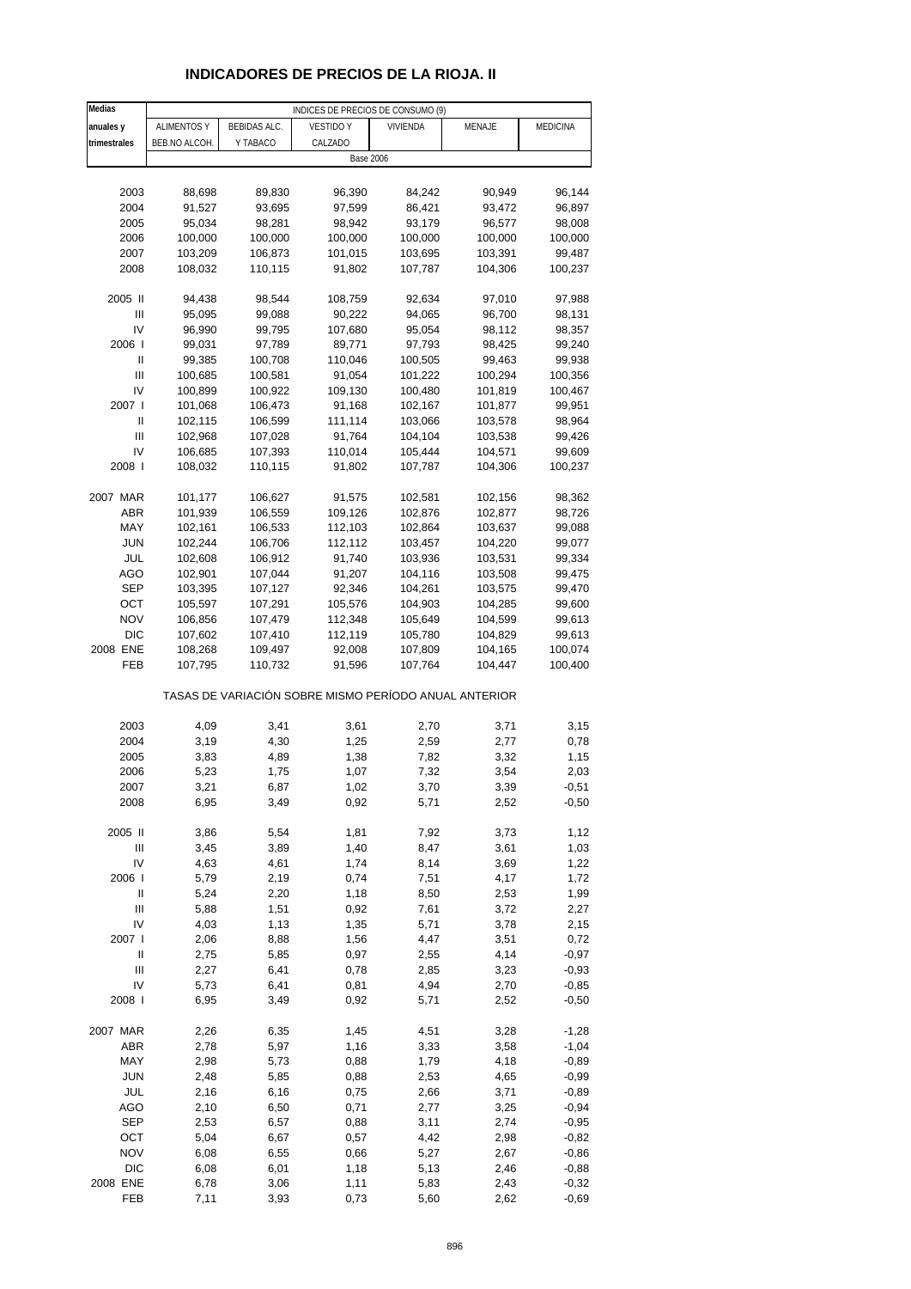# **INDICADORES DE PRECIOS DE LA RIOJA. II**

| Medias                             | INDICES DE PRECIOS DE CONSUMO (9) |                     |                                                       |          |         |                 |
|------------------------------------|-----------------------------------|---------------------|-------------------------------------------------------|----------|---------|-----------------|
| anuales y                          | <b>ALIMENTOS Y</b>                | <b>BEBIDAS ALC.</b> | <b>VESTIDO Y</b>                                      | VIVIENDA | MENAJE  | <b>MEDICINA</b> |
| trimestrales                       | BEB.NO ALCOH.                     | Y TABACO            | CALZADO                                               |          |         |                 |
|                                    |                                   |                     | <b>Base 2006</b>                                      |          |         |                 |
|                                    |                                   |                     |                                                       |          |         |                 |
| 2003                               | 88,698                            | 89,830              | 96,390                                                | 84,242   | 90,949  | 96,144          |
| 2004                               | 91,527                            | 93,695              | 97,599                                                | 86,421   | 93,472  | 96,897          |
| 2005                               | 95,034                            | 98,281              | 98,942                                                | 93,179   |         |                 |
|                                    |                                   |                     |                                                       |          | 96,577  | 98,008          |
| 2006                               | 100,000                           | 100,000             | 100,000                                               | 100,000  | 100,000 | 100,000         |
| 2007                               | 103,209                           | 106,873             | 101,015                                               | 103,695  | 103,391 | 99,487          |
| 2008                               | 108,032                           | 110,115             | 91,802                                                | 107,787  | 104,306 | 100,237         |
|                                    |                                   |                     |                                                       |          |         |                 |
| 2005 II                            | 94,438                            | 98,544              | 108,759                                               | 92,634   | 97,010  | 97,988          |
| Ш                                  | 95,095                            | 99,088              | 90,222                                                | 94,065   | 96,700  | 98,131          |
| IV                                 | 96,990                            | 99,795              | 107,680                                               | 95,054   | 98,112  | 98,357          |
| 2006                               | 99,031                            | 97,789              | 89,771                                                | 97,793   | 98,425  | 99,240          |
| Ш                                  | 99,385                            | 100,708             | 110,046                                               | 100,505  | 99,463  | 99,938          |
| Ш                                  | 100,685                           | 100,581             | 91,054                                                | 101,222  | 100,294 | 100,356         |
| IV                                 | 100,899                           | 100,922             | 109,130                                               | 100,480  | 101,819 | 100,467         |
| 2007 l                             | 101,068                           | 106,473             | 91,168                                                | 102,167  | 101,877 | 99,951          |
| Ш                                  | 102,115                           | 106,599             | 111,114                                               | 103,066  | 103,578 | 98,964          |
| Ш                                  | 102,968                           | 107,028             | 91,764                                                | 104,104  | 103,538 | 99,426          |
| IV                                 | 106,685                           | 107,393             | 110,014                                               | 105,444  | 104,571 | 99,609          |
| 2008                               | 108,032                           | 110,115             | 91,802                                                | 107,787  | 104,306 | 100,237         |
|                                    |                                   |                     |                                                       |          |         |                 |
| 2007 MAR                           | 101,177                           | 106,627             | 91,575                                                | 102,581  | 102,156 | 98,362          |
| ABR                                | 101,939                           | 106,559             | 109,126                                               | 102,876  | 102,877 | 98,726          |
| MAY                                | 102,161                           | 106,533             | 112,103                                               | 102,864  | 103,637 | 99,088          |
|                                    |                                   |                     |                                                       |          |         |                 |
| JUN                                | 102,244                           | 106,706             | 112,112                                               | 103,457  | 104,220 | 99,077          |
| JUL                                | 102,608                           | 106,912             | 91,740                                                | 103,936  | 103,531 | 99,334          |
| AGO                                | 102,901                           | 107,044             | 91,207                                                | 104,116  | 103,508 | 99,475          |
| SEP                                | 103,395                           | 107,127             | 92,346                                                | 104,261  | 103,575 | 99,470          |
| OCT                                | 105,597                           | 107,291             | 105,576                                               | 104,903  | 104,285 | 99,600          |
| <b>NOV</b>                         | 106,856                           | 107,479             | 112,348                                               | 105,649  | 104,599 | 99,613          |
| <b>DIC</b>                         | 107,602                           | 107,410             | 112,119                                               | 105,780  | 104,829 | 99,613          |
| 2008 ENE                           | 108,268                           | 109,497             | 92,008                                                | 107,809  | 104,165 | 100,074         |
| FEB                                | 107,795                           | 110,732             | 91,596                                                | 107,764  | 104,447 | 100,400         |
|                                    |                                   |                     | TASAS DE VARIACIÓN SOBRE MISMO PERÍODO ANUAL ANTERIOR |          |         |                 |
|                                    |                                   |                     |                                                       |          |         |                 |
| 2003                               | 4,09                              | 3,41                | 3,61                                                  | 2,70     | 3,71    | 3,15            |
| 2004                               | 3,19                              | 4,30                | 1,25                                                  | 2,59     | 2,77    | 0,78            |
| 2005                               | 3,83                              | 4,89                | 1,38                                                  | 7,82     | 3,32    | 1,15            |
| 2006                               | 5,23                              | 1,75                | 1,07                                                  | 7,32     | 3,54    | 2,03            |
| 2007                               | 3,21                              | 6,87                | 1,02                                                  | 3,70     | 3,39    | $-0,51$         |
| 2008                               | 6,95                              | 3,49                | 0,92                                                  | 5,71     | 2,52    | $-0,50$         |
|                                    |                                   |                     |                                                       |          |         |                 |
| 2005 II                            | 3,86                              | 5,54                | 1,81                                                  | 7,92     | 3,73    | 1,12            |
| $\ensuremath{\mathsf{III}}\xspace$ | 3,45                              | 3,89                | 1,40                                                  | 8,47     | 3,61    | 1,03            |
| IV                                 | 4,63                              | 4,61                | 1,74                                                  | 8,14     | 3,69    | 1,22            |
| 2006                               | 5,79                              | 2,19                | 0,74                                                  | 7,51     | 4,17    | 1,72            |
| $\sf II$                           | 5,24                              | 2,20                | 1,18                                                  | 8,50     | 2,53    | 1,99            |
| Ш                                  | 5,88                              | 1,51                | 0,92                                                  | 7,61     | 3,72    | 2,27            |
| IV                                 | 4,03                              | 1,13                | 1,35                                                  | 5,71     | 3,78    | 2,15            |
| 2007 l                             | 2,06                              | 8,88                | 1,56                                                  | 4,47     | 3,51    | 0,72            |
| Ш                                  | 2,75                              | 5,85                | 0,97                                                  | 2,55     | 4,14    | $-0,97$         |
| $\mathsf{III}$                     |                                   |                     |                                                       |          |         |                 |
|                                    | 2,27                              | 6,41                | 0,78                                                  | 2,85     | 3,23    | $-0,93$         |
| IV                                 | 5,73                              | 6,41                | 0,81                                                  | 4,94     | 2,70    | $-0,85$         |
| 2008 l                             | 6,95                              | 3,49                | 0,92                                                  | 5,71     | 2,52    | $-0,50$         |
| 2007 MAR                           | 2,26                              | 6,35                | 1,45                                                  | 4,51     | 3,28    | $-1,28$         |
| ABR                                | 2,78                              | 5,97                | 1,16                                                  | 3,33     | 3,58    | $-1,04$         |
| MAY                                | 2,98                              | 5,73                | 0,88                                                  | 1,79     | 4,18    | $-0,89$         |
| <b>JUN</b>                         | 2,48                              | 5,85                | 0,88                                                  | 2,53     | 4,65    | $-0,99$         |
|                                    |                                   |                     |                                                       |          |         |                 |
| JUL                                | 2,16                              | 6,16                | 0,75                                                  | 2,66     | 3,71    | $-0,89$         |
| AGO                                | 2,10                              | 6,50                | 0,71                                                  | 2,77     | 3,25    | $-0,94$         |
| <b>SEP</b>                         | 2,53                              | 6,57                | 0,88                                                  | 3,11     | 2,74    | $-0,95$         |
| OCT                                | 5,04                              | 6,67                | 0,57                                                  | 4,42     | 2,98    | $-0,82$         |
| <b>NOV</b>                         | 6,08                              | 6,55                | 0,66                                                  | 5,27     | 2,67    | $-0,86$         |
| <b>DIC</b>                         | 6,08                              | 6,01                | 1,18                                                  | 5,13     | 2,46    | $-0,88$         |
| 2008 ENE                           | 6,78                              | 3,06                | 1,11                                                  | 5,83     | 2,43    | $-0,32$         |
| FEB                                | 7,11                              | 3,93                | 0,73                                                  | 5,60     | 2,62    | $-0,69$         |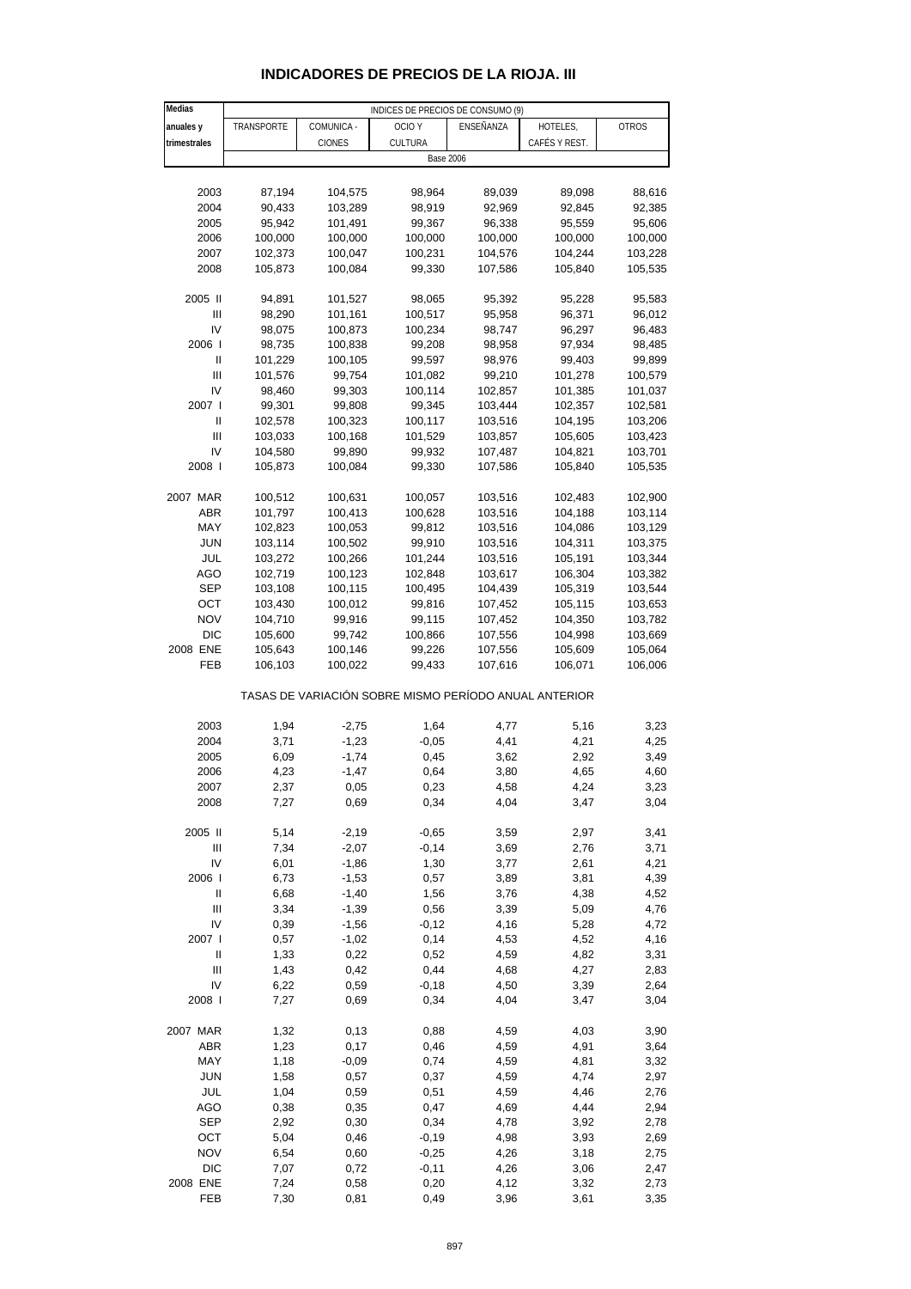| Medias       |            |               | INDICES DE PRECIOS DE CONSUMO (9)                     |                  |               |              |
|--------------|------------|---------------|-------------------------------------------------------|------------------|---------------|--------------|
| anuales y    | TRANSPORTE | COMUNICA -    | OCIO <sub>Y</sub>                                     | ENSEÑANZA        | HOTELES,      | <b>OTROS</b> |
| trimestrales |            | <b>CIONES</b> | <b>CULTURA</b>                                        |                  | CAFÉS Y REST. |              |
|              |            |               |                                                       | <b>Base 2006</b> |               |              |
|              |            |               |                                                       |                  |               |              |
| 2003         | 87,194     | 104,575       | 98,964                                                | 89,039           | 89,098        | 88,616       |
| 2004         | 90,433     | 103,289       | 98,919                                                | 92,969           | 92,845        | 92,385       |
| 2005         | 95,942     | 101,491       | 99,367                                                | 96,338           | 95,559        | 95,606       |
| 2006         | 100,000    | 100,000       | 100,000                                               | 100,000          | 100,000       | 100,000      |
| 2007         | 102,373    | 100,047       | 100,231                                               | 104,576          | 104,244       | 103,228      |
| 2008         | 105,873    | 100,084       | 99,330                                                | 107,586          | 105,840       | 105,535      |
| 2005 II      | 94,891     | 101,527       | 98,065                                                | 95,392           | 95,228        | 95,583       |
| Ш            | 98,290     | 101,161       | 100,517                                               | 95,958           | 96,371        | 96,012       |
| IV           | 98,075     | 100,873       | 100,234                                               | 98,747           | 96,297        | 96,483       |
| 2006         | 98,735     | 100,838       | 99,208                                                | 98,958           | 97,934        | 98,485       |
| Ш            | 101,229    | 100,105       | 99,597                                                | 98,976           | 99,403        | 99,899       |
| Ш            | 101,576    | 99,754        | 101,082                                               | 99,210           | 101,278       | 100,579      |
| IV           | 98,460     | 99,303        | 100,114                                               | 102,857          | 101,385       | 101,037      |
| 2007 l       | 99,301     | 99,808        | 99,345                                                | 103,444          | 102,357       | 102,581      |
| Ш            | 102,578    | 100,323       | 100,117                                               | 103,516          | 104,195       | 103,206      |
| Ш            | 103,033    | 100,168       | 101,529                                               | 103,857          | 105,605       | 103,423      |
| IV           | 104,580    | 99,890        | 99,932                                                | 107,487          | 104,821       | 103,701      |
| 2008         | 105,873    | 100,084       | 99,330                                                | 107,586          | 105,840       | 105,535      |
| 2007 MAR     | 100,512    | 100,631       | 100,057                                               | 103,516          | 102,483       | 102,900      |
| ABR          | 101,797    | 100,413       | 100,628                                               | 103,516          | 104,188       | 103,114      |
| MAY          | 102,823    | 100,053       | 99,812                                                | 103,516          | 104,086       | 103,129      |
| <b>JUN</b>   | 103,114    | 100,502       | 99,910                                                | 103,516          | 104,311       | 103,375      |
| JUL          | 103,272    | 100,266       | 101,244                                               | 103,516          | 105,191       | 103,344      |
| AGO          | 102,719    | 100,123       | 102,848                                               | 103,617          | 106,304       | 103,382      |
| <b>SEP</b>   | 103,108    | 100,115       | 100,495                                               | 104,439          | 105,319       | 103,544      |
| OCT          | 103,430    | 100,012       | 99,816                                                | 107,452          | 105,115       | 103,653      |
| <b>NOV</b>   | 104,710    | 99,916        | 99,115                                                | 107,452          | 104,350       | 103,782      |
| <b>DIC</b>   | 105,600    | 99,742        | 100,866                                               | 107,556          | 104,998       | 103,669      |
| 2008 ENE     | 105,643    | 100,146       | 99,226                                                | 107,556          | 105,609       | 105,064      |
| FEB          | 106,103    | 100,022       | 99,433                                                | 107,616          | 106,071       | 106,006      |
|              |            |               | TASAS DE VARIACIÓN SOBRE MISMO PERÍODO ANUAL ANTERIOR |                  |               |              |
| 2003         | 1,94       | $-2,75$       | 1,64                                                  | 4,77             | 5,16          | 3,23         |
| 2004         | 3,71       | $-1,23$       | $-0,05$                                               | 4,41             | 4,21          | 4,25         |
| 2005         | 6,09       | $-1,74$       | 0,45                                                  | 3,62             | 2,92          | 3,49         |
| 2006         | 4,23       | $-1,47$       | 0,64                                                  | 3,80             | 4,65          | 4,60         |
| 2007         | 2,37       | 0,05          | 0,23                                                  | 4,58             | 4,24          | 3,23         |
| 2008         | 7,27       | 0,69          | 0,34                                                  | 4,04             | 3,47          | 3,04         |
| 2005 II      | 5,14       | $-2,19$       | $-0,65$                                               | 3,59             | 2,97          | 3,41         |
| Ш            | 7,34       | $-2,07$       | $-0,14$                                               | 3,69             | 2,76          | 3,71         |
| IV           | 6,01       | $-1,86$       | 1,30                                                  | 3,77             | 2,61          | 4,21         |
| 2006         | 6,73       | $-1,53$       | 0,57                                                  | 3,89             | 3,81          | 4,39         |
| Ш            | 6,68       | $-1,40$       | 1,56                                                  | 3,76             | 4,38          | 4,52         |
| Ш            | 3,34       | $-1,39$       | 0,56                                                  | 3,39             | 5,09          | 4,76         |
| IV           | 0,39       | $-1,56$       | $-0,12$                                               | 4,16             | 5,28          | 4,72         |
| 2007 l       | 0,57       | $-1,02$       | 0,14                                                  | 4,53             | 4,52          | 4,16         |
| Ш            | 1,33       | 0,22          | 0,52                                                  | 4,59             | 4,82          | 3,31         |
| Ш            | 1,43       | 0,42          | 0,44                                                  | 4,68             | 4,27          | 2,83         |
| IV           | 6,22       | 0,59          | $-0,18$                                               | 4,50             | 3,39          | 2,64         |
| 2008         | 7,27       | 0,69          | 0,34                                                  | 4,04             | 3,47          | 3,04         |
| 2007 MAR     | 1,32       | 0,13          | 0,88                                                  | 4,59             | 4,03          | 3,90         |
| ABR          | 1,23       | 0,17          | 0,46                                                  | 4,59             | 4,91          | 3,64         |
| MAY          | 1,18       | $-0,09$       | 0,74                                                  | 4,59             | 4,81          | 3,32         |
| <b>JUN</b>   | 1,58       | 0,57          | 0,37                                                  | 4,59             | 4,74          | 2,97         |
| JUL          | 1,04       | 0,59          | 0,51                                                  | 4,59             | 4,46          | 2,76         |
| AGO          | 0,38       | 0,35          | 0,47                                                  | 4,69             | 4,44          | 2,94         |
| <b>SEP</b>   | 2,92       | 0,30          | 0,34                                                  | 4,78             | 3,92          | 2,78         |
| OCT          | 5,04       | 0,46          | $-0,19$                                               | 4,98             | 3,93          | 2,69         |
| <b>NOV</b>   | 6,54       | 0,60          | $-0,25$                                               | 4,26             | 3,18          | 2,75         |
| <b>DIC</b>   | 7,07       | 0,72          | $-0,11$                                               | 4,26             | 3,06          | 2,47         |

## **INDICADORES DE PRECIOS DE LA RIOJA. III**

2008 ENE 7,24 0,58 0,20 4,12 3,32 2,73 FEB 7,30 0,81 0,49 3,96 3,61 3,35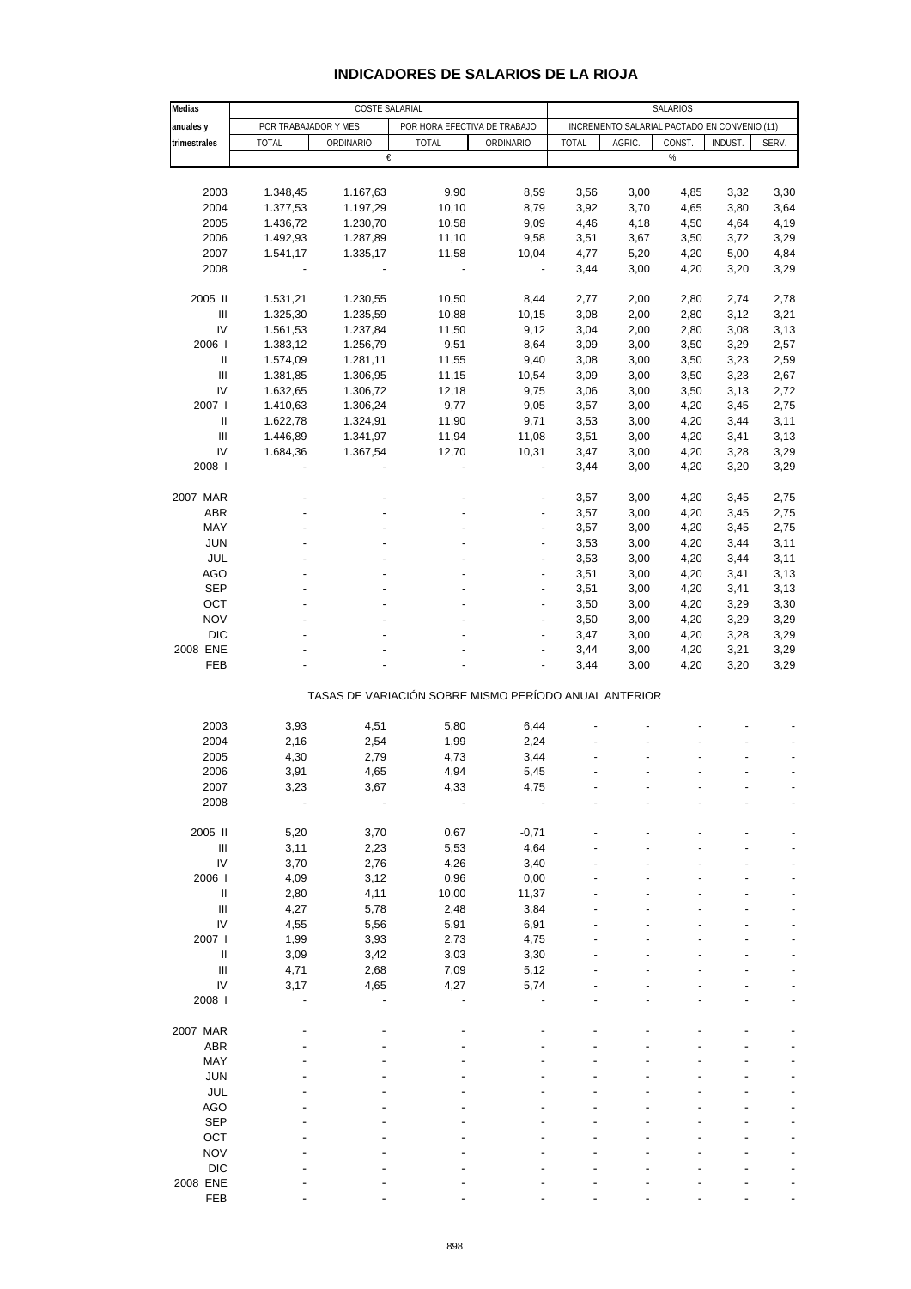| Medias                             | COSTE SALARIAL       |                                                       |                              |                          | <b>SALARIOS</b> |                                              |              |              |              |
|------------------------------------|----------------------|-------------------------------------------------------|------------------------------|--------------------------|-----------------|----------------------------------------------|--------------|--------------|--------------|
| anuales y                          | POR TRABAJADOR Y MES |                                                       | POR HORA EFECTIVA DE TRABAJO |                          |                 | INCREMENTO SALARIAL PACTADO EN CONVENIO (11) |              |              |              |
| trimestrales                       | <b>TOTAL</b>         | ORDINARIO                                             | <b>TOTAL</b>                 | ORDINARIO                | <b>TOTAL</b>    | AGRIC.                                       | CONST.       | INDUST.      | SERV.        |
|                                    |                      | €                                                     |                              |                          |                 |                                              | $\%$         |              |              |
|                                    |                      |                                                       |                              |                          |                 |                                              |              |              |              |
| 2003                               | 1.348,45             | 1.167,63                                              | 9,90                         | 8,59                     | 3,56            | 3,00                                         | 4,85         | 3,32         | 3,30         |
| 2004                               | 1.377,53             | 1.197,29                                              | 10,10                        | 8,79                     | 3,92            | 3,70                                         | 4,65         | 3,80         | 3,64         |
| 2005                               | 1.436,72             | 1.230,70                                              | 10,58                        | 9,09                     | 4,46            | 4,18                                         | 4,50         | 4,64         | 4,19         |
| 2006                               | 1.492,93             | 1.287,89                                              | 11,10                        | 9,58                     | 3,51            | 3,67                                         | 3,50         | 3,72         | 3,29         |
| 2007                               | 1.541,17             | 1.335,17                                              | 11,58                        | 10,04                    | 4,77            | 5,20                                         | 4,20         | 5,00         | 4,84         |
| 2008                               |                      |                                                       | $\overline{\phantom{a}}$     | $\blacksquare$           | 3,44            | 3,00                                         | 4,20         | 3,20         | 3,29         |
|                                    |                      |                                                       |                              |                          |                 |                                              |              |              |              |
| 2005 II                            | 1.531,21             | 1.230,55                                              | 10,50                        | 8,44                     | 2,77            | 2,00                                         | 2,80         | 2,74         | 2,78         |
| $\ensuremath{\mathsf{III}}\xspace$ | 1.325,30             | 1.235,59                                              | 10,88                        | 10,15                    | 3,08            | 2,00                                         | 2,80         | 3,12         | 3,21         |
| IV                                 | 1.561,53             | 1.237,84                                              | 11,50                        | 9,12                     | 3,04            | 2,00                                         | 2,80         | 3,08         | 3,13         |
| 2006                               | 1.383,12             | 1.256,79                                              | 9,51                         | 8,64                     | 3,09            | 3,00                                         | 3,50         | 3,29         | 2,57         |
| Ш                                  | 1.574,09             | 1.281,11                                              | 11,55                        | 9,40                     | 3,08            | 3,00                                         | 3,50         | 3,23         | 2,59         |
| $\ensuremath{\mathsf{III}}\xspace$ | 1.381,85             | 1.306,95                                              | 11,15                        | 10,54                    | 3,09            | 3,00                                         | 3,50         | 3,23         | 2,67         |
| IV                                 | 1.632,65             | 1.306,72                                              | 12,18                        | 9,75                     | 3,06            | 3,00                                         | 3,50         | 3,13         | 2,72         |
| 2007 l                             | 1.410,63             | 1.306,24                                              | 9,77                         | 9,05                     | 3,57            | 3,00                                         | 4,20         | 3,45         | 2,75         |
| Ш                                  | 1.622,78             | 1.324,91                                              | 11,90                        | 9,71                     | 3,53            | 3,00                                         | 4,20         | 3,44         | 3,11         |
| $\ensuremath{\mathsf{III}}\xspace$ | 1.446,89             |                                                       | 11,94                        | 11,08                    | 3,51            | 3,00                                         | 4,20         | 3,41         | 3,13         |
| IV                                 |                      | 1.341,97<br>1.367,54                                  |                              |                          |                 |                                              |              |              |              |
| 2008                               | 1.684,36             |                                                       | 12,70                        | 10,31                    | 3,47<br>3,44    | 3,00<br>3,00                                 | 4,20         | 3,28<br>3,20 | 3,29<br>3,29 |
|                                    |                      |                                                       |                              |                          |                 |                                              | 4,20         |              |              |
| 2007 MAR                           |                      |                                                       |                              | ٠                        | 3,57            | 3,00                                         |              |              | 2,75         |
| <b>ABR</b>                         |                      |                                                       |                              |                          | 3,57            | 3,00                                         | 4,20<br>4,20 | 3,45<br>3,45 | 2,75         |
| MAY                                |                      |                                                       |                              | $\overline{\phantom{a}}$ |                 |                                              |              |              |              |
|                                    |                      |                                                       |                              |                          | 3,57            | 3,00                                         | 4,20         | 3,45         | 2,75         |
| <b>JUN</b>                         |                      |                                                       |                              |                          | 3,53            | 3,00                                         | 4,20         | 3,44         | 3,11         |
| JUL                                |                      |                                                       |                              |                          | 3,53            | 3,00                                         | 4,20         | 3,44         | 3,11         |
| <b>AGO</b>                         |                      |                                                       |                              | $\overline{\phantom{a}}$ | 3,51            | 3,00                                         | 4,20         | 3,41         | 3,13         |
| <b>SEP</b>                         |                      |                                                       |                              | $\overline{a}$           | 3,51            | 3,00                                         | 4,20         | 3,41         | 3,13         |
| OCT                                |                      |                                                       |                              |                          | 3,50            | 3,00                                         | 4,20         | 3,29         | 3,30         |
| <b>NOV</b>                         |                      |                                                       |                              | $\overline{\phantom{a}}$ | 3,50            | 3,00                                         | 4,20         | 3,29         | 3,29         |
| <b>DIC</b>                         |                      |                                                       |                              |                          | 3,47            | 3,00                                         | 4,20         | 3,28         | 3,29         |
| 2008 ENE<br>FEB                    |                      |                                                       |                              |                          | 3,44            | 3,00                                         | 4,20         | 3,21         | 3,29         |
|                                    |                      |                                                       |                              |                          | 3,44            | 3,00                                         | 4,20         | 3,20         | 3,29         |
|                                    |                      | TASAS DE VARIACIÓN SOBRE MISMO PERÍODO ANUAL ANTERIOR |                              |                          |                 |                                              |              |              |              |
|                                    |                      |                                                       |                              |                          |                 |                                              |              |              |              |
| 2003                               | 3,93                 | 4,51                                                  | 5,80                         | 6,44                     |                 |                                              |              |              |              |
| 2004                               | 2,16                 | 2,54                                                  | 1,99                         | 2,24                     |                 |                                              |              |              |              |
| 2005                               | 4,30                 | 2,79                                                  | 4,73                         | 3,44                     |                 |                                              |              |              |              |
| 2006                               | 3,91                 | 4,65                                                  | 4,94                         | 5,45                     |                 |                                              |              |              |              |
| 2007                               | 3,23                 | 3,67                                                  | 4,33                         | 4,75                     |                 |                                              |              |              |              |
| 2008                               |                      |                                                       |                              |                          |                 |                                              |              |              |              |
|                                    |                      |                                                       |                              |                          |                 |                                              |              |              |              |
| 2005 II                            | 5,20                 | 3,70                                                  | 0,67                         | $-0,71$                  |                 |                                              |              |              |              |
| Ш                                  | 3,11                 | 2,23                                                  | 5,53                         | 4,64                     |                 |                                              |              |              |              |
| IV                                 | 3,70                 | 2,76                                                  | 4,26                         | 3,40                     |                 |                                              |              |              |              |
| 2006                               | 4,09                 | 3,12                                                  | 0,96                         | 0,00                     |                 |                                              |              |              |              |
| Ш                                  | 2,80                 | 4,11                                                  | 10,00                        | 11,37                    |                 |                                              |              |              |              |
| $\mathbf{III}$                     | 4,27                 | 5,78                                                  | 2,48                         | 3,84                     |                 |                                              |              |              |              |
| IV                                 | 4,55                 | 5,56                                                  | 5,91                         | 6,91                     |                 |                                              |              |              |              |
| 2007 l                             | 1,99                 | 3,93                                                  | 2,73                         | 4,75                     |                 |                                              |              |              |              |
| Ш                                  | 3,09                 | 3,42                                                  | 3,03                         | 3,30                     |                 |                                              |              |              |              |
| Ш                                  | 4,71                 | 2,68                                                  | 7,09                         | 5,12                     |                 |                                              |              |              |              |
| IV                                 | 3,17                 | 4,65                                                  | 4,27                         | 5,74                     |                 |                                              |              |              |              |
| 2008                               |                      |                                                       |                              |                          |                 |                                              |              |              |              |
|                                    |                      |                                                       |                              |                          |                 |                                              |              |              |              |
| 2007 MAR                           |                      |                                                       |                              |                          |                 |                                              |              |              |              |
| ABR                                |                      |                                                       |                              |                          |                 |                                              |              |              |              |
| MAY                                |                      |                                                       |                              |                          |                 |                                              |              |              |              |
| <b>JUN</b>                         |                      |                                                       |                              |                          |                 |                                              |              |              |              |
| <b>JUL</b>                         |                      |                                                       |                              |                          |                 |                                              |              |              |              |
| AGO                                |                      |                                                       |                              |                          |                 |                                              |              |              |              |
| <b>SEP</b>                         |                      |                                                       |                              |                          |                 |                                              |              |              |              |
| OCT                                |                      |                                                       |                              |                          |                 |                                              |              |              |              |
| <b>NOV</b>                         |                      |                                                       |                              |                          |                 |                                              |              |              |              |
| <b>DIC</b>                         |                      |                                                       |                              |                          |                 |                                              |              |              |              |
| 2008 ENE                           |                      |                                                       |                              |                          |                 |                                              |              |              |              |
| FEB                                |                      |                                                       |                              |                          |                 |                                              |              |              |              |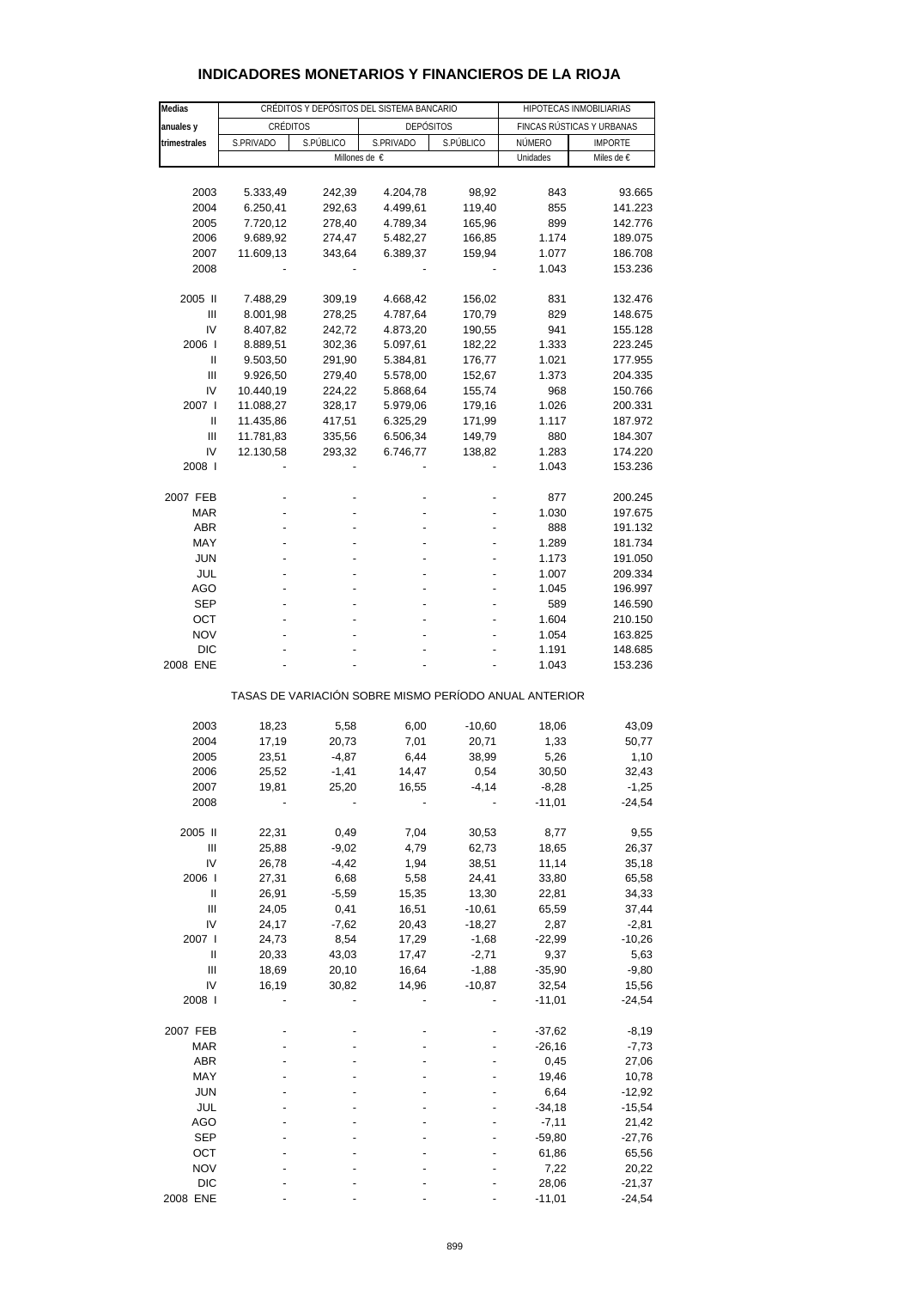| Medias            | CRÉDITOS Y DEPÓSITOS DEL SISTEMA BANCARIO |                 |                                                       |                   | HIPOTECAS INMOBILIARIAS   |                              |  |
|-------------------|-------------------------------------------|-----------------|-------------------------------------------------------|-------------------|---------------------------|------------------------------|--|
|                   |                                           | CRÉDITOS        |                                                       |                   | FINCAS RÚSTICAS Y URBANAS |                              |  |
| anuales y         | S.PRIVADO                                 | S.PÚBLICO       | <b>DEPÓSITOS</b><br>S.PRIVADO                         | S.PÚBLICO         | NÚMERO                    |                              |  |
| trimestrales      |                                           |                 | Millones de €                                         |                   | Unidades                  | <b>IMPORTE</b><br>Miles de € |  |
|                   |                                           |                 |                                                       |                   |                           |                              |  |
| 2003              | 5.333,49                                  | 242,39          | 4.204,78                                              | 98,92             | 843                       | 93.665                       |  |
| 2004              | 6.250,41                                  | 292,63          | 4.499,61                                              | 119,40            | 855                       | 141.223                      |  |
| 2005              | 7.720,12                                  | 278,40          | 4.789,34                                              | 165,96            | 899                       | 142.776                      |  |
| 2006              | 9.689,92                                  | 274,47          | 5.482,27                                              | 166,85            | 1.174                     | 189.075                      |  |
| 2007              | 11.609,13                                 | 343,64          | 6.389,37                                              | 159,94            | 1.077                     | 186.708                      |  |
| 2008              |                                           |                 |                                                       |                   | 1.043                     | 153.236                      |  |
|                   |                                           |                 |                                                       |                   |                           |                              |  |
| 2005 II           | 7.488,29                                  | 309,19          | 4.668,42                                              | 156,02            | 831                       | 132.476                      |  |
| Ш                 | 8.001,98                                  | 278,25          | 4.787,64                                              | 170,79            | 829                       | 148.675                      |  |
| IV                | 8.407,82                                  | 242,72          | 4.873,20                                              | 190,55            | 941                       | 155.128                      |  |
| 2006              | 8.889,51                                  | 302,36          | 5.097,61                                              | 182,22            | 1.333                     | 223.245                      |  |
| Ш                 | 9.503,50                                  | 291,90          | 5.384,81                                              | 176,77            | 1.021                     | 177.955                      |  |
| Ш                 | 9.926,50                                  | 279,40          | 5.578,00                                              | 152,67            | 1.373                     | 204.335                      |  |
| IV                | 10.440,19                                 | 224,22          | 5.868,64                                              | 155,74            | 968                       | 150.766                      |  |
| 2007 l            | 11.088,27                                 | 328,17          | 5.979,06                                              | 179,16            | 1.026                     | 200.331                      |  |
| Ш                 | 11.435,86                                 | 417,51          | 6.325,29                                              | 171,99            | 1.117                     | 187.972                      |  |
| Ш<br>IV           | 11.781,83                                 | 335,56          | 6.506,34                                              | 149,79            | 880                       | 184.307                      |  |
| 2008              | 12.130,58                                 | 293,32          | 6.746,77                                              | 138,82            | 1.283<br>1.043            | 174.220<br>153.236           |  |
|                   |                                           |                 |                                                       |                   |                           |                              |  |
| 2007 FEB          |                                           |                 |                                                       |                   | 877                       | 200.245                      |  |
| MAR               |                                           |                 |                                                       |                   | 1.030                     | 197.675                      |  |
| <b>ABR</b>        |                                           |                 |                                                       |                   | 888                       | 191.132                      |  |
| MAY               |                                           |                 |                                                       |                   | 1.289                     | 181.734                      |  |
| <b>JUN</b>        |                                           |                 |                                                       |                   | 1.173                     | 191.050                      |  |
| JUL               |                                           |                 |                                                       |                   | 1.007                     | 209.334                      |  |
| AGO               |                                           |                 |                                                       |                   | 1.045                     | 196.997                      |  |
| <b>SEP</b>        |                                           |                 |                                                       |                   | 589                       | 146.590                      |  |
| ОСТ               |                                           |                 |                                                       |                   | 1.604                     | 210.150                      |  |
| <b>NOV</b>        |                                           |                 |                                                       |                   | 1.054                     | 163.825                      |  |
| <b>DIC</b>        |                                           |                 |                                                       |                   | 1.191                     | 148.685                      |  |
| 2008 ENE          |                                           |                 |                                                       |                   | 1.043                     | 153.236                      |  |
|                   |                                           |                 | TASAS DE VARIACIÓN SOBRE MISMO PERÍODO ANUAL ANTERIOR |                   |                           |                              |  |
| 2003              | 18,23                                     | 5,58            | 6,00                                                  | $-10,60$          | 18,06                     | 43,09                        |  |
| 2004              | 17,19                                     | 20,73           | 7,01                                                  | 20,71             | 1,33                      | 50,77                        |  |
| 2005              | 23,51                                     | $-4,87$         | 6,44                                                  | 38,99             | 5,26                      | 1,10                         |  |
| 2006              | 25,52                                     | $-1,41$         | 14,47                                                 | 0,54              | 30,50                     | 32,43                        |  |
| 2007              | 19,81                                     | 25,20           | 16,55                                                 | $-4,14$           | $-8,28$                   | $-1,25$                      |  |
| 2008              |                                           |                 |                                                       |                   | $-11,01$                  | $-24,54$                     |  |
|                   |                                           |                 |                                                       |                   |                           |                              |  |
| 2005 II           | 22,31                                     | 0,49            | 7,04                                                  | 30,53             | 8,77                      | 9,55                         |  |
| $\mathbf{III}$    | 25,88                                     | $-9,02$         | 4,79                                                  | 62,73             | 18,65                     | 26,37                        |  |
| IV                | 26,78                                     | -4,42           | 1,94                                                  | 38,51             | 11,14                     | 35,18                        |  |
| 2006  <br>Ш       | 27,31                                     | 6,68<br>$-5,59$ | 5,58<br>15,35                                         | 24,41             | 33,80<br>22,81            | 65,58                        |  |
| Ш                 | 26,91<br>24,05                            | 0,41            | 16,51                                                 | 13,30<br>$-10,61$ | 65,59                     | 34,33<br>37,44               |  |
| IV                | 24,17                                     | $-7,62$         | 20,43                                                 | $-18,27$          | 2,87                      | $-2,81$                      |  |
| 2007 l            | 24,73                                     | 8,54            | 17,29                                                 | $-1,68$           | $-22,99$                  | -10,26                       |  |
| $\mathbf{I}$      | 20,33                                     | 43,03           | 17,47                                                 | $-2,71$           | 9,37                      | 5,63                         |  |
| $\mathbf{III}$    | 18,69                                     | 20,10           | 16,64                                                 | $-1,88$           | $-35,90$                  | $-9,80$                      |  |
| IV                | 16,19                                     | 30,82           | 14,96                                                 | $-10,87$          | 32,54                     | 15,56                        |  |
| 2008 l            |                                           |                 |                                                       |                   | $-11,01$                  | $-24,54$                     |  |
|                   |                                           |                 |                                                       |                   |                           |                              |  |
| 2007 FEB          |                                           |                 |                                                       |                   | $-37,62$                  | $-8,19$                      |  |
| <b>MAR</b>        |                                           |                 |                                                       |                   | $-26,16$                  | $-7,73$                      |  |
| <b>ABR</b>        |                                           |                 |                                                       |                   | 0,45                      | 27,06                        |  |
| MAY               |                                           |                 |                                                       |                   | 19,46                     | 10,78                        |  |
| <b>JUN</b>        |                                           |                 |                                                       |                   | 6,64                      | -12,92                       |  |
| JUL               |                                           |                 |                                                       |                   | $-34,18$                  | $-15,54$                     |  |
| AGO               |                                           |                 |                                                       |                   | $-7, 11$                  | 21,42                        |  |
| <b>SEP</b>        |                                           |                 |                                                       |                   | $-59,80$                  | $-27,76$                     |  |
| OCT<br><b>NOV</b> |                                           |                 |                                                       |                   | 61,86<br>7,22             | 65,56<br>20,22               |  |
| <b>DIC</b>        |                                           |                 |                                                       |                   | 28,06                     | $-21,37$                     |  |
| 2008 ENE          |                                           |                 |                                                       |                   | $-11,01$                  | $-24,54$                     |  |

## **INDICADORES MONETARIOS Y FINANCIEROS DE LA RIOJA**